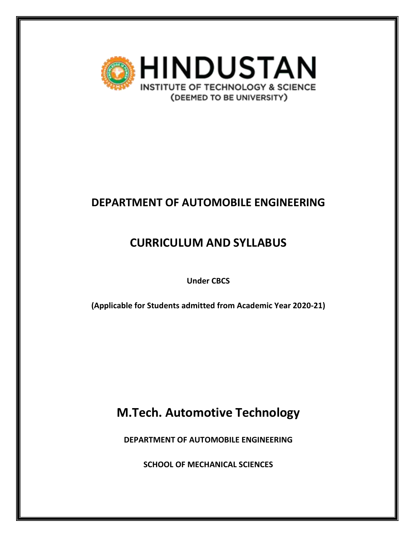

# **DEPARTMENT OF AUTOMOBILE ENGINEERING**

# **CURRICULUM AND SYLLABUS**

**Under CBCS**

**(Applicable for Students admitted from Academic Year 2020-21)**

**M.Tech. Automotive Technology**

**DEPARTMENT OF AUTOMOBILE ENGINEERING**

**SCHOOL OF MECHANICAL SCIENCES**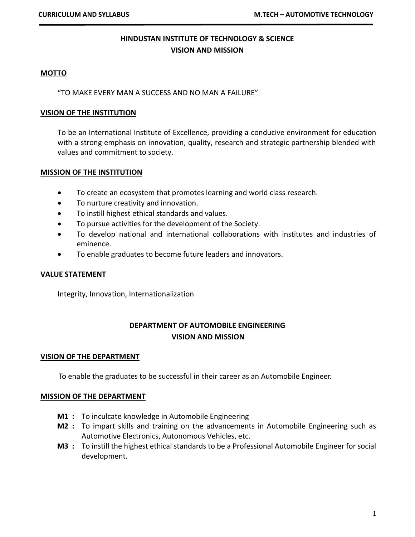## **HINDUSTAN INSTITUTE OF TECHNOLOGY & SCIENCE VISION AND MISSION**

#### **MOTTO**

"TO MAKE EVERY MAN A SUCCESS AND NO MAN A FAILURE"

#### **VISION OF THE INSTITUTION**

To be an International Institute of Excellence, providing a conducive environment for education with a strong emphasis on innovation, quality, research and strategic partnership blended with values and commitment to society.

#### **MISSION OF THE INSTITUTION**

- To create an ecosystem that promotes learning and world class research.
- To nurture creativity and innovation.
- To instill highest ethical standards and values.
- To pursue activities for the development of the Society.
- To develop national and international collaborations with institutes and industries of eminence.
- To enable graduates to become future leaders and innovators.

#### **VALUE STATEMENT**

Integrity, Innovation, Internationalization

## **DEPARTMENT OF AUTOMOBILE ENGINEERING VISION AND MISSION**

#### **VISION OF THE DEPARTMENT**

To enable the graduates to be successful in their career as an Automobile Engineer.

#### **MISSION OF THE DEPARTMENT**

- **M1 :** To inculcate knowledge in Automobile Engineering
- **M2 :** To impart skills and training on the advancements in Automobile Engineering such as Automotive Electronics, Autonomous Vehicles, etc.
- **M3 :** To instill the highest ethical standards to be a Professional Automobile Engineer for social development.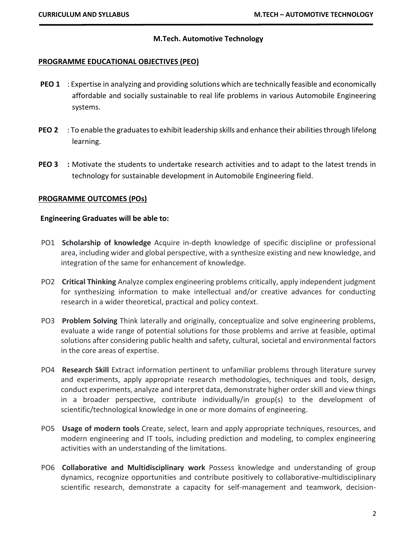#### **M.Tech. Automotive Technology**

#### **PROGRAMME EDUCATIONAL OBJECTIVES (PEO)**

- **PEO 1** : Expertise in analyzing and providing solutions which are technically feasible and economically affordable and socially sustainable to real life problems in various Automobile Engineering systems.
- **PEO 2** : To enable the graduates to exhibit leadership skills and enhance their abilities through lifelong learning.
- **PEO 3 :** Motivate the students to undertake research activities and to adapt to the latest trends in technology for sustainable development in Automobile Engineering field.

#### **PROGRAMME OUTCOMES (POs)**

#### **Engineering Graduates will be able to:**

- PO1 **Scholarship of knowledge** Acquire in-depth knowledge of specific discipline or professional area, including wider and global perspective, with a synthesize existing and new knowledge, and integration of the same for enhancement of knowledge.
- PO2 **Critical Thinking** Analyze complex engineering problems critically, apply independent judgment for synthesizing information to make intellectual and/or creative advances for conducting research in a wider theoretical, practical and policy context.
- PO3 **Problem Solving** Think laterally and originally, conceptualize and solve engineering problems, evaluate a wide range of potential solutions for those problems and arrive at feasible, optimal solutions after considering public health and safety, cultural, societal and environmental factors in the core areas of expertise.
- PO4 **Research Skill** Extract information pertinent to unfamiliar problems through literature survey and experiments, apply appropriate research methodologies, techniques and tools, design, conduct experiments, analyze and interpret data, demonstrate higher order skill and view things in a broader perspective, contribute individually/in group(s) to the development of scientific/technological knowledge in one or more domains of engineering.
- PO5 **Usage of modern tools** Create, select, learn and apply appropriate techniques, resources, and modern engineering and IT tools, including prediction and modeling, to complex engineering activities with an understanding of the limitations.
- PO6 **Collaborative and Multidisciplinary work** Possess knowledge and understanding of group dynamics, recognize opportunities and contribute positively to collaborative-multidisciplinary scientific research, demonstrate a capacity for self-management and teamwork, decision-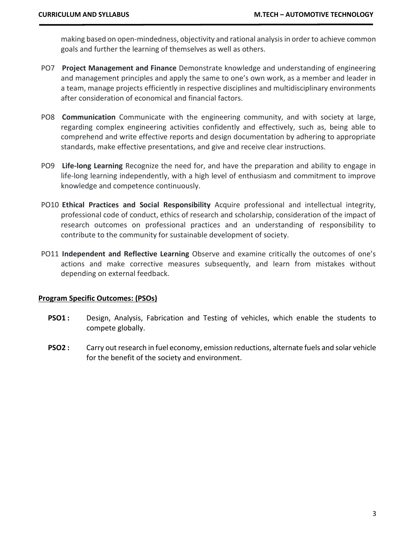making based on open-mindedness, objectivity and rational analysis in order to achieve common goals and further the learning of themselves as well as others.

- PO7 **Project Management and Finance** Demonstrate knowledge and understanding of engineering and management principles and apply the same to one's own work, as a member and leader in a team, manage projects efficiently in respective disciplines and multidisciplinary environments after consideration of economical and financial factors.
- PO8 **Communication** Communicate with the engineering community, and with society at large, regarding complex engineering activities confidently and effectively, such as, being able to comprehend and write effective reports and design documentation by adhering to appropriate standards, make effective presentations, and give and receive clear instructions.
- PO9 **Life-long Learning** Recognize the need for, and have the preparation and ability to engage in life-long learning independently, with a high level of enthusiasm and commitment to improve knowledge and competence continuously.
- PO10 **Ethical Practices and Social Responsibility** Acquire professional and intellectual integrity, professional code of conduct, ethics of research and scholarship, consideration of the impact of research outcomes on professional practices and an understanding of responsibility to contribute to the community for sustainable development of society.
- PO11 **Independent and Reflective Learning** Observe and examine critically the outcomes of one's actions and make corrective measures subsequently, and learn from mistakes without depending on external feedback.

#### **Program Specific Outcomes: (PSOs)**

- **PSO1 :** Design, Analysis, Fabrication and Testing of vehicles, which enable the students to compete globally.
- **PSO2 :** Carry out research in fuel economy, emission reductions, alternate fuels and solar vehicle for the benefit of the society and environment.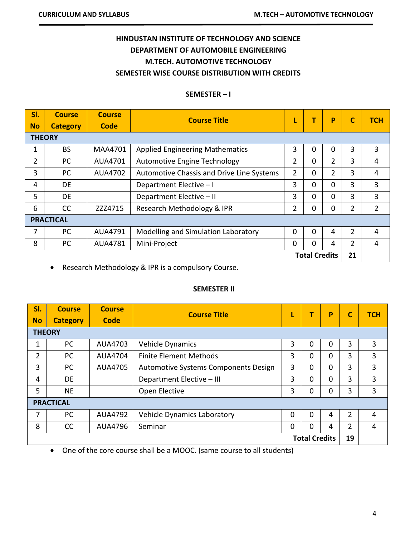# **HINDUSTAN INSTITUTE OF TECHNOLOGY AND SCIENCE DEPARTMENT OF AUTOMOBILE ENGINEERING M.TECH. AUTOMOTIVE TECHNOLOGY SEMESTER WISE COURSE DISTRIBUTION WITH CREDITS**

#### **SEMESTER – I**

| SI.                  | <b>Course</b>    | <b>Course</b>  | <b>Course Title</b>                       | L              |   | P              |                | <b>TCH</b>     |  |  |
|----------------------|------------------|----------------|-------------------------------------------|----------------|---|----------------|----------------|----------------|--|--|
| <b>No</b>            | <b>Category</b>  | <b>Code</b>    |                                           |                |   |                |                |                |  |  |
|                      | <b>THEORY</b>    |                |                                           |                |   |                |                |                |  |  |
| 1                    | <b>BS</b>        | <b>MAA4701</b> | <b>Applied Engineering Mathematics</b>    | 3              | 0 | 0              | 3              | 3              |  |  |
| $\overline{2}$       | PC               | AUA4701        | Automotive Engine Technology              | 2              | 0 | $\overline{2}$ | 3              | 4              |  |  |
| 3                    | PC               | AUA4702        | Automotive Chassis and Drive Line Systems | $\overline{2}$ | 0 | $\overline{2}$ | 3              | 4              |  |  |
| 4                    | <b>DE</b>        |                | Department Elective - I                   |                | 0 | 0              | 3              | 3              |  |  |
| 5                    | <b>DE</b>        |                | Department Elective - II                  | 3              | 0 | 0              | 3              | 3              |  |  |
| 6                    | <b>CC</b>        | ZZZ4715        | Research Methodology & IPR                | $\overline{2}$ | 0 | 0              | $\overline{2}$ | $\overline{2}$ |  |  |
|                      | <b>PRACTICAL</b> |                |                                           |                |   |                |                |                |  |  |
| 7                    | PC               | AUA4791        | Modelling and Simulation Laboratory       | 0              | 0 | 4              | 2              | 4              |  |  |
| 8                    | PC               | AUA4781        | Mini-Project                              |                | 0 | 4              | $\overline{2}$ | 4              |  |  |
| <b>Total Credits</b> |                  |                |                                           |                |   |                | 21             |                |  |  |

• Research Methodology & IPR is a compulsory Course.

### **SEMESTER II**

| SI.                  | <b>Course</b>    | <b>Course</b>  | <b>Course Title</b>                  | L        | т        | P        | $\mathbf c$    | <b>TCH</b> |  |
|----------------------|------------------|----------------|--------------------------------------|----------|----------|----------|----------------|------------|--|
| <b>No</b>            | <b>Category</b>  | Code           |                                      |          |          |          |                |            |  |
|                      | <b>THEORY</b>    |                |                                      |          |          |          |                |            |  |
| 1                    | PC               | AUA4703        | Vehicle Dynamics                     | 3        | $\Omega$ | $\Omega$ | 3              | 3          |  |
| 2                    | PC.              | <b>AUA4704</b> | <b>Finite Element Methods</b>        | 3        | $\Omega$ | $\Omega$ | 3              | 3          |  |
| 3                    | PC               | AUA4705        | Automotive Systems Components Design | 3        | $\Omega$ | $\Omega$ | 3              | 3          |  |
| 4                    | <b>DE</b>        |                | Department Elective - III            | 3        | $\Omega$ | $\Omega$ | 3              | 3          |  |
| 5                    | <b>NE</b>        |                | Open Elective                        | 3        | $\Omega$ | $\Omega$ | 3              | 3          |  |
|                      | <b>PRACTICAL</b> |                |                                      |          |          |          |                |            |  |
| 7                    | PC               | AUA4792        | Vehicle Dynamics Laboratory          | $\Omega$ | $\Omega$ | 4        | $\overline{2}$ | 4          |  |
| 8                    | CC               | AUA4796        | Seminar                              |          | $\Omega$ | 4        | 2              | 4          |  |
| <b>Total Credits</b> |                  |                |                                      |          |          |          | 19             |            |  |

• One of the core course shall be a MOOC. (same course to all students)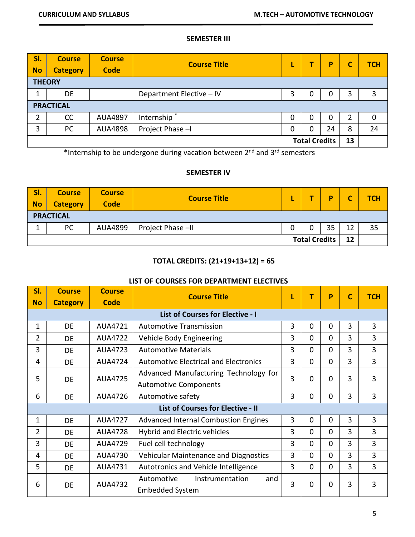#### **SEMESTER III**

| SI.<br><b>No</b>     | <b>Course</b><br><b>Category</b> | <b>Course</b><br><b>Code</b> | <b>Course Title</b>      | L |   | P  |   | <b>TCH</b> |  |  |
|----------------------|----------------------------------|------------------------------|--------------------------|---|---|----|---|------------|--|--|
| <b>THEORY</b>        |                                  |                              |                          |   |   |    |   |            |  |  |
| 1                    | DE                               |                              | Department Elective - IV | 3 | 0 | 0  | 3 | 3          |  |  |
| <b>PRACTICAL</b>     |                                  |                              |                          |   |   |    |   |            |  |  |
| 2                    | CC                               | <b>AUA4897</b>               | Internship <sup>*</sup>  | 0 | 0 | 0  |   | 0          |  |  |
| 3                    | PC                               | <b>AUA4898</b>               | Project Phase -I         | 0 | 0 | 24 | 8 | 24         |  |  |
| <b>Total Credits</b> |                                  |                              |                          |   |   | 13 |   |            |  |  |

\*Internship to be undergone during vacation between 2<sup>nd</sup> and 3<sup>rd</sup> semesters

## **SEMESTER IV**

| SI.<br><b>No</b>     | <b>Course</b><br><b>Category</b> | <b>Course</b><br><b>Code</b> | <b>Course Title</b> |  |  | D  |    | <b>TCH</b> |  |  |  |
|----------------------|----------------------------------|------------------------------|---------------------|--|--|----|----|------------|--|--|--|
|                      | <b>PRACTICAL</b>                 |                              |                     |  |  |    |    |            |  |  |  |
|                      | PC                               | AUA4899                      | Project Phase -II   |  |  | 35 | 12 | 35         |  |  |  |
| <b>Total Credits</b> |                                  |                              |                     |  |  |    | 12 |            |  |  |  |

## **TOTAL CREDITS: (21+19+13+12) = 65**

#### **LIST OF COURSES FOR DEPARTMENT ELECTIVES**

| SI.            | <b>Course</b>   | <b>Course</b>                        | <b>Course Title</b>                          |                        | T        | P        |   | <b>TCH</b>     |
|----------------|-----------------|--------------------------------------|----------------------------------------------|------------------------|----------|----------|---|----------------|
| <b>No</b>      | <b>Category</b> | Code                                 |                                              |                        |          |          |   |                |
|                |                 |                                      | <b>List of Courses for Elective - I</b>      |                        |          |          |   |                |
| 1              | DE              | AUA4721                              | <b>Automotive Transmission</b>               | 3                      | 0        | 0        | 3 | 3              |
| $\overline{2}$ | <b>DE</b>       | <b>AUA4722</b>                       | Vehicle Body Engineering                     |                        | $\Omega$ | $\Omega$ | 3 | 3              |
| 3              | <b>DE</b>       | AUA4723                              | <b>Automotive Materials</b>                  | 3                      | $\Omega$ | $\Omega$ | 3 | 3              |
| 4              | <b>DE</b>       | <b>AUA4724</b>                       | <b>Automotive Electrical and Electronics</b> | 3                      | $\Omega$ | $\Omega$ | 3 | 3              |
| 5<br>DE        |                 | AUA4725                              | Advanced Manufacturing Technology for        | 3                      | 0        | 0        | 3 | 3              |
|                |                 |                                      | <b>Automotive Components</b>                 |                        |          |          |   |                |
| 6              | DE              | <b>AUA4726</b>                       | Automotive safety                            | 3                      | 0        | 0        | 3 | 3              |
|                |                 |                                      | <b>List of Courses for Elective - II</b>     |                        |          |          |   |                |
| 1              | DE              | <b>AUA4727</b>                       | <b>Advanced Internal Combustion Engines</b>  | 3                      | 0        | $\Omega$ | 3 | 3              |
| $\overline{2}$ | DE              | <b>AUA4728</b>                       | Hybrid and Electric vehicles                 | 3                      | $\Omega$ | $\Omega$ | 3 | 3              |
| 3              | DE              | AUA4729                              | Fuel cell technology                         | 3                      | $\Omega$ | $\Omega$ | 3 | 3              |
| 4              | DE              | AUA4730                              | <b>Vehicular Maintenance and Diagnostics</b> | 3                      | $\Omega$ | $\Omega$ | 3 | $\overline{3}$ |
| 5              | DE              | AUA4731                              | Autotronics and Vehicle Intelligence         | 3                      | $\Omega$ | $\Omega$ | 3 | 3              |
|                | AUA4732<br>DE   | Automotive<br>Instrumentation<br>and | 3                                            | 0                      |          | 3        | 3 |                |
| 6              |                 |                                      |                                              | <b>Embedded System</b> |          |          | 0 |                |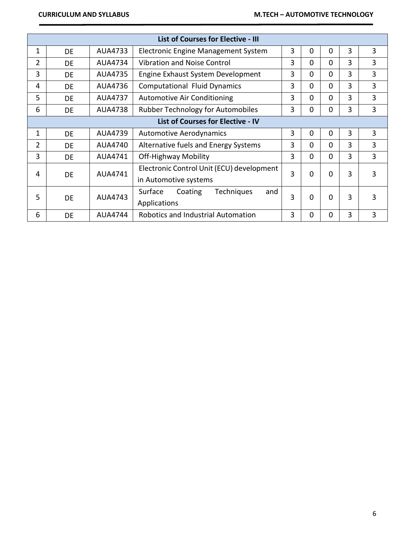|                | <b>List of Courses for Elective - III</b> |                |                                                                    |   |          |          |   |   |  |  |  |
|----------------|-------------------------------------------|----------------|--------------------------------------------------------------------|---|----------|----------|---|---|--|--|--|
| 1              | <b>DE</b>                                 | AUA4733        | Electronic Engine Management System                                | 3 | $\Omega$ | 0        | 3 | 3 |  |  |  |
| 2              | DE                                        | AUA4734        | Vibration and Noise Control                                        | 3 | 0        | 0        | 3 | 3 |  |  |  |
| 3              | DE                                        | AUA4735        | Engine Exhaust System Development                                  | 3 | 0        | 0        | 3 | 3 |  |  |  |
| 4              | <b>DE</b>                                 | AUA4736        | <b>Computational Fluid Dynamics</b>                                | 3 | $\Omega$ | $\Omega$ | 3 | 3 |  |  |  |
| 5              | DE                                        | AUA4737        | <b>Automotive Air Conditioning</b>                                 | 3 | 0        | 0        | 3 | 3 |  |  |  |
| 6              | DE                                        | <b>AUA4738</b> | Rubber Technology for Automobiles                                  | 3 | 0        | 0        | 3 | 3 |  |  |  |
|                | <b>List of Courses for Elective - IV</b>  |                |                                                                    |   |          |          |   |   |  |  |  |
| 1              | DE                                        | AUA4739        | <b>Automotive Aerodynamics</b>                                     | 3 | 0        | $\Omega$ | 3 | 3 |  |  |  |
| $\overline{2}$ | DE                                        | AUA4740        | Alternative fuels and Energy Systems                               | 3 | $\Omega$ | 0        | 3 | 3 |  |  |  |
| 3              | DE                                        | AUA4741        | <b>Off-Highway Mobility</b>                                        | 3 | $\Omega$ | $\Omega$ | 3 | 3 |  |  |  |
| 4              | DE                                        | AUA4741        | Electronic Control Unit (ECU) development<br>in Automotive systems | 3 | 0        | O        | 3 | 3 |  |  |  |
| 5              | <b>DE</b>                                 | AUA4743        | Surface<br>Coating<br><b>Techniques</b><br>and<br>Applications     | 3 | 0        | 0        | 3 | 3 |  |  |  |
| 6              | DE                                        | <b>AUA4744</b> | Robotics and Industrial Automation                                 | 3 | 0        | 0        | 3 | 3 |  |  |  |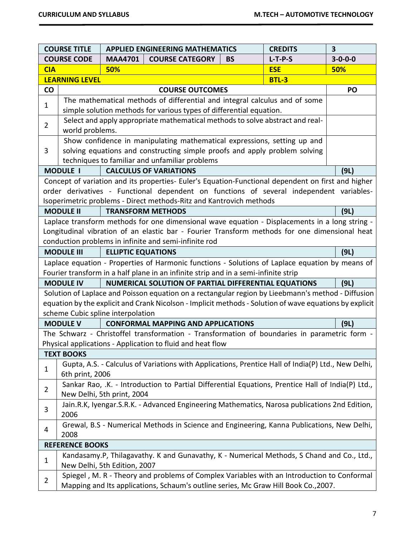| <b>COURSE TITLE</b> |                                                                                                                              |                                                                                     | <b>APPLIED ENGINEERING MATHEMATICS</b>                                                                  |           | <b>CREDITS</b> | $\overline{\mathbf{3}}$ |  |  |  |
|---------------------|------------------------------------------------------------------------------------------------------------------------------|-------------------------------------------------------------------------------------|---------------------------------------------------------------------------------------------------------|-----------|----------------|-------------------------|--|--|--|
|                     | <b>COURSE CODE</b>                                                                                                           | <b>MAA4701</b>                                                                      | <b>COURSE CATEGORY</b>                                                                                  | <b>BS</b> | $L-T-P-S$      | $3 - 0 - 0 - 0$         |  |  |  |
| <b>CIA</b>          |                                                                                                                              | 50%                                                                                 |                                                                                                         |           | <b>ESE</b>     | 50%                     |  |  |  |
|                     | <b>LEARNING LEVEL</b>                                                                                                        |                                                                                     |                                                                                                         |           | <b>BTL-3</b>   |                         |  |  |  |
| <b>CO</b>           |                                                                                                                              |                                                                                     | <b>COURSE OUTCOMES</b>                                                                                  |           |                | PO                      |  |  |  |
| $\mathbf{1}$        |                                                                                                                              |                                                                                     | The mathematical methods of differential and integral calculus and of some                              |           |                |                         |  |  |  |
|                     |                                                                                                                              |                                                                                     | simple solution methods for various types of differential equation.                                     |           |                |                         |  |  |  |
| $\overline{2}$      |                                                                                                                              |                                                                                     | Select and apply appropriate mathematical methods to solve abstract and real-                           |           |                |                         |  |  |  |
|                     | world problems.                                                                                                              |                                                                                     |                                                                                                         |           |                |                         |  |  |  |
|                     |                                                                                                                              |                                                                                     | Show confidence in manipulating mathematical expressions, setting up and                                |           |                |                         |  |  |  |
| 3                   | solving equations and constructing simple proofs and apply problem solving<br>techniques to familiar and unfamiliar problems |                                                                                     |                                                                                                         |           |                |                         |  |  |  |
|                     |                                                                                                                              |                                                                                     |                                                                                                         |           |                |                         |  |  |  |
|                     | <b>MODULE I</b>                                                                                                              |                                                                                     | <b>CALCULUS OF VARIATIONS</b>                                                                           |           |                | (9L)                    |  |  |  |
|                     |                                                                                                                              |                                                                                     | Concept of variation and its properties- Euler's Equation-Functional dependent on first and higher      |           |                |                         |  |  |  |
|                     |                                                                                                                              |                                                                                     | order derivatives - Functional dependent on functions of several independent variables-                 |           |                |                         |  |  |  |
|                     |                                                                                                                              |                                                                                     | Isoperimetric problems - Direct methods-Ritz and Kantrovich methods                                     |           |                |                         |  |  |  |
|                     | <b>MODULE II</b>                                                                                                             |                                                                                     | <b>TRANSFORM METHODS</b>                                                                                |           |                | (9L)                    |  |  |  |
|                     |                                                                                                                              |                                                                                     | Laplace transform methods for one dimensional wave equation - Displacements in a long string -          |           |                |                         |  |  |  |
|                     | Longitudinal vibration of an elastic bar - Fourier Transform methods for one dimensional heat                                |                                                                                     |                                                                                                         |           |                |                         |  |  |  |
|                     |                                                                                                                              |                                                                                     | conduction problems in infinite and semi-infinite rod                                                   |           |                |                         |  |  |  |
|                     | <b>MODULE III</b>                                                                                                            | <b>ELLIPTIC EQUATIONS</b>                                                           |                                                                                                         |           |                | (9L)                    |  |  |  |
|                     |                                                                                                                              |                                                                                     | Laplace equation - Properties of Harmonic functions - Solutions of Laplace equation by means of         |           |                |                         |  |  |  |
|                     |                                                                                                                              |                                                                                     | Fourier transform in a half plane in an infinite strip and in a semi-infinite strip                     |           |                |                         |  |  |  |
|                     | <b>MODULE IV</b>                                                                                                             |                                                                                     | NUMERICAL SOLUTION OF PARTIAL DIFFERENTIAL EQUATIONS                                                    |           |                | (9L)                    |  |  |  |
|                     |                                                                                                                              |                                                                                     | Solution of Laplace and Poisson equation on a rectangular region by Lieebmann's method - Diffusion      |           |                |                         |  |  |  |
|                     |                                                                                                                              |                                                                                     | equation by the explicit and Crank Nicolson - Implicit methods - Solution of wave equations by explicit |           |                |                         |  |  |  |
|                     |                                                                                                                              | scheme Cubic spline interpolation                                                   |                                                                                                         |           |                |                         |  |  |  |
|                     | <b>MODULE V</b>                                                                                                              |                                                                                     | <b>CONFORMAL MAPPING AND APPLICATIONS</b>                                                               |           |                | (9L)                    |  |  |  |
|                     |                                                                                                                              |                                                                                     | The Schwarz - Christoffel transformation - Transformation of boundaries in parametric form -            |           |                |                         |  |  |  |
|                     | <b>TEXT BOOKS</b>                                                                                                            |                                                                                     | Physical applications - Application to fluid and heat flow                                              |           |                |                         |  |  |  |
|                     |                                                                                                                              |                                                                                     | Gupta, A.S. - Calculus of Variations with Applications, Prentice Hall of India(P) Ltd., New Delhi,      |           |                |                         |  |  |  |
| $\mathbf{1}$        | 6th print, 2006                                                                                                              |                                                                                     |                                                                                                         |           |                |                         |  |  |  |
|                     |                                                                                                                              |                                                                                     | Sankar Rao, .K. - Introduction to Partial Differential Equations, Prentice Hall of India(P) Ltd.,       |           |                |                         |  |  |  |
| $\overline{2}$      |                                                                                                                              | New Delhi, 5th print, 2004                                                          |                                                                                                         |           |                |                         |  |  |  |
|                     |                                                                                                                              |                                                                                     | Jain.R.K, Iyengar.S.R.K. - Advanced Engineering Mathematics, Narosa publications 2nd Edition,           |           |                |                         |  |  |  |
| 3                   | 2006                                                                                                                         |                                                                                     |                                                                                                         |           |                |                         |  |  |  |
|                     |                                                                                                                              |                                                                                     | Grewal, B.S - Numerical Methods in Science and Engineering, Kanna Publications, New Delhi,              |           |                |                         |  |  |  |
| 4                   | 2008                                                                                                                         |                                                                                     |                                                                                                         |           |                |                         |  |  |  |
|                     | <b>REFERENCE BOOKS</b>                                                                                                       |                                                                                     |                                                                                                         |           |                |                         |  |  |  |
|                     |                                                                                                                              |                                                                                     | Kandasamy.P, Thilagavathy. K and Gunavathy, K - Numerical Methods, S Chand and Co., Ltd.,               |           |                |                         |  |  |  |
| $\mathbf{1}$        |                                                                                                                              | New Delhi, 5th Edition, 2007                                                        |                                                                                                         |           |                |                         |  |  |  |
|                     |                                                                                                                              |                                                                                     | Spiegel, M. R - Theory and problems of Complex Variables with an Introduction to Conformal              |           |                |                         |  |  |  |
| $\overline{2}$      |                                                                                                                              | Mapping and Its applications, Schaum's outline series, Mc Graw Hill Book Co., 2007. |                                                                                                         |           |                |                         |  |  |  |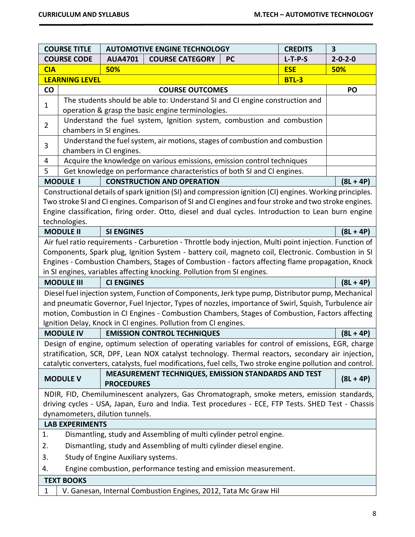|                                                                              | <b>COURSE TITLE</b>                                                     |                                 | <b>AUTOMOTIVE ENGINE TECHNOLOGY</b>                                                                                               |           | <b>CREDITS</b> | $\overline{\mathbf{3}}$ |  |
|------------------------------------------------------------------------------|-------------------------------------------------------------------------|---------------------------------|-----------------------------------------------------------------------------------------------------------------------------------|-----------|----------------|-------------------------|--|
|                                                                              | <b>COURSE CODE</b>                                                      | <b>AUA4701</b>                  | <b>COURSE CATEGORY</b>                                                                                                            | <b>PC</b> | $L-T-P-S$      | $2 - 0 - 2 - 0$         |  |
| <b>CIA</b>                                                                   |                                                                         | 50%                             |                                                                                                                                   |           | <b>ESE</b>     | 50%                     |  |
|                                                                              | <b>LEARNING LEVEL</b>                                                   |                                 |                                                                                                                                   |           | <b>BTL-3</b>   |                         |  |
| $\mathsf{co}$                                                                |                                                                         |                                 | <b>COURSE OUTCOMES</b>                                                                                                            |           |                | PO                      |  |
| 1                                                                            |                                                                         |                                 | The students should be able to: Understand SI and CI engine construction and<br>operation & grasp the basic engine terminologies. |           |                |                         |  |
|                                                                              |                                                                         |                                 | Understand the fuel system, Ignition system, combustion and combustion                                                            |           |                |                         |  |
| $\overline{2}$                                                               |                                                                         | chambers in SI engines.         |                                                                                                                                   |           |                |                         |  |
| 3                                                                            |                                                                         | chambers in CI engines.         | Understand the fuel system, air motions, stages of combustion and combustion                                                      |           |                |                         |  |
| Acquire the knowledge on various emissions, emission control techniques<br>4 |                                                                         |                                 |                                                                                                                                   |           |                |                         |  |
| 5                                                                            | Get knowledge on performance characteristics of both SI and CI engines. |                                 |                                                                                                                                   |           |                |                         |  |
|                                                                              | <b>MODULE I</b>                                                         |                                 | <b>CONSTRUCTION AND OPERATION</b>                                                                                                 |           |                | $(8L + 4P)$             |  |
|                                                                              |                                                                         |                                 | Constructional details of spark ignition (SI) and compression ignition (CI) engines. Working principles.                          |           |                |                         |  |
|                                                                              |                                                                         |                                 | Two stroke SI and CI engines. Comparison of SI and CI engines and four stroke and two stroke engines.                             |           |                |                         |  |
|                                                                              |                                                                         |                                 | Engine classification, firing order. Otto, diesel and dual cycles. Introduction to Lean burn engine                               |           |                |                         |  |
|                                                                              | technologies.                                                           |                                 |                                                                                                                                   |           |                |                         |  |
|                                                                              | <b>MODULE II</b>                                                        | <b>SI ENGINES</b>               |                                                                                                                                   |           |                | $(8L + 4P)$             |  |
|                                                                              |                                                                         |                                 | Air fuel ratio requirements - Carburetion - Throttle body injection, Multi point injection. Function of                           |           |                |                         |  |
|                                                                              |                                                                         |                                 | Components, Spark plug, Ignition System - battery coil, magneto coil, Electronic. Combustion in SI                                |           |                |                         |  |
|                                                                              |                                                                         |                                 | Engines - Combustion Chambers, Stages of Combustion - factors affecting flame propagation, Knock                                  |           |                |                         |  |
|                                                                              |                                                                         |                                 | in SI engines, variables affecting knocking. Pollution from SI engines.                                                           |           |                |                         |  |
|                                                                              | <b>MODULE III</b>                                                       | <b>CI ENGINES</b>               |                                                                                                                                   |           |                | $(8L + 4P)$             |  |
|                                                                              |                                                                         |                                 | Diesel fuel injection system, Function of Components, Jerk type pump, Distributor pump, Mechanical                                |           |                |                         |  |
|                                                                              |                                                                         |                                 | and pneumatic Governor, Fuel Injector, Types of nozzles, importance of Swirl, Squish, Turbulence air                              |           |                |                         |  |
|                                                                              |                                                                         |                                 | motion, Combustion in CI Engines - Combustion Chambers, Stages of Combustion, Factors affecting                                   |           |                |                         |  |
|                                                                              |                                                                         |                                 | Ignition Delay, Knock in CI engines. Pollution from CI engines.                                                                   |           |                |                         |  |
|                                                                              | <b>MODULE IV</b>                                                        |                                 | <b>EMISSION CONTROL TECHNIQUES</b>                                                                                                |           |                | $(8L + 4P)$             |  |
|                                                                              |                                                                         |                                 | Design of engine, optimum selection of operating variables for control of emissions, EGR, charge                                  |           |                |                         |  |
|                                                                              |                                                                         |                                 | stratification, SCR, DPF, Lean NOX catalyst technology. Thermal reactors, secondary air injection,                                |           |                |                         |  |
|                                                                              |                                                                         |                                 | catalytic converters, catalysts, fuel modifications, fuel cells, Two stroke engine pollution and control.                         |           |                |                         |  |
|                                                                              |                                                                         |                                 | MEASUREMENT TECHNIQUES, EMISSION STANDARDS AND TEST                                                                               |           |                |                         |  |
|                                                                              | <b>MODULE V</b>                                                         | <b>PROCEDURES</b>               |                                                                                                                                   |           |                | $(8L + 4P)$             |  |
|                                                                              |                                                                         |                                 | NDIR, FID, Chemiluminescent analyzers, Gas Chromatograph, smoke meters, emission standards,                                       |           |                |                         |  |
|                                                                              |                                                                         |                                 | driving cycles - USA, Japan, Euro and India. Test procedures - ECE, FTP Tests. SHED Test - Chassis                                |           |                |                         |  |
|                                                                              |                                                                         | dynamometers, dilution tunnels. |                                                                                                                                   |           |                |                         |  |
| <b>LAB EXPERIMENTS</b>                                                       |                                                                         |                                 |                                                                                                                                   |           |                |                         |  |
| 1.                                                                           | Dismantling, study and Assembling of multi cylinder petrol engine.      |                                 |                                                                                                                                   |           |                |                         |  |
| 2.                                                                           | Dismantling, study and Assembling of multi cylinder diesel engine.      |                                 |                                                                                                                                   |           |                |                         |  |
| 3.                                                                           | Study of Engine Auxiliary systems.                                      |                                 |                                                                                                                                   |           |                |                         |  |
| 4.                                                                           | Engine combustion, performance testing and emission measurement.        |                                 |                                                                                                                                   |           |                |                         |  |
|                                                                              | <b>TEXT BOOKS</b>                                                       |                                 |                                                                                                                                   |           |                |                         |  |
| 1                                                                            |                                                                         |                                 | V. Ganesan, Internal Combustion Engines, 2012, Tata Mc Graw Hil                                                                   |           |                |                         |  |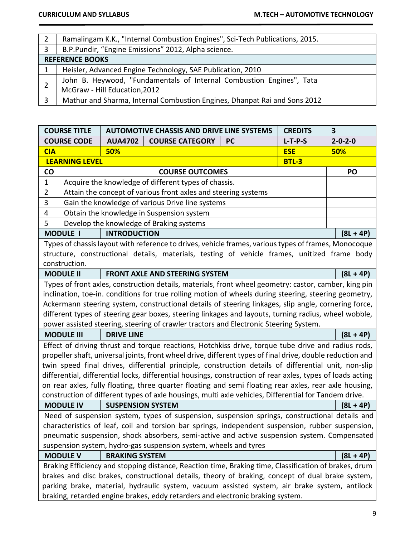|              | Ramalingam K.K., "Internal Combustion Engines", Sci-Tech Publications, 2015. |  |  |  |  |  |
|--------------|------------------------------------------------------------------------------|--|--|--|--|--|
|              |                                                                              |  |  |  |  |  |
| 3            | B.P.Pundir, "Engine Emissions" 2012, Alpha science.                          |  |  |  |  |  |
|              | <b>REFERENCE BOOKS</b>                                                       |  |  |  |  |  |
|              | Heisler, Advanced Engine Technology, SAE Publication, 2010                   |  |  |  |  |  |
|              | John B. Heywood, "Fundamentals of Internal Combustion Engines", Tata         |  |  |  |  |  |
|              | McGraw - Hill Education, 2012                                                |  |  |  |  |  |
| $\mathbf{C}$ | Mathur and Sharma, Internal Combustion Engines, Dhanpat Rai and Sons 2012    |  |  |  |  |  |

| <b>COURSE TITLE</b>                                              |                                                                                                       |                          | <b>AUTOMOTIVE CHASSIS AND DRIVE LINE SYSTEMS</b>                                                           |           | <b>CREDITS</b> | 3               |  |  |
|------------------------------------------------------------------|-------------------------------------------------------------------------------------------------------|--------------------------|------------------------------------------------------------------------------------------------------------|-----------|----------------|-----------------|--|--|
|                                                                  | <b>COURSE CODE</b>                                                                                    | <b>AUA4702</b>           | <b>COURSE CATEGORY</b>                                                                                     | <b>PC</b> | $L-T-P-S$      | $2 - 0 - 2 - 0$ |  |  |
| <b>CIA</b>                                                       |                                                                                                       | 50%                      |                                                                                                            |           | <b>ESE</b>     | 50%             |  |  |
|                                                                  | <b>LEARNING LEVEL</b>                                                                                 |                          |                                                                                                            |           | <b>BTL-3</b>   |                 |  |  |
| <b>CO</b>                                                        |                                                                                                       |                          | <b>COURSE OUTCOMES</b>                                                                                     |           |                | PO              |  |  |
| $\mathbf{1}$                                                     |                                                                                                       |                          | Acquire the knowledge of different types of chassis.                                                       |           |                |                 |  |  |
| $\overline{2}$                                                   |                                                                                                       |                          | Attain the concept of various front axles and steering systems                                             |           |                |                 |  |  |
| 3                                                                | Gain the knowledge of various Drive line systems                                                      |                          |                                                                                                            |           |                |                 |  |  |
| 4                                                                |                                                                                                       |                          | Obtain the knowledge in Suspension system                                                                  |           |                |                 |  |  |
| 5                                                                |                                                                                                       |                          | Develop the knowledge of Braking systems                                                                   |           |                |                 |  |  |
|                                                                  | <b>MODULE I</b>                                                                                       | <b>INTRODUCTION</b>      |                                                                                                            |           |                | $(8L + 4P)$     |  |  |
|                                                                  |                                                                                                       |                          | Types of chassis layout with reference to drives, vehicle frames, various types of frames, Monocoque       |           |                |                 |  |  |
|                                                                  |                                                                                                       |                          | structure, constructional details, materials, testing of vehicle frames, unitized frame body               |           |                |                 |  |  |
|                                                                  | construction.                                                                                         |                          |                                                                                                            |           |                |                 |  |  |
|                                                                  | <b>MODULE II</b>                                                                                      |                          | <b>FRONT AXLE AND STEERING SYSTEM</b>                                                                      |           |                | $(8L + 4P)$     |  |  |
|                                                                  |                                                                                                       |                          | Types of front axles, construction details, materials, front wheel geometry: castor, camber, king pin      |           |                |                 |  |  |
|                                                                  | inclination, toe-in. conditions for true rolling motion of wheels during steering, steering geometry, |                          |                                                                                                            |           |                |                 |  |  |
|                                                                  | Ackermann steering system, constructional details of steering linkages, slip angle, cornering force,  |                          |                                                                                                            |           |                |                 |  |  |
|                                                                  | different types of steering gear boxes, steering linkages and layouts, turning radius, wheel wobble,  |                          |                                                                                                            |           |                |                 |  |  |
|                                                                  |                                                                                                       |                          | power assisted steering, steering of crawler tractors and Electronic Steering System.                      |           |                |                 |  |  |
|                                                                  | <b>MODULE III</b>                                                                                     | <b>DRIVE LINE</b>        |                                                                                                            |           |                | $(8L + 4P)$     |  |  |
|                                                                  |                                                                                                       |                          | Effect of driving thrust and torque reactions, Hotchkiss drive, torque tube drive and radius rods,         |           |                |                 |  |  |
|                                                                  |                                                                                                       |                          | propeller shaft, universal joints, front wheel drive, different types of final drive, double reduction and |           |                |                 |  |  |
|                                                                  |                                                                                                       |                          | twin speed final drives, differential principle, construction details of differential unit, non-slip       |           |                |                 |  |  |
|                                                                  |                                                                                                       |                          | differential, differential locks, differential housings, construction of rear axles, types of loads acting |           |                |                 |  |  |
|                                                                  |                                                                                                       |                          | on rear axles, fully floating, three quarter floating and semi floating rear axles, rear axle housing,     |           |                |                 |  |  |
|                                                                  |                                                                                                       |                          | construction of different types of axle housings, multi axle vehicles, Differential for Tandem drive.      |           |                |                 |  |  |
|                                                                  | <b>MODULE IV</b>                                                                                      | <b>SUSPENSION SYSTEM</b> |                                                                                                            |           |                | $(8L + 4P)$     |  |  |
|                                                                  |                                                                                                       |                          | Need of suspension system, types of suspension, suspension springs, constructional details and             |           |                |                 |  |  |
|                                                                  |                                                                                                       |                          | characteristics of leaf, coil and torsion bar springs, independent suspension, rubber suspension,          |           |                |                 |  |  |
|                                                                  |                                                                                                       |                          | pneumatic suspension, shock absorbers, semi-active and active suspension system. Compensated               |           |                |                 |  |  |
| suspension system, hydro-gas suspension system, wheels and tyres |                                                                                                       |                          |                                                                                                            |           |                |                 |  |  |
|                                                                  | <b>MODULE V</b>                                                                                       | <b>BRAKING SYSTEM</b>    |                                                                                                            |           |                | $(8L + 4P)$     |  |  |
|                                                                  | Braking Efficiency and stopping distance, Reaction time, Braking time, Classification of brakes, drum |                          |                                                                                                            |           |                |                 |  |  |
|                                                                  | brakes and disc brakes, constructional details, theory of braking, concept of dual brake system,      |                          |                                                                                                            |           |                |                 |  |  |
|                                                                  | parking brake, material, hydraulic system, vacuum assisted system, air brake system, antilock         |                          |                                                                                                            |           |                |                 |  |  |
|                                                                  | braking, retarded engine brakes, eddy retarders and electronic braking system.                        |                          |                                                                                                            |           |                |                 |  |  |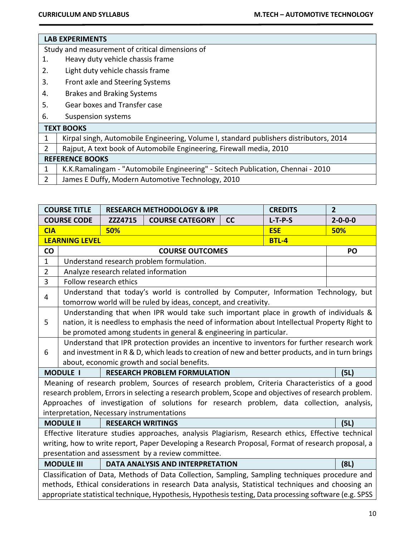#### **LAB EXPERIMENTS**

Study and measurement of critical dimensions of

- 1. Heavy duty vehicle chassis frame
- 2. Light duty vehicle chassis frame
- 3. Front axle and Steering Systems
- 4. Brakes and Braking Systems
- 5. Gear boxes and Transfer case
- 6. Suspension systems

| <b>TEXT BOOKS</b>                                                                      |  |  |  |  |  |  |  |
|----------------------------------------------------------------------------------------|--|--|--|--|--|--|--|
| Kirpal singh, Automobile Engineering, Volume I, standard publishers distributors, 2014 |  |  |  |  |  |  |  |
| Rajput, A text book of Automobile Engineering, Firewall media, 2010                    |  |  |  |  |  |  |  |
| <b>REFERENCE BOOKS</b>                                                                 |  |  |  |  |  |  |  |
| K.K.Ramalingam - "Automobile Engineering" - Scitech Publication, Chennai - 2010        |  |  |  |  |  |  |  |
| James E Duffy, Modern Automotive Technology, 2010                                      |  |  |  |  |  |  |  |

| <b>COURSE TITLE</b>                                |                                                                                                   |                                            | <b>RESEARCH METHODOLOGY &amp; IPR</b>                                                                  |    | <b>CREDITS</b> | $\overline{2}$  |  |  |
|----------------------------------------------------|---------------------------------------------------------------------------------------------------|--------------------------------------------|--------------------------------------------------------------------------------------------------------|----|----------------|-----------------|--|--|
|                                                    | <b>COURSE CODE</b>                                                                                | ZZZ4715                                    | <b>COURSE CATEGORY</b>                                                                                 | cc | $L-T-P-S$      | $2 - 0 - 0 - 0$ |  |  |
| <b>CIA</b>                                         |                                                                                                   | 50%                                        |                                                                                                        |    | <b>ESE</b>     | 50%             |  |  |
|                                                    | <b>LEARNING LEVEL</b>                                                                             |                                            |                                                                                                        |    | <b>BTL-4</b>   |                 |  |  |
| <b>CO</b>                                          |                                                                                                   |                                            | <b>COURSE OUTCOMES</b>                                                                                 |    |                | PO              |  |  |
| $\mathbf{1}$                                       |                                                                                                   |                                            | Understand research problem formulation.                                                               |    |                |                 |  |  |
| $\overline{2}$                                     |                                                                                                   |                                            | Analyze research related information                                                                   |    |                |                 |  |  |
| $\overline{3}$                                     | Follow research ethics                                                                            |                                            |                                                                                                        |    |                |                 |  |  |
| 4                                                  | Understand that today's world is controlled by Computer, Information Technology, but              |                                            |                                                                                                        |    |                |                 |  |  |
|                                                    | tomorrow world will be ruled by ideas, concept, and creativity.                                   |                                            |                                                                                                        |    |                |                 |  |  |
|                                                    | Understanding that when IPR would take such important place in growth of individuals &            |                                            |                                                                                                        |    |                |                 |  |  |
| 5                                                  | nation, it is needless to emphasis the need of information about Intellectual Property Right to   |                                            |                                                                                                        |    |                |                 |  |  |
|                                                    | be promoted among students in general & engineering in particular.                                |                                            |                                                                                                        |    |                |                 |  |  |
|                                                    |                                                                                                   |                                            | Understand that IPR protection provides an incentive to inventors for further research work            |    |                |                 |  |  |
| 6                                                  |                                                                                                   |                                            | and investment in R & D, which leads to creation of new and better products, and in turn brings        |    |                |                 |  |  |
|                                                    |                                                                                                   |                                            | about, economic growth and social benefits.                                                            |    |                |                 |  |  |
|                                                    | <b>MODULE I</b>                                                                                   |                                            | <b>RESEARCH PROBLEM FORMULATION</b>                                                                    |    |                | (5L)            |  |  |
|                                                    |                                                                                                   |                                            | Meaning of research problem, Sources of research problem, Criteria Characteristics of a good           |    |                |                 |  |  |
|                                                    |                                                                                                   |                                            | research problem, Errors in selecting a research problem, Scope and objectives of research problem.    |    |                |                 |  |  |
|                                                    |                                                                                                   |                                            | Approaches of investigation of solutions for research problem, data collection, analysis,              |    |                |                 |  |  |
|                                                    |                                                                                                   | interpretation, Necessary instrumentations |                                                                                                        |    |                |                 |  |  |
|                                                    | <b>MODULE II</b>                                                                                  | <b>RESEARCH WRITINGS</b>                   |                                                                                                        |    |                | (5L)            |  |  |
|                                                    |                                                                                                   |                                            | Effective literature studies approaches, analysis Plagiarism, Research ethics, Effective technical     |    |                |                 |  |  |
|                                                    |                                                                                                   |                                            | writing, how to write report, Paper Developing a Research Proposal, Format of research proposal, a     |    |                |                 |  |  |
| presentation and assessment by a review committee. |                                                                                                   |                                            |                                                                                                        |    |                |                 |  |  |
|                                                    | <b>DATA ANALYSIS AND INTERPRETATION</b><br><b>MODULE III</b><br>(8L)                              |                                            |                                                                                                        |    |                |                 |  |  |
|                                                    |                                                                                                   |                                            | Classification of Data, Methods of Data Collection, Sampling, Sampling techniques procedure and        |    |                |                 |  |  |
|                                                    | methods, Ethical considerations in research Data analysis, Statistical techniques and choosing an |                                            |                                                                                                        |    |                |                 |  |  |
|                                                    |                                                                                                   |                                            | appropriate statistical technique, Hypothesis, Hypothesis testing, Data processing software (e.g. SPSS |    |                |                 |  |  |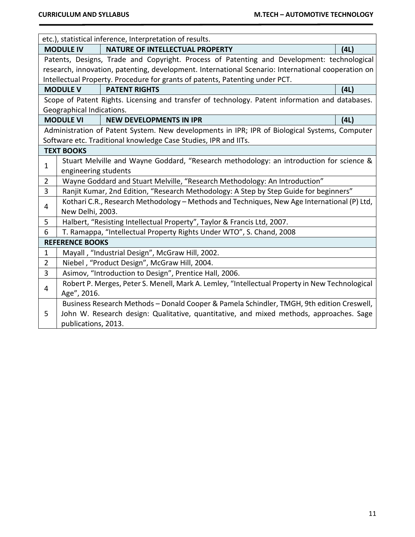|                |                           | etc.), statistical inference, Interpretation of results.                                           |      |
|----------------|---------------------------|----------------------------------------------------------------------------------------------------|------|
|                | <b>MODULE IV</b>          | <b>NATURE OF INTELLECTUAL PROPERTY</b>                                                             | (4L) |
|                |                           | Patents, Designs, Trade and Copyright. Process of Patenting and Development: technological         |      |
|                |                           | research, innovation, patenting, development. International Scenario: International cooperation on |      |
|                |                           | Intellectual Property. Procedure for grants of patents, Patenting under PCT.                       |      |
|                | <b>MODULE V</b>           | <b>PATENT RIGHTS</b>                                                                               | (4L) |
|                |                           | Scope of Patent Rights. Licensing and transfer of technology. Patent information and databases.    |      |
|                | Geographical Indications. |                                                                                                    |      |
|                | <b>MODULE VI</b>          | <b>NEW DEVELOPMENTS IN IPR</b>                                                                     | (4L) |
|                |                           | Administration of Patent System. New developments in IPR; IPR of Biological Systems, Computer      |      |
|                |                           | Software etc. Traditional knowledge Case Studies, IPR and IITs.                                    |      |
|                | <b>TEXT BOOKS</b>         |                                                                                                    |      |
| 1              |                           | Stuart Melville and Wayne Goddard, "Research methodology: an introduction for science &            |      |
|                | engineering students      |                                                                                                    |      |
| $\overline{2}$ |                           | Wayne Goddard and Stuart Melville, "Research Methodology: An Introduction"                         |      |
| $\overline{3}$ |                           | Ranjit Kumar, 2nd Edition, "Research Methodology: A Step by Step Guide for beginners"              |      |
| 4              |                           | Kothari C.R., Research Methodology - Methods and Techniques, New Age International (P) Ltd,        |      |
|                | New Delhi, 2003.          |                                                                                                    |      |
| 5              |                           | Halbert, "Resisting Intellectual Property", Taylor & Francis Ltd, 2007.                            |      |
| 6              |                           | T. Ramappa, "Intellectual Property Rights Under WTO", S. Chand, 2008                               |      |
|                | <b>REFERENCE BOOKS</b>    |                                                                                                    |      |
| $\mathbf 1$    |                           | Mayall, "Industrial Design", McGraw Hill, 2002.                                                    |      |
| $\overline{2}$ |                           | Niebel, "Product Design", McGraw Hill, 2004.                                                       |      |
| 3              |                           | Asimov, "Introduction to Design", Prentice Hall, 2006.                                             |      |
| 4              |                           | Robert P. Merges, Peter S. Menell, Mark A. Lemley, "Intellectual Property in New Technological     |      |
|                | Age", 2016.               |                                                                                                    |      |
|                |                           | Business Research Methods - Donald Cooper & Pamela Schindler, TMGH, 9th edition Creswell,          |      |
| 5              |                           | John W. Research design: Qualitative, quantitative, and mixed methods, approaches. Sage            |      |
|                | publications, 2013.       |                                                                                                    |      |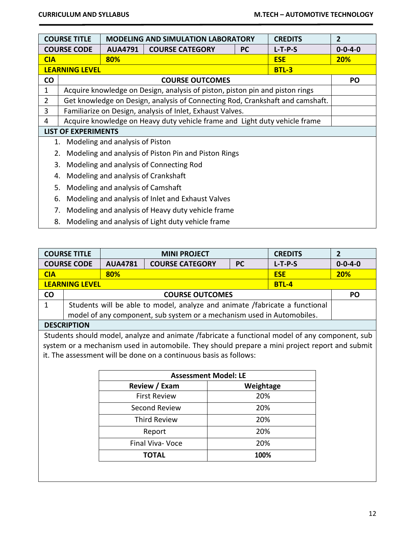|                | <b>COURSE TITLE</b><br><b>MODELING AND SIMULATION LABORATORY</b><br><b>CREDITS</b> |                                     |                                                                               |           | $\overline{2}$ |                 |
|----------------|------------------------------------------------------------------------------------|-------------------------------------|-------------------------------------------------------------------------------|-----------|----------------|-----------------|
|                | <b>COURSE CODE</b>                                                                 | <b>AUA4791</b>                      | <b>COURSE CATEGORY</b>                                                        | <b>PC</b> | $L-T-P-S$      | $0 - 0 - 4 - 0$ |
| <b>CIA</b>     |                                                                                    | 80%                                 |                                                                               |           | <b>ESE</b>     | <b>20%</b>      |
|                | <b>LEARNING LEVEL</b><br><b>BTL-3</b>                                              |                                     |                                                                               |           |                |                 |
| <b>CO</b>      |                                                                                    |                                     | <b>COURSE OUTCOMES</b>                                                        |           |                | PO              |
| 1              |                                                                                    |                                     | Acquire knowledge on Design, analysis of piston, piston pin and piston rings  |           |                |                 |
| $\overline{2}$ |                                                                                    |                                     | Get knowledge on Design, analysis of Connecting Rod, Crankshaft and camshaft. |           |                |                 |
| 3              |                                                                                    |                                     | Familiarize on Design, analysis of Inlet, Exhaust Valves.                     |           |                |                 |
| 4              |                                                                                    |                                     | Acquire knowledge on Heavy duty vehicle frame and Light duty vehicle frame    |           |                |                 |
|                | <b>LIST OF EXPERIMENTS</b>                                                         |                                     |                                                                               |           |                |                 |
| 1.             |                                                                                    | Modeling and analysis of Piston     |                                                                               |           |                |                 |
| 2.             |                                                                                    |                                     | Modeling and analysis of Piston Pin and Piston Rings                          |           |                |                 |
| 3.             |                                                                                    |                                     | Modeling and analysis of Connecting Rod                                       |           |                |                 |
| 4.             |                                                                                    | Modeling and analysis of Crankshaft |                                                                               |           |                |                 |
| 5.             |                                                                                    | Modeling and analysis of Camshaft   |                                                                               |           |                |                 |
|                | Modeling and analysis of Inlet and Exhaust Valves<br>6.                            |                                     |                                                                               |           |                |                 |
|                | Modeling and analysis of Heavy duty vehicle frame<br>7.                            |                                     |                                                                               |           |                |                 |
| 8.             |                                                                                    |                                     | Modeling and analysis of Light duty vehicle frame                             |           |                |                 |

|            | <b>COURSE TITLE</b><br><b>MINI PROJECT</b><br><b>CREDITS</b>                             |     |                                                                                                |           | $\overline{2}$  |           |  |
|------------|------------------------------------------------------------------------------------------|-----|------------------------------------------------------------------------------------------------|-----------|-----------------|-----------|--|
|            | <b>COURSE CODE</b><br><b>AUA4781</b><br><b>COURSE CATEGORY</b><br><b>PC</b><br>$L-T-P-S$ |     |                                                                                                |           | $0 - 0 - 4 - 0$ |           |  |
| <b>CIA</b> |                                                                                          | 80% |                                                                                                |           | <b>ESE</b>      | 20%       |  |
|            | <b>LEARNING LEVEL</b>                                                                    |     |                                                                                                |           | <b>BTL-4</b>    |           |  |
| <b>CO</b>  |                                                                                          |     | <b>COURSE OUTCOMES</b>                                                                         |           |                 | <b>PO</b> |  |
| 1          |                                                                                          |     | Students will be able to model, analyze and animate /fabricate a functional                    |           |                 |           |  |
|            |                                                                                          |     | model of any component, sub system or a mechanism used in Automobiles.                         |           |                 |           |  |
|            | <b>DESCRIPTION</b>                                                                       |     |                                                                                                |           |                 |           |  |
|            |                                                                                          |     | Students should model, analyze and animate /fabricate a functional model of any component, sub |           |                 |           |  |
|            |                                                                                          |     | system or a mechanism used in automobile. They should prepare a mini project report and submit |           |                 |           |  |
|            |                                                                                          |     | it. The assessment will be done on a continuous basis as follows:                              |           |                 |           |  |
|            |                                                                                          |     |                                                                                                |           |                 |           |  |
|            |                                                                                          |     | <b>Assessment Model: LE</b>                                                                    |           |                 |           |  |
|            |                                                                                          |     | Review / Exam                                                                                  | Weightage |                 |           |  |
|            | 20%<br><b>First Review</b>                                                               |     |                                                                                                |           |                 |           |  |
|            | Second Review<br>20%                                                                     |     |                                                                                                |           |                 |           |  |
|            | <b>Third Review</b><br>20%                                                               |     |                                                                                                |           |                 |           |  |
|            |                                                                                          |     | Report                                                                                         | 20%       |                 |           |  |

Final Viva- Voce 20% **TOTAL 100%**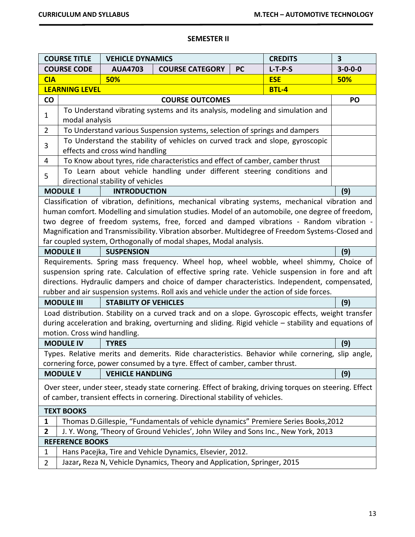# **SEMESTER II**

|                                                                                                         | <b>COURSE TITLE</b>                                                                   | <b>VEHICLE DYNAMICS</b>           |                                                                                                         |           | <b>CREDITS</b> | $\overline{\mathbf{3}}$ |
|---------------------------------------------------------------------------------------------------------|---------------------------------------------------------------------------------------|-----------------------------------|---------------------------------------------------------------------------------------------------------|-----------|----------------|-------------------------|
|                                                                                                         | <b>COURSE CODE</b>                                                                    | <b>AUA4703</b>                    | <b>COURSE CATEGORY</b>                                                                                  | <b>PC</b> | $L-T-P-S$      | $3 - 0 - 0 - 0$         |
| <b>CIA</b>                                                                                              |                                                                                       | 50%                               |                                                                                                         |           | <b>ESE</b>     | 50%                     |
|                                                                                                         | <b>LEARNING LEVEL</b>                                                                 |                                   |                                                                                                         |           | <b>BTL-4</b>   |                         |
| CO                                                                                                      |                                                                                       |                                   | <b>COURSE OUTCOMES</b>                                                                                  |           |                | PO                      |
| $\mathbf 1$                                                                                             |                                                                                       |                                   | To Understand vibrating systems and its analysis, modeling and simulation and                           |           |                |                         |
|                                                                                                         | modal analysis                                                                        |                                   |                                                                                                         |           |                |                         |
| $\overline{2}$                                                                                          |                                                                                       |                                   | To Understand various Suspension systems, selection of springs and dampers                              |           |                |                         |
| 3                                                                                                       |                                                                                       |                                   | To Understand the stability of vehicles on curved track and slope, gyroscopic                           |           |                |                         |
|                                                                                                         |                                                                                       | effects and cross wind handling   |                                                                                                         |           |                |                         |
| 4                                                                                                       |                                                                                       |                                   | To Know about tyres, ride characteristics and effect of camber, camber thrust                           |           |                |                         |
| 5                                                                                                       |                                                                                       |                                   | To Learn about vehicle handling under different steering conditions and                                 |           |                |                         |
|                                                                                                         |                                                                                       | directional stability of vehicles |                                                                                                         |           |                |                         |
|                                                                                                         | <b>MODULE I</b>                                                                       | <b>INTRODUCTION</b>               |                                                                                                         |           |                | (9)                     |
|                                                                                                         |                                                                                       |                                   | Classification of vibration, definitions, mechanical vibrating systems, mechanical vibration and        |           |                |                         |
|                                                                                                         |                                                                                       |                                   | human comfort. Modelling and simulation studies. Model of an automobile, one degree of freedom,         |           |                |                         |
|                                                                                                         |                                                                                       |                                   | two degree of freedom systems, free, forced and damped vibrations - Random vibration -                  |           |                |                         |
|                                                                                                         |                                                                                       |                                   | Magnification and Transmissibility. Vibration absorber. Multidegree of Freedom Systems-Closed and       |           |                |                         |
|                                                                                                         |                                                                                       |                                   | far coupled system, Orthogonally of modal shapes, Modal analysis.                                       |           |                |                         |
| <b>MODULE II</b><br><b>SUSPENSION</b><br>(9)                                                            |                                                                                       |                                   |                                                                                                         |           |                |                         |
|                                                                                                         | Requirements. Spring mass frequency. Wheel hop, wheel wobble, wheel shimmy, Choice of |                                   |                                                                                                         |           |                |                         |
|                                                                                                         |                                                                                       |                                   | suspension spring rate. Calculation of effective spring rate. Vehicle suspension in fore and aft        |           |                |                         |
|                                                                                                         |                                                                                       |                                   | directions. Hydraulic dampers and choice of damper characteristics. Independent, compensated,           |           |                |                         |
|                                                                                                         |                                                                                       |                                   | rubber and air suspension systems. Roll axis and vehicle under the action of side forces.               |           |                |                         |
|                                                                                                         | <b>MODULE III</b>                                                                     | <b>STABILITY OF VEHICLES</b>      |                                                                                                         |           |                | (9)                     |
|                                                                                                         |                                                                                       |                                   | Load distribution. Stability on a curved track and on a slope. Gyroscopic effects, weight transfer      |           |                |                         |
|                                                                                                         |                                                                                       |                                   | during acceleration and braking, overturning and sliding. Rigid vehicle - stability and equations of    |           |                |                         |
|                                                                                                         | motion. Cross wind handling.                                                          |                                   |                                                                                                         |           |                |                         |
|                                                                                                         | <b>MODULE IV</b>                                                                      | <b>TYRES</b>                      |                                                                                                         |           |                | (9)                     |
|                                                                                                         |                                                                                       |                                   | Types. Relative merits and demerits. Ride characteristics. Behavior while cornering, slip angle,        |           |                |                         |
|                                                                                                         |                                                                                       |                                   | cornering force, power consumed by a tyre. Effect of camber, camber thrust.                             |           |                |                         |
|                                                                                                         | <b>MODULE V</b>                                                                       | <b>VEHICLE HANDLING</b>           |                                                                                                         |           |                | (9)                     |
|                                                                                                         |                                                                                       |                                   | Over steer, under steer, steady state cornering. Effect of braking, driving torques on steering. Effect |           |                |                         |
|                                                                                                         |                                                                                       |                                   |                                                                                                         |           |                |                         |
| of camber, transient effects in cornering. Directional stability of vehicles.                           |                                                                                       |                                   |                                                                                                         |           |                |                         |
| <b>TEXT BOOKS</b><br>Thomas D.Gillespie, "Fundamentals of vehicle dynamics" Premiere Series Books, 2012 |                                                                                       |                                   |                                                                                                         |           |                |                         |
| 1                                                                                                       |                                                                                       |                                   |                                                                                                         |           |                |                         |
| 2                                                                                                       |                                                                                       |                                   | J. Y. Wong, 'Theory of Ground Vehicles', John Wiley and Sons Inc., New York, 2013                       |           |                |                         |
|                                                                                                         | <b>REFERENCE BOOKS</b>                                                                |                                   |                                                                                                         |           |                |                         |
| 1                                                                                                       |                                                                                       |                                   | Hans Pacejka, Tire and Vehicle Dynamics, Elsevier, 2012.                                                |           |                |                         |
| 2                                                                                                       |                                                                                       |                                   | Jazar, Reza N, Vehicle Dynamics, Theory and Application, Springer, 2015                                 |           |                |                         |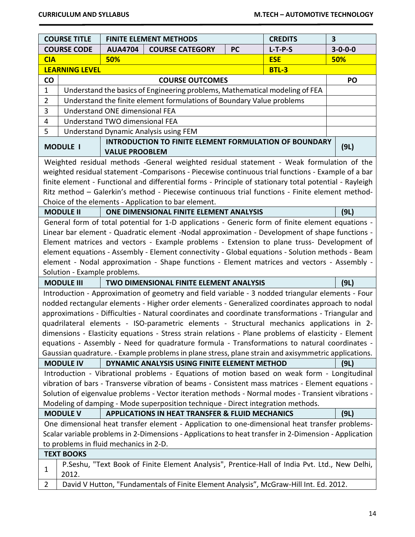|                | <b>COURSE TITLE</b>                                                                                   |                                | <b>FINITE ELEMENT METHODS</b>                                                                           |           | <b>CREDITS</b> | 3               |
|----------------|-------------------------------------------------------------------------------------------------------|--------------------------------|---------------------------------------------------------------------------------------------------------|-----------|----------------|-----------------|
|                | <b>COURSE CODE</b>                                                                                    | <b>AUA4704</b>                 | <b>COURSE CATEGORY</b>                                                                                  | <b>PC</b> | $L-T-P-S$      | $3 - 0 - 0 - 0$ |
| <b>CIA</b>     |                                                                                                       | 50%                            |                                                                                                         |           | <b>ESE</b>     | 50%             |
|                | <b>LEARNING LEVEL</b>                                                                                 |                                |                                                                                                         |           | <b>BTL-3</b>   |                 |
| $\mathsf{co}$  |                                                                                                       |                                | <b>COURSE OUTCOMES</b>                                                                                  |           |                | PO              |
| $\mathbf 1$    |                                                                                                       |                                | Understand the basics of Engineering problems, Mathematical modeling of FEA                             |           |                |                 |
| $\overline{2}$ |                                                                                                       |                                | Understand the finite element formulations of Boundary Value problems                                   |           |                |                 |
| 3              |                                                                                                       | Understand ONE dimensional FEA |                                                                                                         |           |                |                 |
| 4              |                                                                                                       | Understand TWO dimensional FEA |                                                                                                         |           |                |                 |
| 5              |                                                                                                       |                                | <b>Understand Dynamic Analysis using FEM</b>                                                            |           |                |                 |
|                | <b>MODULE I</b>                                                                                       | <b>VALUE PROOBLEM</b>          | <b>INTRODUCTION TO FINITE ELEMENT FORMULATION OF BOUNDARY</b>                                           |           |                | (9L)            |
|                |                                                                                                       |                                | Weighted residual methods -General weighted residual statement - Weak formulation of the                |           |                |                 |
|                |                                                                                                       |                                | weighted residual statement - Comparisons - Piecewise continuous trial functions - Example of a bar     |           |                |                 |
|                |                                                                                                       |                                | finite element - Functional and differential forms - Principle of stationary total potential - Rayleigh |           |                |                 |
|                |                                                                                                       |                                | Ritz method - Galerkin's method - Piecewise continuous trial functions - Finite element method-         |           |                |                 |
|                |                                                                                                       |                                | Choice of the elements - Application to bar element.                                                    |           |                |                 |
|                | <b>MODULE II</b>                                                                                      |                                | ONE DIMENSIONAL FINITE ELEMENT ANALYSIS                                                                 |           |                | (9L)            |
|                |                                                                                                       |                                | General form of total potential for 1-D applications - Generic form of finite element equations -       |           |                |                 |
|                |                                                                                                       |                                | Linear bar element - Quadratic element -Nodal approximation - Development of shape functions -          |           |                |                 |
|                |                                                                                                       |                                | Element matrices and vectors - Example problems - Extension to plane truss- Development of              |           |                |                 |
|                |                                                                                                       |                                | element equations - Assembly - Element connectivity - Global equations - Solution methods - Beam        |           |                |                 |
|                |                                                                                                       |                                | element - Nodal approximation - Shape functions - Element matrices and vectors - Assembly -             |           |                |                 |
|                | Solution - Example problems.                                                                          |                                |                                                                                                         |           |                |                 |
|                | <b>MODULE III</b>                                                                                     |                                | <b>TWO DIMENSIONAL FINITE ELEMENT ANALYSIS</b>                                                          |           |                | (9L)            |
|                |                                                                                                       |                                | Introduction - Approximation of geometry and field variable - 3 nodded triangular elements - Four       |           |                |                 |
|                |                                                                                                       |                                | nodded rectangular elements - Higher order elements - Generalized coordinates approach to nodal         |           |                |                 |
|                |                                                                                                       |                                | approximations - Difficulties - Natural coordinates and coordinate transformations - Triangular and     |           |                |                 |
|                |                                                                                                       |                                | quadrilateral elements - ISO-parametric elements - Structural mechanics applications in 2-              |           |                |                 |
|                |                                                                                                       |                                | dimensions - Elasticity equations - Stress strain relations - Plane problems of elasticity - Element    |           |                |                 |
|                |                                                                                                       |                                | equations - Assembly - Need for quadrature formula - Transformations to natural coordinates -           |           |                |                 |
|                |                                                                                                       |                                | Gaussian quadrature. - Example problems in plane stress, plane strain and axisymmetric applications.    |           |                |                 |
|                | <b>MODULE IV</b>                                                                                      |                                | DYNAMIC ANALYSIS USING FINITE ELEMENT METHOD                                                            |           |                | (9L)            |
|                |                                                                                                       |                                | Introduction - Vibrational problems - Equations of motion based on weak form - Longitudinal             |           |                |                 |
|                |                                                                                                       |                                | vibration of bars - Transverse vibration of beams - Consistent mass matrices - Element equations -      |           |                |                 |
|                |                                                                                                       |                                | Solution of eigenvalue problems - Vector iteration methods - Normal modes - Transient vibrations -      |           |                |                 |
|                |                                                                                                       |                                | Modeling of damping - Mode superposition technique - Direct integration methods.                        |           |                |                 |
|                | <b>MODULE V</b>                                                                                       |                                | <b>APPLICATIONS IN HEAT TRANSFER &amp; FLUID MECHANICS</b>                                              |           |                | (9L)            |
|                |                                                                                                       |                                | One dimensional heat transfer element - Application to one-dimensional heat transfer problems-          |           |                |                 |
|                | Scalar variable problems in 2-Dimensions - Applications to heat transfer in 2-Dimension - Application |                                |                                                                                                         |           |                |                 |
|                | to problems in fluid mechanics in 2-D.                                                                |                                |                                                                                                         |           |                |                 |
|                | <b>TEXT BOOKS</b>                                                                                     |                                |                                                                                                         |           |                |                 |
| 1              | 2012.                                                                                                 |                                | P.Seshu, "Text Book of Finite Element Analysis", Prentice-Hall of India Pvt. Ltd., New Delhi,           |           |                |                 |
| $\overline{2}$ |                                                                                                       |                                | David V Hutton, "Fundamentals of Finite Element Analysis", McGraw-Hill Int. Ed. 2012.                   |           |                |                 |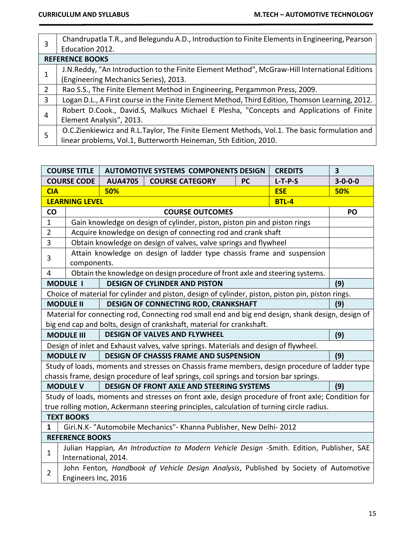| 3 | Chandrupatla T.R., and Belegundu A.D., Introduction to Finite Elements in Engineering, Pearson  |
|---|-------------------------------------------------------------------------------------------------|
|   | Education 2012.                                                                                 |
|   | <b>REFERENCE BOOKS</b>                                                                          |
| 1 | J.N.Reddy, "An Introduction to the Finite Element Method", McGraw-Hill International Editions   |
|   | (Engineering Mechanics Series), 2013.                                                           |
| 2 | Rao S.S., The Finite Element Method in Engineering, Pergammon Press, 2009.                      |
| 3 | Logan D.L., A First course in the Finite Element Method, Third Edition, Thomson Learning, 2012. |
| 4 | Robert D.Cook., David.S, Malkucs Michael E Plesha, "Concepts and Applications of Finite         |
|   | Element Analysis", 2013.                                                                        |
|   | O.C.Zienkiewicz and R.L.Taylor, The Finite Element Methods, Vol.1. The basic formulation and    |
| 5 | linear problems, Vol.1, Butterworth Heineman, 5th Edition, 2010.                                |

|                | <b>COURSE TITLE</b>                                                                                              | <b>AUTOMOTIVE SYSTEMS COMPONENTS DESIGN</b><br><b>CREDITS</b>      |                                                                                                   |                 | 3            |     |
|----------------|------------------------------------------------------------------------------------------------------------------|--------------------------------------------------------------------|---------------------------------------------------------------------------------------------------|-----------------|--------------|-----|
|                | <b>COURSE CODE</b>                                                                                               | <b>PC</b><br>$L-T-P-S$<br><b>AUA4705</b><br><b>COURSE CATEGORY</b> |                                                                                                   | $3 - 0 - 0 - 0$ |              |     |
| <b>CIA</b>     |                                                                                                                  | 50%                                                                |                                                                                                   |                 | <b>ESE</b>   | 50% |
|                | <b>LEARNING LEVEL</b>                                                                                            |                                                                    |                                                                                                   |                 | <b>BTL-4</b> |     |
| CO             |                                                                                                                  |                                                                    | <b>COURSE OUTCOMES</b>                                                                            |                 |              | PO  |
| 1              |                                                                                                                  |                                                                    | Gain knowledge on design of cylinder, piston, piston pin and piston rings                         |                 |              |     |
| $\overline{2}$ |                                                                                                                  |                                                                    | Acquire knowledge on design of connecting rod and crank shaft                                     |                 |              |     |
| 3              |                                                                                                                  |                                                                    | Obtain knowledge on design of valves, valve springs and flywheel                                  |                 |              |     |
| 3              | components.                                                                                                      |                                                                    | Attain knowledge on design of ladder type chassis frame and suspension                            |                 |              |     |
| 4              |                                                                                                                  |                                                                    | Obtain the knowledge on design procedure of front axle and steering systems.                      |                 |              |     |
|                | <b>MODULE I</b>                                                                                                  |                                                                    | <b>DESIGN OF CYLINDER AND PISTON</b>                                                              |                 |              | (9) |
|                |                                                                                                                  |                                                                    | Choice of material for cylinder and piston, design of cylinder, piston, piston pin, piston rings. |                 |              |     |
|                | <b>MODULE II</b>                                                                                                 |                                                                    | DESIGN OF CONNECTING ROD, CRANKSHAFT                                                              |                 |              | (9) |
|                |                                                                                                                  |                                                                    | Material for connecting rod, Connecting rod small end and big end design, shank design, design of |                 |              |     |
|                |                                                                                                                  |                                                                    | big end cap and bolts, design of crankshaft, material for crankshaft.                             |                 |              |     |
|                | <b>MODULE III</b>                                                                                                |                                                                    | <b>DESIGN OF VALVES AND FLYWHEEL</b>                                                              |                 |              | (9) |
|                |                                                                                                                  |                                                                    | Design of inlet and Exhaust valves, valve springs. Materials and design of flywheel.              |                 |              |     |
|                | <b>MODULE IV</b>                                                                                                 |                                                                    | <b>DESIGN OF CHASSIS FRAME AND SUSPENSION</b>                                                     |                 |              | (9) |
|                |                                                                                                                  |                                                                    | Study of loads, moments and stresses on Chassis frame members, design procedure of ladder type    |                 |              |     |
|                |                                                                                                                  |                                                                    | chassis frame, design procedure of leaf springs, coil springs and torsion bar springs.            |                 |              |     |
|                | <b>MODULE V</b>                                                                                                  |                                                                    | <b>DESIGN OF FRONT AXLE AND STEERING SYSTEMS</b>                                                  |                 |              | (9) |
|                |                                                                                                                  |                                                                    | Study of loads, moments and stresses on front axle, design procedure of front axle; Condition for |                 |              |     |
|                |                                                                                                                  |                                                                    | true rolling motion, Ackermann steering principles, calculation of turning circle radius.         |                 |              |     |
|                | <b>TEXT BOOKS</b>                                                                                                |                                                                    |                                                                                                   |                 |              |     |
| $\mathbf{1}$   | Giri.N.K- "Automobile Mechanics"- Khanna Publisher, New Delhi-2012                                               |                                                                    |                                                                                                   |                 |              |     |
|                | <b>REFERENCE BOOKS</b>                                                                                           |                                                                    |                                                                                                   |                 |              |     |
| $\mathbf{1}$   | Julian Happian, An Introduction to Modern Vehicle Design -Smith. Edition, Publisher, SAE<br>International, 2014. |                                                                    |                                                                                                   |                 |              |     |
|                |                                                                                                                  |                                                                    | John Fenton, Handbook of Vehicle Design Analysis, Published by Society of Automotive              |                 |              |     |
| $\overline{2}$ | Engineers Inc, 2016                                                                                              |                                                                    |                                                                                                   |                 |              |     |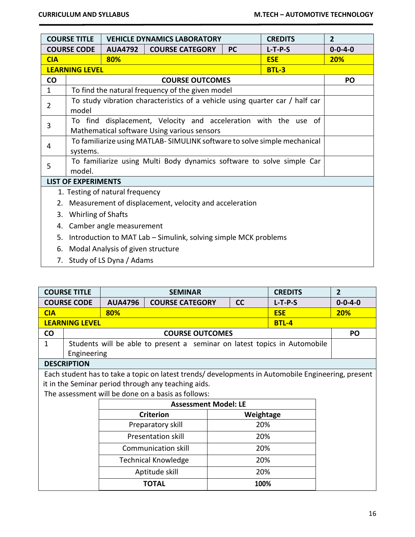|                                      | <b>COURSE TITLE</b><br><b>VEHICLE DYNAMICS LABORATORY</b><br><b>CREDITS</b> |                                   |                                                                              |           | $\overline{2}$ |                 |
|--------------------------------------|-----------------------------------------------------------------------------|-----------------------------------|------------------------------------------------------------------------------|-----------|----------------|-----------------|
| <b>COURSE CODE</b><br><b>AUA4792</b> |                                                                             |                                   | <b>COURSE CATEGORY</b>                                                       | <b>PC</b> | $L-T-P-S$      | $0 - 0 - 4 - 0$ |
| <b>CIA</b>                           |                                                                             | 80%                               |                                                                              |           | <b>ESE</b>     | 20%             |
|                                      | <b>LEARNING LEVEL</b>                                                       |                                   |                                                                              |           | <b>BTL-3</b>   |                 |
| co                                   |                                                                             |                                   | <b>COURSE OUTCOMES</b>                                                       |           |                | <b>PO</b>       |
| $\mathbf{1}$                         |                                                                             |                                   | To find the natural frequency of the given model                             |           |                |                 |
| $\overline{2}$                       |                                                                             |                                   | To study vibration characteristics of a vehicle using quarter car / half car |           |                |                 |
|                                      | model                                                                       |                                   |                                                                              |           |                |                 |
| 3                                    |                                                                             |                                   | To find displacement, Velocity and acceleration with the use of              |           |                |                 |
|                                      |                                                                             |                                   | Mathematical software Using various sensors                                  |           |                |                 |
| 4                                    | To familiarize using MATLAB-SIMULINK software to solve simple mechanical    |                                   |                                                                              |           |                |                 |
|                                      | systems.                                                                    |                                   |                                                                              |           |                |                 |
| 5                                    |                                                                             |                                   | To familiarize using Multi Body dynamics software to solve simple Car        |           |                |                 |
|                                      | model.                                                                      |                                   |                                                                              |           |                |                 |
|                                      | <b>LIST OF EXPERIMENTS</b>                                                  |                                   |                                                                              |           |                |                 |
|                                      |                                                                             | 1. Testing of natural frequency   |                                                                              |           |                |                 |
| 2.                                   |                                                                             |                                   | Measurement of displacement, velocity and acceleration                       |           |                |                 |
| 3.                                   | <b>Whirling of Shafts</b>                                                   |                                   |                                                                              |           |                |                 |
| 4.                                   | Camber angle measurement                                                    |                                   |                                                                              |           |                |                 |
| 5.                                   |                                                                             |                                   | Introduction to MAT Lab - Simulink, solving simple MCK problems              |           |                |                 |
| 6.                                   |                                                                             | Modal Analysis of given structure |                                                                              |           |                |                 |
| 7.                                   |                                                                             | Study of LS Dyna / Adams          |                                                                              |           |                |                 |

|              | <b>COURSE TITLE</b>                                                               |     | <b>SEMINAR</b>                                                                                    | <b>CREDITS</b> |                 |              | $\overline{2}$ |
|--------------|-----------------------------------------------------------------------------------|-----|---------------------------------------------------------------------------------------------------|----------------|-----------------|--------------|----------------|
|              | <b>COURSE CODE</b><br><b>AUA4796</b><br><b>COURSE CATEGORY</b><br>cc<br>$L-T-P-S$ |     |                                                                                                   |                | $0 - 0 - 4 - 0$ |              |                |
| <b>CIA</b>   |                                                                                   | 80% |                                                                                                   |                |                 | <b>ESE</b>   | <b>20%</b>     |
|              | <b>LEARNING LEVEL</b>                                                             |     |                                                                                                   |                |                 | <b>BTL-4</b> |                |
| <b>CO</b>    | <b>COURSE OUTCOMES</b>                                                            |     |                                                                                                   |                |                 |              |                |
| $\mathbf{1}$ |                                                                                   |     | Students will be able to present a seminar on latest topics in Automobile                         |                |                 |              |                |
|              | Engineering                                                                       |     |                                                                                                   |                |                 |              |                |
|              | <b>DESCRIPTION</b>                                                                |     |                                                                                                   |                |                 |              |                |
|              |                                                                                   |     | Each student has to take a topic on latest trends/developments in Automobile Engineering, present |                |                 |              |                |
|              |                                                                                   |     | it in the Seminar period through any teaching aids.                                               |                |                 |              |                |
|              |                                                                                   |     | The assessment will be done on a basis as follows:                                                |                |                 |              |                |
|              |                                                                                   |     | <b>Assessment Model: LE</b>                                                                       |                |                 |              |                |
|              |                                                                                   |     | <b>Criterion</b>                                                                                  |                | Weightage       |              |                |
|              |                                                                                   |     | Preparatory skill                                                                                 |                | 20%             |              |                |
|              |                                                                                   |     | <b>Presentation skill</b>                                                                         |                | 20%             |              |                |
|              | Communication skill<br>20%                                                        |     |                                                                                                   |                |                 |              |                |
|              | 20%<br><b>Technical Knowledge</b>                                                 |     |                                                                                                   |                |                 |              |                |
|              | Aptitude skill<br>20%                                                             |     |                                                                                                   |                |                 |              |                |
|              |                                                                                   |     | <b>TOTAL</b>                                                                                      |                | 100%            |              |                |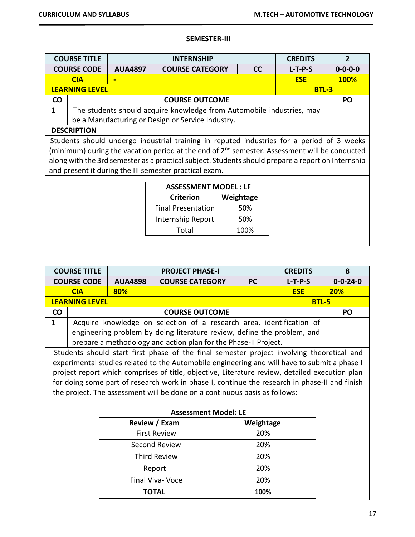## **SEMESTER-III**

|           | <b>COURSE TITLE</b>         |                | <b>INTERNSHIP</b>                                                                                         |  |           | <b>CREDITS</b> | $\overline{2}$  |
|-----------|-----------------------------|----------------|-----------------------------------------------------------------------------------------------------------|--|-----------|----------------|-----------------|
|           | <b>COURSE CODE</b>          | <b>AUA4897</b> | <b>COURSE CATEGORY</b>                                                                                    |  | cc        | $L-T-P-S$      | $0 - 0 - 0 - 0$ |
|           | <b>ESE</b><br><b>CIA</b>    |                |                                                                                                           |  |           | <b>100%</b>    |                 |
|           | <b>LEARNING LEVEL</b>       |                |                                                                                                           |  |           | <b>BTL-3</b>   |                 |
| <b>CO</b> |                             |                | <b>COURSE OUTCOME</b>                                                                                     |  |           |                | <b>PO</b>       |
| 1         |                             |                | The students should acquire knowledge from Automobile industries, may                                     |  |           |                |                 |
|           |                             |                | be a Manufacturing or Design or Service Industry.                                                         |  |           |                |                 |
|           | <b>DESCRIPTION</b>          |                |                                                                                                           |  |           |                |                 |
|           |                             |                | Students should undergo industrial training in reputed industries for a period of 3 weeks                 |  |           |                |                 |
|           |                             |                | (minimum) during the vacation period at the end of 2 <sup>nd</sup> semester. Assessment will be conducted |  |           |                |                 |
|           |                             |                | along with the 3rd semester as a practical subject. Students should prepare a report on Internship        |  |           |                |                 |
|           |                             |                | and present it during the III semester practical exam.                                                    |  |           |                |                 |
|           |                             |                |                                                                                                           |  |           |                |                 |
|           | <b>ASSESSMENT MODEL: LF</b> |                |                                                                                                           |  |           |                |                 |
|           |                             |                | <b>Criterion</b>                                                                                          |  | Weightage |                |                 |
|           |                             |                | <b>Final Presentation</b>                                                                                 |  | 50%       |                |                 |
|           |                             |                | Internship Report                                                                                         |  | 50%       |                |                 |

Total 100%

|              | <b>COURSE TITLE</b>        |                | <b>PROJECT PHASE-I</b>                                                                         |           | <b>CREDITS</b> | 8                |  |  |
|--------------|----------------------------|----------------|------------------------------------------------------------------------------------------------|-----------|----------------|------------------|--|--|
|              | <b>COURSE CODE</b>         | <b>AUA4898</b> | <b>COURSE CATEGORY</b>                                                                         | <b>PC</b> | $L-T-P-S$      | $0 - 0 - 24 - 0$ |  |  |
|              | <b>CIA</b>                 | 80%            |                                                                                                |           | <b>ESE</b>     | 20%              |  |  |
|              | <b>LEARNING LEVEL</b>      |                |                                                                                                |           | <b>BTL-5</b>   |                  |  |  |
| <b>CO</b>    |                            |                | <b>COURSE OUTCOME</b>                                                                          |           |                | <b>PO</b>        |  |  |
| $\mathbf{1}$ |                            |                | Acquire knowledge on selection of a research area, identification of                           |           |                |                  |  |  |
|              |                            |                | engineering problem by doing literature review, define the problem, and                        |           |                |                  |  |  |
|              |                            |                | prepare a methodology and action plan for the Phase-II Project.                                |           |                |                  |  |  |
|              |                            |                | Students should start first phase of the final semester project involving theoretical and      |           |                |                  |  |  |
|              |                            |                | experimental studies related to the Automobile engineering and will have to submit a phase I   |           |                |                  |  |  |
|              |                            |                | project report which comprises of title, objective, Literature review, detailed execution plan |           |                |                  |  |  |
|              |                            |                | for doing some part of research work in phase I, continue the research in phase-II and finish  |           |                |                  |  |  |
|              |                            |                | the project. The assessment will be done on a continuous basis as follows:                     |           |                |                  |  |  |
|              |                            |                |                                                                                                |           |                |                  |  |  |
|              |                            |                | <b>Assessment Model: LE</b>                                                                    |           |                |                  |  |  |
|              |                            |                | Review / Exam                                                                                  | Weightage |                |                  |  |  |
|              |                            |                | <b>First Review</b>                                                                            | 20%       |                |                  |  |  |
|              | Second Review<br>20%       |                |                                                                                                |           |                |                  |  |  |
|              | <b>Third Review</b><br>20% |                |                                                                                                |           |                |                  |  |  |
|              | 20%<br>Report              |                |                                                                                                |           |                |                  |  |  |
|              |                            |                | <b>Final Viva- Voce</b>                                                                        | 20%       |                |                  |  |  |
|              |                            |                | <b>TOTAL</b>                                                                                   | 100%      |                |                  |  |  |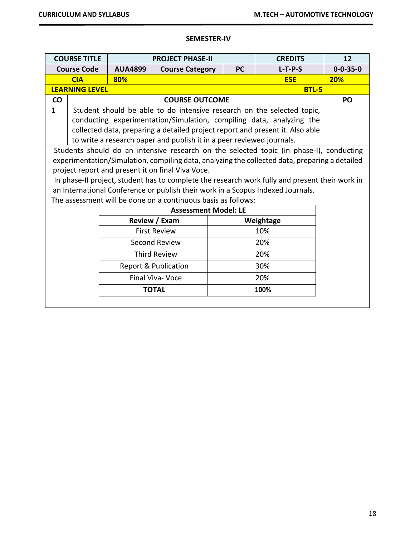## **SEMESTER-IV**

|           | <b>COURSE TITLE</b>         |                | <b>PROJECT PHASE-II</b><br><b>CREDITS</b>                                                      |           |              |                  |  |
|-----------|-----------------------------|----------------|------------------------------------------------------------------------------------------------|-----------|--------------|------------------|--|
|           | <b>Course Code</b>          | <b>AUA4899</b> | <b>Course Category</b>                                                                         | <b>PC</b> | $L-T-P-S$    | $0 - 0 - 35 - 0$ |  |
|           | <b>CIA</b>                  | 80%            |                                                                                                |           | <b>ESE</b>   | 20%              |  |
|           | <b>LEARNING LEVEL</b>       |                |                                                                                                |           | <b>BTL-5</b> |                  |  |
| <b>CO</b> |                             |                | <b>COURSE OUTCOME</b>                                                                          |           |              | PO               |  |
| 1         |                             |                | Student should be able to do intensive research on the selected topic,                         |           |              |                  |  |
|           |                             |                | conducting experimentation/Simulation, compiling data, analyzing the                           |           |              |                  |  |
|           |                             |                | collected data, preparing a detailed project report and present it. Also able                  |           |              |                  |  |
|           |                             |                | to write a research paper and publish it in a peer reviewed journals.                          |           |              |                  |  |
|           |                             |                | Students should do an intensive research on the selected topic (in phase-I), conducting        |           |              |                  |  |
|           |                             |                | experimentation/Simulation, compiling data, analyzing the collected data, preparing a detailed |           |              |                  |  |
|           |                             |                | project report and present it on final Viva Voce.                                              |           |              |                  |  |
|           |                             |                | In phase-II project, student has to complete the research work fully and present their work in |           |              |                  |  |
|           |                             |                | an International Conference or publish their work in a Scopus Indexed Journals.                |           |              |                  |  |
|           |                             |                | The assessment will be done on a continuous basis as follows:                                  |           |              |                  |  |
|           |                             |                | <b>Assessment Model: LE</b>                                                                    |           |              |                  |  |
|           |                             |                | Review / Exam                                                                                  |           | Weightage    |                  |  |
|           |                             |                | <b>First Review</b>                                                                            |           | 10%          |                  |  |
|           |                             |                | Second Review                                                                                  |           | 20%          |                  |  |
|           | <b>Third Review</b><br>20%  |                |                                                                                                |           |              |                  |  |
|           | 30%<br>Report & Publication |                |                                                                                                |           |              |                  |  |
|           |                             |                | Final Viva- Voce                                                                               |           | 20%          |                  |  |
|           |                             |                | <b>TOTAL</b>                                                                                   |           | 100%         |                  |  |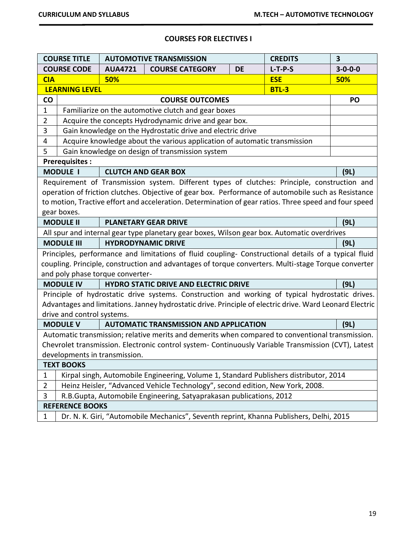## **COURSES FOR ELECTIVES I**

|                               | 3<br><b>COURSE TITLE</b><br><b>CREDITS</b><br><b>AUTOMOTIVE TRANSMISSION</b>                        |                                  |                                                                                                          |  |                 |      |
|-------------------------------|-----------------------------------------------------------------------------------------------------|----------------------------------|----------------------------------------------------------------------------------------------------------|--|-----------------|------|
|                               | <b>COURSE CODE</b>                                                                                  | <b>AUA4721</b>                   | $L-T-P-S$<br><b>COURSE CATEGORY</b><br><b>DE</b>                                                         |  | $3 - 0 - 0 - 0$ |      |
| <b>CIA</b>                    |                                                                                                     | 50%                              |                                                                                                          |  | <b>ESE</b>      | 50%  |
|                               | <b>LEARNING LEVEL</b>                                                                               |                                  |                                                                                                          |  | <b>BTL-3</b>    |      |
| <b>CO</b>                     |                                                                                                     |                                  | <b>COURSE OUTCOMES</b>                                                                                   |  |                 | PO   |
| $\mathbf{1}$                  |                                                                                                     |                                  | Familiarize on the automotive clutch and gear boxes                                                      |  |                 |      |
| $\overline{2}$                |                                                                                                     |                                  | Acquire the concepts Hydrodynamic drive and gear box.                                                    |  |                 |      |
| 3                             |                                                                                                     |                                  | Gain knowledge on the Hydrostatic drive and electric drive                                               |  |                 |      |
| 4                             |                                                                                                     |                                  | Acquire knowledge about the various application of automatic transmission                                |  |                 |      |
| 5                             |                                                                                                     |                                  | Gain knowledge on design of transmission system                                                          |  |                 |      |
|                               | <b>Prerequisites:</b>                                                                               |                                  |                                                                                                          |  |                 |      |
|                               | <b>MODULE I</b>                                                                                     |                                  | <b>CLUTCH AND GEAR BOX</b>                                                                               |  |                 | (9L) |
|                               |                                                                                                     |                                  | Requirement of Transmission system. Different types of clutches: Principle, construction and             |  |                 |      |
|                               |                                                                                                     |                                  | operation of friction clutches. Objective of gear box. Performance of automobile such as Resistance      |  |                 |      |
|                               |                                                                                                     |                                  | to motion, Tractive effort and acceleration. Determination of gear ratios. Three speed and four speed    |  |                 |      |
|                               | gear boxes.                                                                                         |                                  |                                                                                                          |  |                 |      |
|                               | <b>MODULE II</b>                                                                                    |                                  | <b>PLANETARY GEAR DRIVE</b>                                                                              |  |                 | (9L) |
|                               |                                                                                                     |                                  | All spur and internal gear type planetary gear boxes, Wilson gear box. Automatic overdrives              |  |                 |      |
|                               | <b>MODULE III</b>                                                                                   |                                  | <b>HYDRODYNAMIC DRIVE</b>                                                                                |  |                 | (9L) |
|                               |                                                                                                     |                                  | Principles, performance and limitations of fluid coupling- Constructional details of a typical fluid     |  |                 |      |
|                               |                                                                                                     |                                  | coupling. Principle, construction and advantages of torque converters. Multi-stage Torque converter      |  |                 |      |
|                               |                                                                                                     | and poly phase torque converter- |                                                                                                          |  |                 |      |
|                               | <b>MODULE IV</b>                                                                                    |                                  | <b>HYDRO STATIC DRIVE AND ELECTRIC DRIVE</b>                                                             |  |                 | (9L) |
|                               |                                                                                                     |                                  | Principle of hydrostatic drive systems. Construction and working of typical hydrostatic drives.          |  |                 |      |
|                               |                                                                                                     |                                  | Advantages and limitations. Janney hydrostatic drive. Principle of electric drive. Ward Leonard Electric |  |                 |      |
|                               | drive and control systems.                                                                          |                                  |                                                                                                          |  |                 |      |
|                               | <b>MODULE V</b>                                                                                     |                                  | <b>AUTOMATIC TRANSMISSION AND APPLICATION</b>                                                            |  |                 | (9L) |
|                               |                                                                                                     |                                  | Automatic transmission; relative merits and demerits when compared to conventional transmission.         |  |                 |      |
|                               | Chevrolet transmission. Electronic control system- Continuously Variable Transmission (CVT), Latest |                                  |                                                                                                          |  |                 |      |
| developments in transmission. |                                                                                                     |                                  |                                                                                                          |  |                 |      |
| <b>TEXT BOOKS</b>             |                                                                                                     |                                  |                                                                                                          |  |                 |      |
| $\mathbf{1}$                  |                                                                                                     |                                  | Kirpal singh, Automobile Engineering, Volume 1, Standard Publishers distributor, 2014                    |  |                 |      |
| $\overline{2}$                |                                                                                                     |                                  | Heinz Heisler, "Advanced Vehicle Technology", second edition, New York, 2008.                            |  |                 |      |
| 3                             |                                                                                                     |                                  | R.B.Gupta, Automobile Engineering, Satyaprakasan publications, 2012                                      |  |                 |      |
|                               | <b>REFERENCE BOOKS</b>                                                                              |                                  |                                                                                                          |  |                 |      |
| $\mathbf{1}$                  |                                                                                                     |                                  | Dr. N. K. Giri, "Automobile Mechanics", Seventh reprint, Khanna Publishers, Delhi, 2015                  |  |                 |      |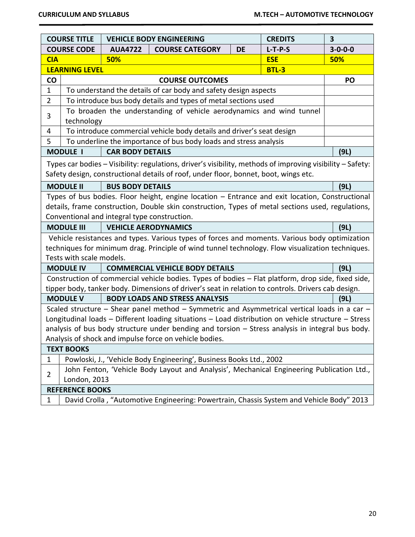|                 | <b>COURSE TITLE</b>                                                                                       |                                              | <b>VEHICLE BODY ENGINEERING</b>                                                                                                                                                                      |           | <b>CREDITS</b> | $\overline{\mathbf{3}}$ |
|-----------------|-----------------------------------------------------------------------------------------------------------|----------------------------------------------|------------------------------------------------------------------------------------------------------------------------------------------------------------------------------------------------------|-----------|----------------|-------------------------|
|                 | <b>COURSE CODE</b>                                                                                        | <b>AUA4722</b>                               | <b>COURSE CATEGORY</b>                                                                                                                                                                               | <b>DE</b> | $L-T-P-S$      | $3 - 0 - 0 - 0$         |
| <b>CIA</b>      | <b>ESE</b><br>50%                                                                                         |                                              |                                                                                                                                                                                                      |           |                | 50%                     |
|                 | <b>LEARNING LEVEL</b>                                                                                     |                                              |                                                                                                                                                                                                      |           | <b>BTL-3</b>   |                         |
| $\mathsf{co}\,$ |                                                                                                           |                                              | <b>COURSE OUTCOMES</b>                                                                                                                                                                               |           |                | PO                      |
| $\mathbf 1$     |                                                                                                           |                                              | To understand the details of car body and safety design aspects                                                                                                                                      |           |                |                         |
| $\overline{2}$  |                                                                                                           |                                              | To introduce bus body details and types of metal sections used                                                                                                                                       |           |                |                         |
| 3               | technology                                                                                                |                                              | To broaden the understanding of vehicle aerodynamics and wind tunnel                                                                                                                                 |           |                |                         |
| $\overline{4}$  |                                                                                                           |                                              | To introduce commercial vehicle body details and driver's seat design                                                                                                                                |           |                |                         |
| 5               |                                                                                                           |                                              | To underline the importance of bus body loads and stress analysis                                                                                                                                    |           |                |                         |
|                 | <b>MODULE I</b>                                                                                           | <b>CAR BODY DETAILS</b>                      |                                                                                                                                                                                                      |           |                | (9L)                    |
|                 |                                                                                                           |                                              | Types car bodies - Visibility: regulations, driver's visibility, methods of improving visibility - Safety:<br>Safety design, constructional details of roof, under floor, bonnet, boot, wings etc.   |           |                |                         |
|                 | <b>MODULE II</b>                                                                                          | <b>BUS BODY DETAILS</b>                      |                                                                                                                                                                                                      |           |                | (9L)                    |
|                 |                                                                                                           | Conventional and integral type construction. | Types of bus bodies. Floor height, engine location - Entrance and exit location, Constructional<br>details, frame construction, Double skin construction, Types of metal sections used, regulations, |           |                |                         |
|                 | <b>MODULE III</b>                                                                                         |                                              | <b>VEHICLE AERODYNAMICS</b>                                                                                                                                                                          |           |                | (9L)                    |
|                 |                                                                                                           |                                              | Vehicle resistances and types. Various types of forces and moments. Various body optimization                                                                                                        |           |                |                         |
|                 |                                                                                                           |                                              | techniques for minimum drag. Principle of wind tunnel technology. Flow visualization techniques.                                                                                                     |           |                |                         |
|                 | Tests with scale models.                                                                                  |                                              |                                                                                                                                                                                                      |           |                |                         |
|                 | <b>MODULE IV</b>                                                                                          |                                              | <b>COMMERCIAL VEHICLE BODY DETAILS</b>                                                                                                                                                               |           |                | (9L)                    |
|                 |                                                                                                           |                                              | Construction of commercial vehicle bodies. Types of bodies - Flat platform, drop side, fixed side,                                                                                                   |           |                |                         |
|                 |                                                                                                           |                                              | tipper body, tanker body. Dimensions of driver's seat in relation to controls. Drivers cab design.                                                                                                   |           |                |                         |
|                 | <b>MODULE V</b>                                                                                           |                                              | <b>BODY LOADS AND STRESS ANALYSIS</b>                                                                                                                                                                |           |                | (9L)                    |
|                 |                                                                                                           |                                              | Scaled structure - Shear panel method - Symmetric and Asymmetrical vertical loads in a car -                                                                                                         |           |                |                         |
|                 | Longitudinal loads - Different loading situations - Load distribution on vehicle structure - Stress       |                                              |                                                                                                                                                                                                      |           |                |                         |
|                 | analysis of bus body structure under bending and torsion - Stress analysis in integral bus body.          |                                              |                                                                                                                                                                                                      |           |                |                         |
|                 | Analysis of shock and impulse force on vehicle bodies.<br><b>TEXT BOOKS</b>                               |                                              |                                                                                                                                                                                                      |           |                |                         |
|                 |                                                                                                           |                                              |                                                                                                                                                                                                      |           |                |                         |
| 1               |                                                                                                           |                                              | Powloski, J., 'Vehicle Body Engineering', Business Books Ltd., 2002                                                                                                                                  |           |                |                         |
| $\overline{2}$  | John Fenton, 'Vehicle Body Layout and Analysis', Mechanical Engineering Publication Ltd.,<br>London, 2013 |                                              |                                                                                                                                                                                                      |           |                |                         |
|                 | <b>REFERENCE BOOKS</b>                                                                                    |                                              |                                                                                                                                                                                                      |           |                |                         |
| $\mathbf{1}$    | David Crolla, "Automotive Engineering: Powertrain, Chassis System and Vehicle Body" 2013                  |                                              |                                                                                                                                                                                                      |           |                |                         |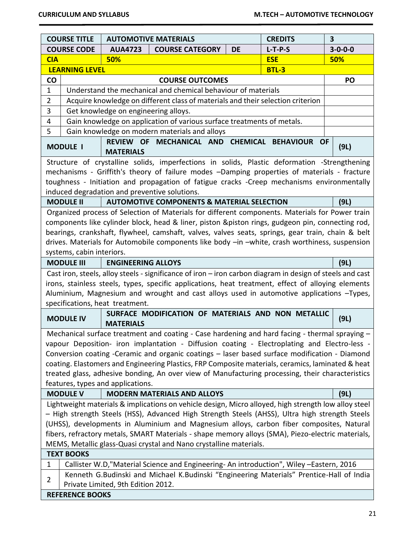|                 | <b>COURSE TITLE</b><br><b>AUTOMOTIVE MATERIALS</b><br><b>CREDITS</b><br>$\overline{\mathbf{3}}$   |                                                                                                                                |              |                 |  |  |
|-----------------|---------------------------------------------------------------------------------------------------|--------------------------------------------------------------------------------------------------------------------------------|--------------|-----------------|--|--|
|                 | <b>COURSE CODE</b>                                                                                | <b>COURSE CATEGORY</b><br><b>AUA4723</b><br><b>DE</b>                                                                          | $L-T-P-S$    | $3 - 0 - 0 - 0$ |  |  |
| <b>CIA</b>      | 50%<br><b>ESE</b>                                                                                 |                                                                                                                                |              |                 |  |  |
|                 | <b>LEARNING LEVEL</b>                                                                             |                                                                                                                                | <b>BTL-3</b> |                 |  |  |
| $\mathsf{co}\,$ |                                                                                                   | <b>COURSE OUTCOMES</b>                                                                                                         |              | PO              |  |  |
| $\mathbf{1}$    |                                                                                                   | Understand the mechanical and chemical behaviour of materials                                                                  |              |                 |  |  |
| $\overline{2}$  |                                                                                                   | Acquire knowledge on different class of materials and their selection criterion                                                |              |                 |  |  |
| 3               |                                                                                                   | Get knowledge on engineering alloys.                                                                                           |              |                 |  |  |
| 4               |                                                                                                   | Gain knowledge on application of various surface treatments of metals.                                                         |              |                 |  |  |
| 5               |                                                                                                   | Gain knowledge on modern materials and alloys                                                                                  |              |                 |  |  |
|                 | <b>MODULE I</b>                                                                                   | REVIEW OF MECHANICAL AND CHEMICAL BEHAVIOUR OF                                                                                 |              | (9L)            |  |  |
|                 |                                                                                                   | <b>MATERIALS</b>                                                                                                               |              |                 |  |  |
|                 |                                                                                                   | Structure of crystalline solids, imperfections in solids, Plastic deformation -Strengthening                                   |              |                 |  |  |
|                 |                                                                                                   | mechanisms - Griffith's theory of failure modes -Damping properties of materials - fracture                                    |              |                 |  |  |
|                 |                                                                                                   | toughness - Initiation and propagation of fatigue cracks -Creep mechanisms environmentally                                     |              |                 |  |  |
|                 |                                                                                                   | induced degradation and preventive solutions.                                                                                  |              |                 |  |  |
|                 | <b>MODULE II</b>                                                                                  | <b>AUTOMOTIVE COMPONENTS &amp; MATERIAL SELECTION</b>                                                                          |              | (9L)            |  |  |
|                 |                                                                                                   | Organized process of Selection of Materials for different components. Materials for Power train                                |              |                 |  |  |
|                 |                                                                                                   | components like cylinder block, head & liner, piston &piston rings, gudgeon pin, connecting rod,                               |              |                 |  |  |
|                 |                                                                                                   | bearings, crankshaft, flywheel, camshaft, valves, valves seats, springs, gear train, chain & belt                              |              |                 |  |  |
|                 | systems, cabin interiors.                                                                         | drives. Materials for Automobile components like body -in -white, crash worthiness, suspension                                 |              |                 |  |  |
|                 | <b>MODULE III</b>                                                                                 | <b>ENGINEERING ALLOYS</b>                                                                                                      |              | (9L)            |  |  |
|                 |                                                                                                   | Cast iron, steels, alloy steels - significance of iron - iron carbon diagram in design of steels and cast                      |              |                 |  |  |
|                 |                                                                                                   | irons, stainless steels, types, specific applications, heat treatment, effect of alloying elements                             |              |                 |  |  |
|                 |                                                                                                   | Aluminium, Magnesium and wrought and cast alloys used in automotive applications -Types,                                       |              |                 |  |  |
|                 |                                                                                                   | specifications, heat treatment.                                                                                                |              |                 |  |  |
|                 |                                                                                                   | SURFACE MODIFICATION OF MATERIALS AND NON METALLIC                                                                             |              |                 |  |  |
|                 | <b>MODULE IV</b>                                                                                  | <b>MATERIALS</b>                                                                                                               |              | (9L)            |  |  |
|                 |                                                                                                   | Mechanical surface treatment and coating - Case hardening and hard facing - thermal spraying -                                 |              |                 |  |  |
|                 |                                                                                                   | vapour Deposition- iron implantation - Diffusion coating - Electroplating and Electro-less -                                   |              |                 |  |  |
|                 |                                                                                                   | Conversion coating -Ceramic and organic coatings - laser based surface modification - Diamond                                  |              |                 |  |  |
|                 |                                                                                                   | coating. Elastomers and Engineering Plastics, FRP Composite materials, ceramics, laminated & heat                              |              |                 |  |  |
|                 |                                                                                                   | treated glass, adhesive bonding, An over view of Manufacturing processing, their characteristics                               |              |                 |  |  |
|                 | features, types and applications.                                                                 |                                                                                                                                |              |                 |  |  |
|                 | <b>MODULE V</b>                                                                                   | <b>MODERN MATERIALS AND ALLOYS</b>                                                                                             |              | (9L)            |  |  |
|                 |                                                                                                   | Lightweight materials & implications on vehicle design, Micro alloyed, high strength low alloy steel                           |              |                 |  |  |
|                 | - High strength Steels (HSS), Advanced High Strength Steels (AHSS), Ultra high strength Steels    |                                                                                                                                |              |                 |  |  |
|                 | (UHSS), developments in Aluminium and Magnesium alloys, carbon fiber composites, Natural          |                                                                                                                                |              |                 |  |  |
|                 | fibers, refractory metals, SMART Materials - shape memory alloys (SMA), Piezo-electric materials, |                                                                                                                                |              |                 |  |  |
|                 | MEMS, Metallic glass-Quasi crystal and Nano crystalline materials.<br><b>TEXT BOOKS</b>           |                                                                                                                                |              |                 |  |  |
|                 |                                                                                                   |                                                                                                                                |              |                 |  |  |
| $\mathbf{1}$    |                                                                                                   | Callister W.D, "Material Science and Engineering-An introduction", Wiley -Eastern, 2016                                        |              |                 |  |  |
| $\overline{2}$  |                                                                                                   | Kenneth G.Budinski and Michael K.Budinski "Engineering Materials" Prentice-Hall of India<br>Private Limited, 9th Edition 2012. |              |                 |  |  |
|                 | <b>REFERENCE BOOKS</b>                                                                            |                                                                                                                                |              |                 |  |  |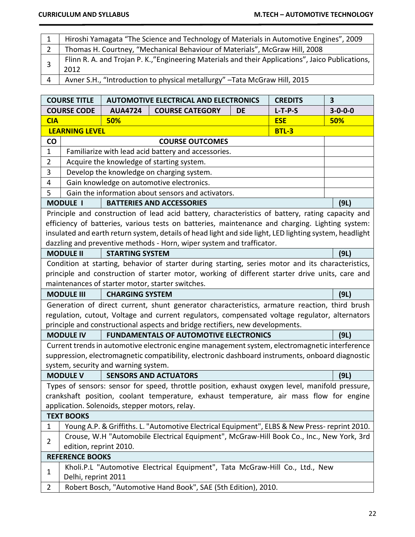| Hiroshi Yamagata "The Science and Technology of Materials in Automotive Engines", 2009                   |
|----------------------------------------------------------------------------------------------------------|
| Thomas H. Courtney, "Mechanical Behaviour of Materials", McGraw Hill, 2008                               |
| Flinn R. A. and Trojan P. K.,"Engineering Materials and their Applications", Jaico Publications,<br>2012 |
| Avner S.H., "Introduction to physical metallurgy" - Tata McGraw Hill, 2015                               |

|                                                | <b>COURSE TITLE</b><br><b>CREDITS</b><br><b>AUTOMOTIVE ELECTRICAL AND ELECTRONICS</b>                       |                                      |                                                                                                         | 3  |              |                 |
|------------------------------------------------|-------------------------------------------------------------------------------------------------------------|--------------------------------------|---------------------------------------------------------------------------------------------------------|----|--------------|-----------------|
|                                                | <b>COURSE CODE</b>                                                                                          | <b>AUA4724</b>                       | <b>COURSE CATEGORY</b>                                                                                  | DE | $L-T-P-S$    | $3 - 0 - 0 - 0$ |
| <b>CIA</b>                                     | 50%<br><b>ESE</b>                                                                                           |                                      |                                                                                                         |    | 50%          |                 |
|                                                | <b>LEARNING LEVEL</b>                                                                                       |                                      |                                                                                                         |    | <b>BTL-3</b> |                 |
| $\mathsf{co}$                                  |                                                                                                             |                                      | <b>COURSE OUTCOMES</b>                                                                                  |    |              |                 |
| $\mathbf{1}$                                   |                                                                                                             |                                      | Familiarize with lead acid battery and accessories.                                                     |    |              |                 |
| $\overline{2}$                                 |                                                                                                             |                                      | Acquire the knowledge of starting system.                                                               |    |              |                 |
| 3                                              |                                                                                                             |                                      | Develop the knowledge on charging system.                                                               |    |              |                 |
| 4                                              |                                                                                                             |                                      | Gain knowledge on automotive electronics.                                                               |    |              |                 |
| 5                                              |                                                                                                             |                                      | Gain the information about sensors and activators.                                                      |    |              |                 |
|                                                | <b>MODULE I</b>                                                                                             |                                      | <b>BATTERIES AND ACCESSORIES</b>                                                                        |    |              | (9L)            |
|                                                |                                                                                                             |                                      | Principle and construction of lead acid battery, characteristics of battery, rating capacity and        |    |              |                 |
|                                                |                                                                                                             |                                      | efficiency of batteries, various tests on batteries, maintenance and charging. Lighting system:         |    |              |                 |
|                                                |                                                                                                             |                                      | insulated and earth return system, details of head light and side light, LED lighting system, headlight |    |              |                 |
|                                                |                                                                                                             |                                      | dazzling and preventive methods - Horn, wiper system and trafficator.                                   |    |              |                 |
|                                                | <b>MODULE II</b>                                                                                            | <b>STARTING SYSTEM</b>               |                                                                                                         |    |              | (9L)            |
|                                                |                                                                                                             |                                      | Condition at starting, behavior of starter during starting, series motor and its characteristics,       |    |              |                 |
|                                                |                                                                                                             |                                      | principle and construction of starter motor, working of different starter drive units, care and         |    |              |                 |
|                                                |                                                                                                             |                                      | maintenances of starter motor, starter switches.                                                        |    |              |                 |
|                                                | <b>MODULE III</b>                                                                                           | <b>CHARGING SYSTEM</b>               |                                                                                                         |    |              | (9L)            |
|                                                |                                                                                                             |                                      | Generation of direct current, shunt generator characteristics, armature reaction, third brush           |    |              |                 |
|                                                |                                                                                                             |                                      | regulation, cutout, Voltage and current regulators, compensated voltage regulator, alternators          |    |              |                 |
|                                                |                                                                                                             |                                      | principle and constructional aspects and bridge rectifiers, new developments.                           |    |              |                 |
|                                                | <b>MODULE IV</b>                                                                                            |                                      | <b>FUNDAMENTALS OF AUTOMOTIVE ELECTRONICS</b>                                                           |    |              | (9L)            |
|                                                |                                                                                                             |                                      | Current trends in automotive electronic engine management system, electromagnetic interference          |    |              |                 |
|                                                |                                                                                                             |                                      | suppression, electromagnetic compatibility, electronic dashboard instruments, onboard diagnostic        |    |              |                 |
|                                                |                                                                                                             | system, security and warning system. |                                                                                                         |    |              |                 |
|                                                | <b>MODULE V</b>                                                                                             |                                      | <b>SENSORS AND ACTUATORS</b>                                                                            |    |              | (9L)            |
|                                                | Types of sensors: sensor for speed, throttle position, exhaust oxygen level, manifold pressure,             |                                      |                                                                                                         |    |              |                 |
|                                                | crankshaft position, coolant temperature, exhaust temperature, air mass flow for engine                     |                                      |                                                                                                         |    |              |                 |
| application. Solenoids, stepper motors, relay. |                                                                                                             |                                      |                                                                                                         |    |              |                 |
| <b>TEXT BOOKS</b>                              |                                                                                                             |                                      |                                                                                                         |    |              |                 |
|                                                | Young A.P. & Griffiths. L. "Automotive Electrical Equipment", ELBS & New Press-reprint 2010.<br>$\mathbf 1$ |                                      |                                                                                                         |    |              |                 |
| $\overline{2}$                                 | Crouse, W.H "Automobile Electrical Equipment", McGraw-Hill Book Co., Inc., New York, 3rd                    |                                      |                                                                                                         |    |              |                 |
|                                                | edition, reprint 2010.                                                                                      |                                      |                                                                                                         |    |              |                 |
|                                                | <b>REFERENCE BOOKS</b>                                                                                      |                                      |                                                                                                         |    |              |                 |
| $\mathbf{1}$                                   |                                                                                                             |                                      | Kholi.P.L "Automotive Electrical Equipment", Tata McGraw-Hill Co., Ltd., New                            |    |              |                 |
|                                                | Delhi, reprint 2011                                                                                         |                                      |                                                                                                         |    |              |                 |
|                                                | Robert Bosch, "Automotive Hand Book", SAE (5th Edition), 2010.<br>$\overline{2}$                            |                                      |                                                                                                         |    |              |                 |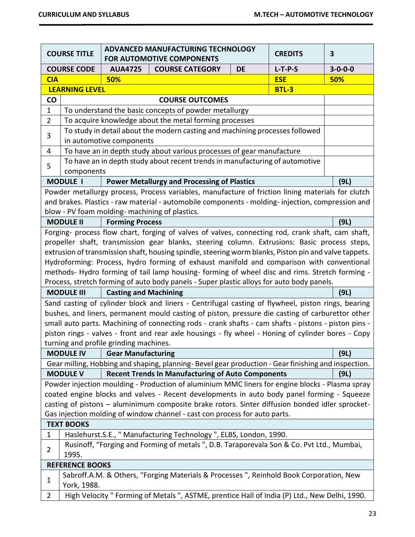|                   | ADVANCED MANUFACTURING TECHNOLOGY<br><b>COURSE TITLE</b><br><b>CREDITS</b><br><b>FOR AUTOMOTIVE COMPONENTS</b> |                                        |                                                                                                                                                                                                        | $\overline{\mathbf{3}}$ |           |                 |
|-------------------|----------------------------------------------------------------------------------------------------------------|----------------------------------------|--------------------------------------------------------------------------------------------------------------------------------------------------------------------------------------------------------|-------------------------|-----------|-----------------|
|                   | <b>COURSE CODE</b>                                                                                             | <b>AUA4725</b>                         | <b>COURSE CATEGORY</b>                                                                                                                                                                                 | <b>DE</b>               | $L-T-P-S$ | $3 - 0 - 0 - 0$ |
| <b>CIA</b>        | 50%<br><b>ESE</b>                                                                                              |                                        |                                                                                                                                                                                                        |                         | 50%       |                 |
|                   | <b>LEARNING LEVEL</b><br><b>BTL-3</b>                                                                          |                                        |                                                                                                                                                                                                        |                         |           |                 |
| $\mathsf{co}\,$   |                                                                                                                |                                        | <b>COURSE OUTCOMES</b>                                                                                                                                                                                 |                         |           |                 |
| $\mathbf 1$       |                                                                                                                |                                        | To understand the basic concepts of powder metallurgy                                                                                                                                                  |                         |           |                 |
| $\overline{2}$    |                                                                                                                |                                        | To acquire knowledge about the metal forming processes                                                                                                                                                 |                         |           |                 |
|                   |                                                                                                                |                                        | To study in detail about the modern casting and machining processes followed                                                                                                                           |                         |           |                 |
| 3                 |                                                                                                                | in automotive components               |                                                                                                                                                                                                        |                         |           |                 |
| $\overline{4}$    |                                                                                                                |                                        | To have an in depth study about various processes of gear manufacture                                                                                                                                  |                         |           |                 |
| 5                 |                                                                                                                |                                        | To have an in depth study about recent trends in manufacturing of automotive                                                                                                                           |                         |           |                 |
|                   | components                                                                                                     |                                        |                                                                                                                                                                                                        |                         |           |                 |
|                   | <b>MODULE I</b>                                                                                                |                                        | <b>Power Metallurgy and Processing of Plastics</b>                                                                                                                                                     |                         |           | (9L)            |
|                   |                                                                                                                |                                        | Powder metallurgy process, Process variables, manufacture of friction lining materials for clutch                                                                                                      |                         |           |                 |
|                   |                                                                                                                |                                        | and brakes. Plastics - raw material - automobile components - molding- injection, compression and                                                                                                      |                         |           |                 |
|                   |                                                                                                                |                                        | blow - PV foam molding- machining of plastics.                                                                                                                                                         |                         |           |                 |
|                   | <b>MODULE II</b>                                                                                               | <b>Forming Process</b>                 |                                                                                                                                                                                                        |                         |           | (9L)            |
|                   |                                                                                                                |                                        | Forging- process flow chart, forging of valves of valves, connecting rod, crank shaft, cam shaft,                                                                                                      |                         |           |                 |
|                   |                                                                                                                |                                        | propeller shaft, transmission gear blanks, steering column. Extrusions: Basic process steps,                                                                                                           |                         |           |                 |
|                   |                                                                                                                |                                        | extrusion of transmission shaft, housing spindle, steering worm blanks, Piston pin and valve tappets.                                                                                                  |                         |           |                 |
|                   |                                                                                                                |                                        | Hydroforming: Process, hydro forming of exhaust manifold and comparison with conventional                                                                                                              |                         |           |                 |
|                   |                                                                                                                |                                        | methods- Hydro forming of tail lamp housing- forming of wheel disc and rims. Stretch forming -                                                                                                         |                         |           |                 |
|                   | <b>MODULE III</b>                                                                                              | <b>Casting and Machining</b>           | Process, stretch forming of auto body panels - Super plastic alloys for auto body panels.                                                                                                              |                         |           | (9L)            |
|                   |                                                                                                                |                                        |                                                                                                                                                                                                        |                         |           |                 |
|                   |                                                                                                                |                                        | Sand casting of cylinder block and liners - Centrifugal casting of flywheel, piston rings, bearing<br>bushes, and liners, permanent mould casting of piston, pressure die casting of carburettor other |                         |           |                 |
|                   |                                                                                                                |                                        | small auto parts. Machining of connecting rods - crank shafts - cam shafts - pistons - piston pins -                                                                                                   |                         |           |                 |
|                   |                                                                                                                |                                        | piston rings - valves - front and rear axle housings - fly wheel - Honing of cylinder bores - Copy                                                                                                     |                         |           |                 |
|                   |                                                                                                                | turning and profile grinding machines. |                                                                                                                                                                                                        |                         |           |                 |
|                   | <b>MODULE IV</b>                                                                                               | <b>Gear Manufacturing</b>              |                                                                                                                                                                                                        |                         |           | (9L)            |
|                   |                                                                                                                |                                        | Gear milling, Hobbing and shaping, planning-Bevel gear production - Gear finishing and inspection.                                                                                                     |                         |           |                 |
|                   | <b>MODULE V</b>                                                                                                |                                        | <b>Recent Trends In Manufacturing of Auto Components</b>                                                                                                                                               |                         |           | (9L)            |
|                   |                                                                                                                |                                        | Powder injection moulding - Production of aluminium MMC liners for engine blocks - Plasma spray                                                                                                        |                         |           |                 |
|                   |                                                                                                                |                                        | coated engine blocks and valves - Recent developments in auto body panel forming - Squeeze                                                                                                             |                         |           |                 |
|                   | casting of pistons - aluminimum composite brake rotors. Sinter diffusion bonded idler sprocket-                |                                        |                                                                                                                                                                                                        |                         |           |                 |
|                   | Gas injection molding of window channel - cast con process for auto parts.                                     |                                        |                                                                                                                                                                                                        |                         |           |                 |
| <b>TEXT BOOKS</b> |                                                                                                                |                                        |                                                                                                                                                                                                        |                         |           |                 |
| $\mathbf{1}$      | Haslehurst.S.E., " Manufacturing Technology ", ELBS, London, 1990.                                             |                                        |                                                                                                                                                                                                        |                         |           |                 |
|                   | Rusinoff, "Forging and Forming of metals", D.B. Taraporevala Son & Co. Pvt Ltd., Mumbai,                       |                                        |                                                                                                                                                                                                        |                         |           |                 |
| $\overline{2}$    | 1995.                                                                                                          |                                        |                                                                                                                                                                                                        |                         |           |                 |
|                   | <b>REFERENCE BOOKS</b>                                                                                         |                                        |                                                                                                                                                                                                        |                         |           |                 |
| $\mathbf{1}$      |                                                                                                                |                                        | Sabroff.A.M. & Others, "Forging Materials & Processes", Reinhold Book Corporation, New                                                                                                                 |                         |           |                 |
|                   | York, 1988.                                                                                                    |                                        |                                                                                                                                                                                                        |                         |           |                 |
| $\overline{2}$    | High Velocity " Forming of Metals ", ASTME, prentice Hall of India (P) Ltd., New Delhi, 1990.                  |                                        |                                                                                                                                                                                                        |                         |           |                 |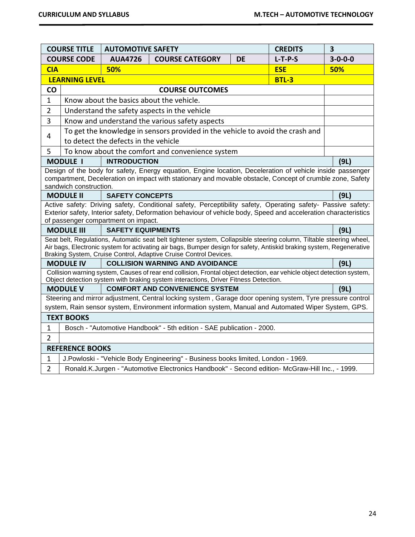|                                                                                       | <b>COURSE TITLE</b><br><b>AUTOMOTIVE SAFETY</b>                                                                                                                                                                  |                                      |                                                                                                                                                                                                                                                                                                                 | <b>CREDITS</b> | $\overline{\mathbf{3}}$ |                 |  |
|---------------------------------------------------------------------------------------|------------------------------------------------------------------------------------------------------------------------------------------------------------------------------------------------------------------|--------------------------------------|-----------------------------------------------------------------------------------------------------------------------------------------------------------------------------------------------------------------------------------------------------------------------------------------------------------------|----------------|-------------------------|-----------------|--|
|                                                                                       | <b>COURSE CODE</b>                                                                                                                                                                                               | <b>AUA4726</b>                       | <b>COURSE CATEGORY</b>                                                                                                                                                                                                                                                                                          | <b>DE</b>      | $L-T-P-S$               | $3 - 0 - 0 - 0$ |  |
| <b>CIA</b>                                                                            |                                                                                                                                                                                                                  | 50%                                  |                                                                                                                                                                                                                                                                                                                 |                | <b>ESE</b>              | 50%             |  |
|                                                                                       | <b>LEARNING LEVEL</b><br><b>BTL-3</b>                                                                                                                                                                            |                                      |                                                                                                                                                                                                                                                                                                                 |                |                         |                 |  |
| CO                                                                                    |                                                                                                                                                                                                                  |                                      | <b>COURSE OUTCOMES</b>                                                                                                                                                                                                                                                                                          |                |                         |                 |  |
| $\mathbf{1}$                                                                          | Know about the basics about the vehicle.                                                                                                                                                                         |                                      |                                                                                                                                                                                                                                                                                                                 |                |                         |                 |  |
| $\overline{2}$                                                                        |                                                                                                                                                                                                                  |                                      | Understand the safety aspects in the vehicle                                                                                                                                                                                                                                                                    |                |                         |                 |  |
| 3                                                                                     |                                                                                                                                                                                                                  |                                      | Know and understand the various safety aspects                                                                                                                                                                                                                                                                  |                |                         |                 |  |
| 4                                                                                     |                                                                                                                                                                                                                  | to detect the defects in the vehicle | To get the knowledge in sensors provided in the vehicle to avoid the crash and                                                                                                                                                                                                                                  |                |                         |                 |  |
| 5                                                                                     |                                                                                                                                                                                                                  |                                      | To know about the comfort and convenience system                                                                                                                                                                                                                                                                |                |                         |                 |  |
|                                                                                       | <b>MODULE I</b>                                                                                                                                                                                                  | <b>INTRODUCTION</b>                  |                                                                                                                                                                                                                                                                                                                 |                |                         | (9L)            |  |
|                                                                                       | sandwich construction.                                                                                                                                                                                           |                                      | Design of the body for safety, Energy equation, Engine location, Deceleration of vehicle inside passenger<br>compartment, Deceleration on impact with stationary and movable obstacle, Concept of crumble zone, Safety                                                                                          |                |                         |                 |  |
|                                                                                       | <b>MODULE II</b>                                                                                                                                                                                                 | <b>SAFETY CONCEPTS</b>               |                                                                                                                                                                                                                                                                                                                 |                |                         | (9L)            |  |
|                                                                                       |                                                                                                                                                                                                                  | of passenger compartment on impact.  | Active safety: Driving safety, Conditional safety, Perceptibility safety, Operating safety- Passive safety:<br>Exterior safety, Interior safety, Deformation behaviour of vehicle body, Speed and acceleration characteristics                                                                                  |                |                         |                 |  |
|                                                                                       | <b>MODULE III</b>                                                                                                                                                                                                | <b>SAFETY EQUIPMENTS</b>             |                                                                                                                                                                                                                                                                                                                 |                |                         | (9L)            |  |
|                                                                                       |                                                                                                                                                                                                                  |                                      | Seat belt, Regulations, Automatic seat belt tightener system, Collapsible steering column, Tiltable steering wheel,<br>Air bags, Electronic system for activating air bags, Bumper design for safety, Antiskid braking system, Regenerative<br>Braking System, Cruise Control, Adaptive Cruise Control Devices. |                |                         |                 |  |
|                                                                                       | <b>MODULE IV</b>                                                                                                                                                                                                 |                                      | <b>COLLISION WARNING AND AVOIDANCE</b>                                                                                                                                                                                                                                                                          |                |                         | (9L)            |  |
|                                                                                       |                                                                                                                                                                                                                  |                                      | Collision warning system, Causes of rear end collision, Frontal object detection, ear vehicle object detection system,<br>Object detection system with braking system interactions, Driver Fitness Detection.                                                                                                   |                |                         |                 |  |
|                                                                                       | <b>MODULE V</b>                                                                                                                                                                                                  |                                      | <b>COMFORT AND CONVENIENCE SYSTEM</b>                                                                                                                                                                                                                                                                           |                |                         | (9L)            |  |
|                                                                                       | Steering and mirror adjustment, Central locking system, Garage door opening system, Tyre pressure control<br>system, Rain sensor system, Environment information system, Manual and Automated Wiper System, GPS. |                                      |                                                                                                                                                                                                                                                                                                                 |                |                         |                 |  |
| <b>TEXT BOOKS</b>                                                                     |                                                                                                                                                                                                                  |                                      |                                                                                                                                                                                                                                                                                                                 |                |                         |                 |  |
| Bosch - "Automotive Handbook" - 5th edition - SAE publication - 2000.<br>$\mathbf{1}$ |                                                                                                                                                                                                                  |                                      |                                                                                                                                                                                                                                                                                                                 |                |                         |                 |  |
| $\overline{2}$                                                                        |                                                                                                                                                                                                                  |                                      |                                                                                                                                                                                                                                                                                                                 |                |                         |                 |  |
|                                                                                       | <b>REFERENCE BOOKS</b>                                                                                                                                                                                           |                                      |                                                                                                                                                                                                                                                                                                                 |                |                         |                 |  |
| $\mathbf{1}$                                                                          |                                                                                                                                                                                                                  |                                      | J.Powloski - "Vehicle Body Engineering" - Business books limited, London - 1969.                                                                                                                                                                                                                                |                |                         |                 |  |
| $\overline{2}$                                                                        | Ronald.K.Jurgen - "Automotive Electronics Handbook" - Second edition- McGraw-Hill Inc., - 1999.                                                                                                                  |                                      |                                                                                                                                                                                                                                                                                                                 |                |                         |                 |  |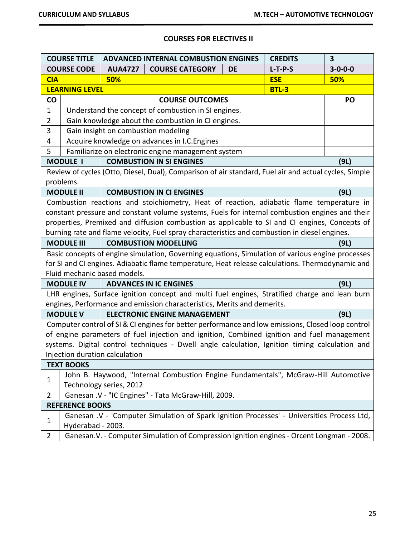# **COURSES FOR ELECTIVES II**

|                   | <b>COURSE TITLE</b>                                                                |                                | <b>ADVANCED INTERNAL COMBUSTION ENGINES</b>                                                           |           | <b>CREDITS</b> | 3               |
|-------------------|------------------------------------------------------------------------------------|--------------------------------|-------------------------------------------------------------------------------------------------------|-----------|----------------|-----------------|
|                   | <b>COURSE CODE</b>                                                                 | <b>AUA4727</b>                 | <b>COURSE CATEGORY</b>                                                                                | <b>DE</b> | $L-T-P-S$      | $3 - 0 - 0 - 0$ |
| <b>CIA</b>        |                                                                                    | 50%                            |                                                                                                       |           | <b>ESE</b>     | 50%             |
|                   | <b>BTL-3</b><br><b>LEARNING LEVEL</b>                                              |                                |                                                                                                       |           |                |                 |
| $\mathsf{co}\,$   |                                                                                    |                                | <b>COURSE OUTCOMES</b>                                                                                |           |                | PO              |
| $\mathbf{1}$      |                                                                                    |                                | Understand the concept of combustion in SI engines.                                                   |           |                |                 |
| $\overline{2}$    |                                                                                    |                                | Gain knowledge about the combustion in CI engines.                                                    |           |                |                 |
| 3                 |                                                                                    |                                | Gain insight on combustion modeling                                                                   |           |                |                 |
| 4                 |                                                                                    |                                | Acquire knowledge on advances in I.C. Engines                                                         |           |                |                 |
| 5                 |                                                                                    |                                | Familiarize on electronic engine management system                                                    |           |                |                 |
|                   | <b>MODULE I</b>                                                                    |                                | <b>COMBUSTION IN SI ENGINES</b>                                                                       |           |                | (9L)            |
|                   |                                                                                    |                                | Review of cycles (Otto, Diesel, Dual), Comparison of air standard, Fuel air and actual cycles, Simple |           |                |                 |
|                   | problems.                                                                          |                                |                                                                                                       |           |                |                 |
|                   | <b>MODULE II</b>                                                                   |                                | <b>COMBUSTION IN CI ENGINES</b>                                                                       |           |                | (9L)            |
|                   |                                                                                    |                                | Combustion reactions and stoichiometry, Heat of reaction, adiabatic flame temperature in              |           |                |                 |
|                   |                                                                                    |                                | constant pressure and constant volume systems, Fuels for internal combustion engines and their        |           |                |                 |
|                   |                                                                                    |                                | properties, Premixed and diffusion combustion as applicable to SI and CI engines, Concepts of         |           |                |                 |
|                   |                                                                                    |                                | burning rate and flame velocity, Fuel spray characteristics and combustion in diesel engines.         |           |                |                 |
|                   | <b>MODULE III</b>                                                                  |                                | <b>COMBUSTION MODELLING</b>                                                                           |           |                | (9L)            |
|                   |                                                                                    |                                | Basic concepts of engine simulation, Governing equations, Simulation of various engine processes      |           |                |                 |
|                   |                                                                                    |                                | for SI and CI engines. Adiabatic flame temperature, Heat release calculations. Thermodynamic and      |           |                |                 |
|                   |                                                                                    | Fluid mechanic based models.   |                                                                                                       |           |                |                 |
|                   | <b>MODULE IV</b>                                                                   |                                | <b>ADVANCES IN IC ENGINES</b>                                                                         |           |                | (9L)            |
|                   |                                                                                    |                                | LHR engines, Surface ignition concept and multi fuel engines, Stratified charge and lean burn         |           |                |                 |
|                   |                                                                                    |                                | engines, Performance and emission characteristics, Merits and demerits.                               |           |                |                 |
|                   | <b>MODULE V</b>                                                                    |                                | <b>ELECTRONIC ENGINE MANAGEMENT</b>                                                                   |           |                | (9L)            |
|                   |                                                                                    |                                | Computer control of SI & CI engines for better performance and low emissions, Closed loop control     |           |                |                 |
|                   |                                                                                    |                                | of engine parameters of fuel injection and ignition, Combined ignition and fuel management            |           |                |                 |
|                   |                                                                                    |                                | systems. Digital control techniques - Dwell angle calculation, Ignition timing calculation and        |           |                |                 |
|                   |                                                                                    | Injection duration calculation |                                                                                                       |           |                |                 |
| <b>TEXT BOOKS</b> |                                                                                    |                                |                                                                                                       |           |                |                 |
|                   | John B. Haywood, "Internal Combustion Engine Fundamentals", McGraw-Hill Automotive |                                |                                                                                                       |           |                |                 |
|                   | $\mathbf 1$<br>Technology series, 2012                                             |                                |                                                                                                       |           |                |                 |
| $\overline{2}$    |                                                                                    |                                | Ganesan .V - "IC Engines" - Tata McGraw-Hill, 2009.                                                   |           |                |                 |
|                   | <b>REFERENCE BOOKS</b>                                                             |                                |                                                                                                       |           |                |                 |
|                   |                                                                                    |                                | Ganesan .V - 'Computer Simulation of Spark Ignition Processes' - Universities Process Ltd,            |           |                |                 |
| $\mathbf{1}$      | Hyderabad - 2003.                                                                  |                                |                                                                                                       |           |                |                 |
| $\overline{2}$    |                                                                                    |                                | Ganesan. V. - Computer Simulation of Compression Ignition engines - Orcent Longman - 2008.            |           |                |                 |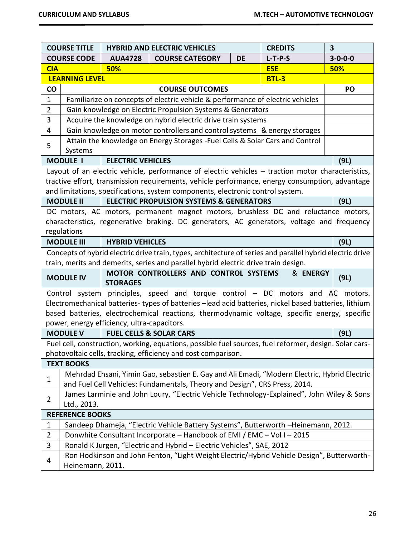|                                       | <b>COURSE TITLE</b><br><b>CREDITS</b><br><b>HYBRID AND ELECTRIC VEHICLES</b>              |                                             |                                                                                                                                                                                                                                               | $\overline{\mathbf{3}}$ |              |                 |
|---------------------------------------|-------------------------------------------------------------------------------------------|---------------------------------------------|-----------------------------------------------------------------------------------------------------------------------------------------------------------------------------------------------------------------------------------------------|-------------------------|--------------|-----------------|
|                                       | <b>COURSE CODE</b>                                                                        | <b>AUA4728</b>                              | <b>COURSE CATEGORY</b>                                                                                                                                                                                                                        | <b>DE</b>               | $L-T-P-S$    | $3 - 0 - 0 - 0$ |
| <b>CIA</b>                            |                                                                                           | 50%                                         |                                                                                                                                                                                                                                               |                         | <b>ESE</b>   | 50%             |
|                                       | <b>LEARNING LEVEL</b>                                                                     |                                             |                                                                                                                                                                                                                                               |                         | <b>BTL-3</b> |                 |
| <b>CO</b>                             |                                                                                           |                                             | <b>COURSE OUTCOMES</b>                                                                                                                                                                                                                        |                         |              | PO              |
| $\mathbf{1}$                          | Familiarize on concepts of electric vehicle & performance of electric vehicles            |                                             |                                                                                                                                                                                                                                               |                         |              |                 |
| $\overline{2}$                        |                                                                                           |                                             | Gain knowledge on Electric Propulsion Systems & Generators                                                                                                                                                                                    |                         |              |                 |
| 3                                     |                                                                                           |                                             | Acquire the knowledge on hybrid electric drive train systems                                                                                                                                                                                  |                         |              |                 |
| 4                                     |                                                                                           |                                             | Gain knowledge on motor controllers and control systems & energy storages                                                                                                                                                                     |                         |              |                 |
| 5                                     |                                                                                           |                                             | Attain the knowledge on Energy Storages - Fuel Cells & Solar Cars and Control                                                                                                                                                                 |                         |              |                 |
|                                       | Systems                                                                                   |                                             |                                                                                                                                                                                                                                               |                         |              |                 |
|                                       | <b>MODULE I</b>                                                                           | <b>ELECTRIC VEHICLES</b>                    |                                                                                                                                                                                                                                               |                         |              | (9L)            |
|                                       |                                                                                           |                                             | Layout of an electric vehicle, performance of electric vehicles – traction motor characteristics,                                                                                                                                             |                         |              |                 |
|                                       |                                                                                           |                                             | tractive effort, transmission requirements, vehicle performance, energy consumption, advantage                                                                                                                                                |                         |              |                 |
|                                       |                                                                                           |                                             | and limitations, specifications, system components, electronic control system.                                                                                                                                                                |                         |              |                 |
|                                       | <b>MODULE II</b>                                                                          |                                             | <b>ELECTRIC PROPULSION SYSTEMS &amp; GENERATORS</b>                                                                                                                                                                                           |                         |              | (9L)            |
|                                       |                                                                                           |                                             | DC motors, AC motors, permanent magnet motors, brushless DC and reluctance motors,                                                                                                                                                            |                         |              |                 |
|                                       |                                                                                           |                                             | characteristics, regenerative braking. DC generators, AC generators, voltage and frequency                                                                                                                                                    |                         |              |                 |
|                                       | regulations                                                                               |                                             |                                                                                                                                                                                                                                               |                         |              |                 |
|                                       | <b>MODULE III</b>                                                                         | <b>HYBRID VEHICLES</b>                      |                                                                                                                                                                                                                                               |                         |              | (9L)            |
|                                       |                                                                                           |                                             | Concepts of hybrid electric drive train, types, architecture of series and parallel hybrid electric drive                                                                                                                                     |                         |              |                 |
|                                       |                                                                                           |                                             | train, merits and demerits, series and parallel hybrid electric drive train design.                                                                                                                                                           |                         |              |                 |
|                                       | <b>MODULE IV</b>                                                                          | <b>STORAGES</b>                             | MOTOR CONTROLLERS AND CONTROL SYSTEMS                                                                                                                                                                                                         |                         | & ENERGY     | (9L)            |
|                                       |                                                                                           |                                             | Control system principles, speed and torque control - DC motors and AC motors.                                                                                                                                                                |                         |              |                 |
|                                       |                                                                                           |                                             | Electromechanical batteries-types of batteries -lead acid batteries, nickel based batteries, lithium                                                                                                                                          |                         |              |                 |
|                                       |                                                                                           |                                             | based batteries, electrochemical reactions, thermodynamic voltage, specific energy, specific                                                                                                                                                  |                         |              |                 |
|                                       |                                                                                           | power, energy efficiency, ultra-capacitors. |                                                                                                                                                                                                                                               |                         |              |                 |
|                                       | <b>MODULE V</b>                                                                           |                                             | <b>FUEL CELLS &amp; SOLAR CARS</b>                                                                                                                                                                                                            |                         |              | (9L)            |
|                                       |                                                                                           |                                             | Fuel cell, construction, working, equations, possible fuel sources, fuel reformer, design. Solar cars-                                                                                                                                        |                         |              |                 |
|                                       |                                                                                           |                                             | photovoltaic cells, tracking, efficiency and cost comparison.                                                                                                                                                                                 |                         |              |                 |
|                                       | <b>TEXT BOOKS</b>                                                                         |                                             |                                                                                                                                                                                                                                               |                         |              |                 |
| $\mathbf{1}$                          |                                                                                           |                                             | Mehrdad Ehsani, Yimin Gao, sebastien E. Gay and Ali Emadi, "Modern Electric, Hybrid Electric                                                                                                                                                  |                         |              |                 |
|                                       |                                                                                           |                                             | and Fuel Cell Vehicles: Fundamentals, Theory and Design", CRS Press, 2014.                                                                                                                                                                    |                         |              |                 |
| $\overline{2}$                        | James Larminie and John Loury, "Electric Vehicle Technology-Explained", John Wiley & Sons |                                             |                                                                                                                                                                                                                                               |                         |              |                 |
| Ltd., 2013.<br><b>REFERENCE BOOKS</b> |                                                                                           |                                             |                                                                                                                                                                                                                                               |                         |              |                 |
| $\mathbf{1}$                          |                                                                                           |                                             | Sandeep Dhameja, "Electric Vehicle Battery Systems", Butterworth -Heinemann, 2012.                                                                                                                                                            |                         |              |                 |
|                                       |                                                                                           |                                             |                                                                                                                                                                                                                                               |                         |              |                 |
|                                       |                                                                                           |                                             |                                                                                                                                                                                                                                               |                         |              |                 |
|                                       |                                                                                           |                                             |                                                                                                                                                                                                                                               |                         |              |                 |
| 4                                     | Heinemann, 2011.                                                                          |                                             |                                                                                                                                                                                                                                               |                         |              |                 |
| $\overline{2}$<br>3                   |                                                                                           |                                             | Donwhite Consultant Incorporate - Handbook of EMI / EMC - Vol I - 2015<br>Ronald K Jurgen, "Electric and Hybrid - Electric Vehicles", SAE, 2012<br>Ron Hodkinson and John Fenton, "Light Weight Electric/Hybrid Vehicle Design", Butterworth- |                         |              |                 |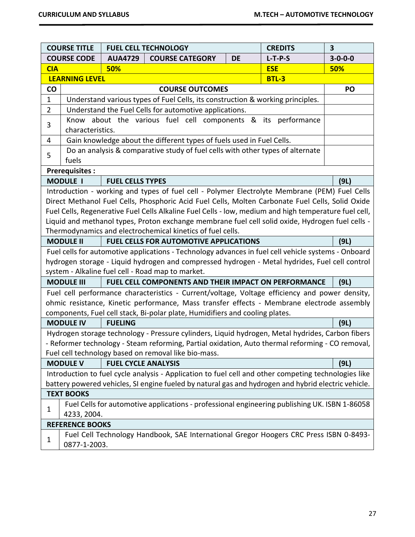|                | <b>COURSE TITLE</b>                                                                                                                                                                                                                                                                                                                                                                                                                                                          | <b>FUEL CELL TECHNOLOGY</b><br><b>CREDITS</b> |                                                                                                                                                                                                                                                                              |           |              |                 |
|----------------|------------------------------------------------------------------------------------------------------------------------------------------------------------------------------------------------------------------------------------------------------------------------------------------------------------------------------------------------------------------------------------------------------------------------------------------------------------------------------|-----------------------------------------------|------------------------------------------------------------------------------------------------------------------------------------------------------------------------------------------------------------------------------------------------------------------------------|-----------|--------------|-----------------|
|                | <b>COURSE CODE</b>                                                                                                                                                                                                                                                                                                                                                                                                                                                           | <b>AUA4729</b>                                | <b>COURSE CATEGORY</b>                                                                                                                                                                                                                                                       | <b>DE</b> | $L-T-P-S$    | $3 - 0 - 0 - 0$ |
| <b>CIA</b>     | 50%<br><b>ESE</b>                                                                                                                                                                                                                                                                                                                                                                                                                                                            |                                               |                                                                                                                                                                                                                                                                              |           |              | 50%             |
|                | <b>LEARNING LEVEL</b>                                                                                                                                                                                                                                                                                                                                                                                                                                                        |                                               |                                                                                                                                                                                                                                                                              |           | <b>BTL-3</b> |                 |
| co             |                                                                                                                                                                                                                                                                                                                                                                                                                                                                              |                                               | <b>COURSE OUTCOMES</b>                                                                                                                                                                                                                                                       |           |              | PO              |
| $\mathbf 1$    |                                                                                                                                                                                                                                                                                                                                                                                                                                                                              |                                               | Understand various types of Fuel Cells, its construction & working principles.                                                                                                                                                                                               |           |              |                 |
| $\overline{2}$ |                                                                                                                                                                                                                                                                                                                                                                                                                                                                              |                                               | Understand the Fuel Cells for automotive applications.                                                                                                                                                                                                                       |           |              |                 |
| 3              | characteristics.                                                                                                                                                                                                                                                                                                                                                                                                                                                             |                                               | Know about the various fuel cell components & its performance                                                                                                                                                                                                                |           |              |                 |
| 4              |                                                                                                                                                                                                                                                                                                                                                                                                                                                                              |                                               | Gain knowledge about the different types of fuels used in Fuel Cells.                                                                                                                                                                                                        |           |              |                 |
| 5              | fuels                                                                                                                                                                                                                                                                                                                                                                                                                                                                        |                                               | Do an analysis & comparative study of fuel cells with other types of alternate                                                                                                                                                                                               |           |              |                 |
|                | <b>Prerequisites:</b>                                                                                                                                                                                                                                                                                                                                                                                                                                                        |                                               |                                                                                                                                                                                                                                                                              |           |              |                 |
|                | <b>MODULE I</b>                                                                                                                                                                                                                                                                                                                                                                                                                                                              | <b>FUEL CELLS TYPES</b>                       |                                                                                                                                                                                                                                                                              |           |              | (9L)            |
|                | Introduction - working and types of fuel cell - Polymer Electrolyte Membrane (PEM) Fuel Cells<br>Direct Methanol Fuel Cells, Phosphoric Acid Fuel Cells, Molten Carbonate Fuel Cells, Solid Oxide<br>Fuel Cells, Regenerative Fuel Cells Alkaline Fuel Cells - low, medium and high temperature fuel cell,<br>Liquid and methanol types, Proton exchange membrane fuel cell solid oxide, Hydrogen fuel cells -<br>Thermodynamics and electrochemical kinetics of fuel cells. |                                               |                                                                                                                                                                                                                                                                              |           |              |                 |
|                | <b>MODULE II</b>                                                                                                                                                                                                                                                                                                                                                                                                                                                             |                                               | <b>FUEL CELLS FOR AUTOMOTIVE APPLICATIONS</b>                                                                                                                                                                                                                                |           |              | (9L)            |
|                |                                                                                                                                                                                                                                                                                                                                                                                                                                                                              |                                               | Fuel cells for automotive applications - Technology advances in fuel cell vehicle systems - Onboard<br>hydrogen storage - Liquid hydrogen and compressed hydrogen - Metal hydrides, Fuel cell control<br>system - Alkaline fuel cell - Road map to market.                   |           |              |                 |
|                | <b>MODULE III</b>                                                                                                                                                                                                                                                                                                                                                                                                                                                            |                                               | FUEL CELL COMPONENTS AND THEIR IMPACT ON PERFORMANCE                                                                                                                                                                                                                         |           |              | (9L)            |
|                |                                                                                                                                                                                                                                                                                                                                                                                                                                                                              |                                               | Fuel cell performance characteristics - Current/voltage, Voltage efficiency and power density,<br>ohmic resistance, Kinetic performance, Mass transfer effects - Membrane electrode assembly<br>components, Fuel cell stack, Bi-polar plate, Humidifiers and cooling plates. |           |              |                 |
|                | <b>MODULE IV</b>                                                                                                                                                                                                                                                                                                                                                                                                                                                             | <b>FUELING</b>                                |                                                                                                                                                                                                                                                                              |           |              | (9L)            |
|                | Hydrogen storage technology - Pressure cylinders, Liquid hydrogen, Metal hydrides, Carbon fibers<br>- Reformer technology - Steam reforming, Partial oxidation, Auto thermal reforming - CO removal,<br>Fuel cell technology based on removal like bio-mass.                                                                                                                                                                                                                 |                                               |                                                                                                                                                                                                                                                                              |           |              |                 |
|                | <b>FUEL CYCLE ANALYSIS</b><br><b>MODULE V</b><br>(9L)                                                                                                                                                                                                                                                                                                                                                                                                                        |                                               |                                                                                                                                                                                                                                                                              |           |              |                 |
|                | Introduction to fuel cycle analysis - Application to fuel cell and other competing technologies like                                                                                                                                                                                                                                                                                                                                                                         |                                               |                                                                                                                                                                                                                                                                              |           |              |                 |
|                | battery powered vehicles, SI engine fueled by natural gas and hydrogen and hybrid electric vehicle.                                                                                                                                                                                                                                                                                                                                                                          |                                               |                                                                                                                                                                                                                                                                              |           |              |                 |
|                | <b>TEXT BOOKS</b>                                                                                                                                                                                                                                                                                                                                                                                                                                                            |                                               |                                                                                                                                                                                                                                                                              |           |              |                 |
| 1              | Fuel Cells for automotive applications - professional engineering publishing UK. ISBN 1-86058<br>4233, 2004.                                                                                                                                                                                                                                                                                                                                                                 |                                               |                                                                                                                                                                                                                                                                              |           |              |                 |
|                | <b>REFERENCE BOOKS</b>                                                                                                                                                                                                                                                                                                                                                                                                                                                       |                                               |                                                                                                                                                                                                                                                                              |           |              |                 |
| 1              | 0877-1-2003.                                                                                                                                                                                                                                                                                                                                                                                                                                                                 |                                               | Fuel Cell Technology Handbook, SAE International Gregor Hoogers CRC Press ISBN 0-8493-                                                                                                                                                                                       |           |              |                 |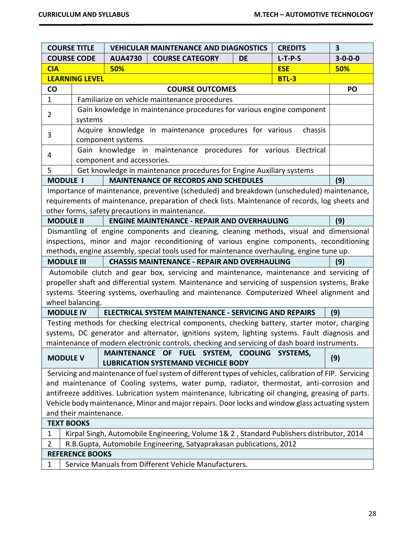|                        | <b>COURSE TITLE</b><br><b>VEHICULAR MAINTENANCE AND DIAGNOSTICS</b><br><b>CREDITS</b>              |                            |                                                                                                                                                                                             |           | $\overline{\mathbf{3}}$ |                 |
|------------------------|----------------------------------------------------------------------------------------------------|----------------------------|---------------------------------------------------------------------------------------------------------------------------------------------------------------------------------------------|-----------|-------------------------|-----------------|
|                        | <b>COURSE CODE</b>                                                                                 | <b>AUA4730</b>             | <b>COURSE CATEGORY</b>                                                                                                                                                                      | <b>DE</b> | $L-T-P-S$               | $3 - 0 - 0 - 0$ |
| <b>CIA</b>             |                                                                                                    | 50%                        |                                                                                                                                                                                             |           | <b>ESE</b>              | 50%             |
|                        | <b>LEARNING LEVEL</b>                                                                              |                            |                                                                                                                                                                                             |           | <b>BTL-3</b>            |                 |
| CO                     |                                                                                                    |                            | <b>COURSE OUTCOMES</b>                                                                                                                                                                      |           |                         | PO              |
| $\mathbf{1}$           |                                                                                                    |                            | Familiarize on vehicle maintenance procedures                                                                                                                                               |           |                         |                 |
| $\overline{2}$         |                                                                                                    |                            | Gain knowledge in maintenance procedures for various engine component                                                                                                                       |           |                         |                 |
|                        | systems                                                                                            |                            |                                                                                                                                                                                             |           |                         |                 |
| 3                      |                                                                                                    |                            | Acquire knowledge in maintenance procedures for various                                                                                                                                     |           | chassis                 |                 |
|                        |                                                                                                    | component systems          |                                                                                                                                                                                             |           |                         |                 |
| 4                      |                                                                                                    |                            | Gain knowledge in maintenance procedures for various Electrical                                                                                                                             |           |                         |                 |
|                        |                                                                                                    | component and accessories. |                                                                                                                                                                                             |           |                         |                 |
| 5                      |                                                                                                    |                            | Get knowledge in maintenance procedures for Engine Auxiliary systems                                                                                                                        |           |                         |                 |
| <b>MODULE I</b>        |                                                                                                    |                            | <b>MAINTENANCE OF RECORDS AND SCHEDULES</b>                                                                                                                                                 |           |                         | (9)             |
|                        |                                                                                                    |                            | Importance of maintenance, preventive (scheduled) and breakdown (unscheduled) maintenance,                                                                                                  |           |                         |                 |
|                        |                                                                                                    |                            | requirements of maintenance, preparation of check lists. Maintenance of records, log sheets and                                                                                             |           |                         |                 |
|                        |                                                                                                    |                            | other forms, safety precautions in maintenance.                                                                                                                                             |           |                         |                 |
| <b>MODULE II</b>       |                                                                                                    |                            | <b>ENGINE MAINTENANCE - REPAIR AND OVERHAULING</b>                                                                                                                                          |           |                         | (9)             |
|                        |                                                                                                    |                            | Dismantling of engine components and cleaning, cleaning methods, visual and dimensional                                                                                                     |           |                         |                 |
|                        |                                                                                                    |                            | inspections, minor and major reconditioning of various engine components, reconditioning                                                                                                    |           |                         |                 |
|                        |                                                                                                    |                            | methods, engine assembly, special tools used for maintenance overhauling, engine tune up.                                                                                                   |           |                         |                 |
| <b>MODULE III</b>      |                                                                                                    |                            | <b>CHASSIS MAINTENANCE - REPAIR AND OVERHAULING</b>                                                                                                                                         |           |                         | (9)             |
|                        |                                                                                                    |                            | Automobile clutch and gear box, servicing and maintenance, maintenance and servicing of                                                                                                     |           |                         |                 |
|                        |                                                                                                    |                            | propeller shaft and differential system. Maintenance and servicing of suspension systems, Brake<br>systems. Steering systems, overhauling and maintenance. Computerized Wheel alignment and |           |                         |                 |
|                        | wheel balancing.                                                                                   |                            |                                                                                                                                                                                             |           |                         |                 |
| <b>MODULE IV</b>       |                                                                                                    |                            | ELECTRICAL SYSTEM MAINTENANCE - SERVICING AND REPAIRS                                                                                                                                       |           |                         | (9)             |
|                        |                                                                                                    |                            | Testing methods for checking electrical components, checking battery, starter motor, charging                                                                                               |           |                         |                 |
|                        |                                                                                                    |                            | systems, DC generator and alternator, ignitions system, lighting systems. Fault diagnosis and                                                                                               |           |                         |                 |
|                        |                                                                                                    |                            | maintenance of modern electronic controls, checking and servicing of dash board instruments.                                                                                                |           |                         |                 |
|                        |                                                                                                    |                            | MAINTENANCE OF FUEL SYSTEM, COOLING SYSTEMS,                                                                                                                                                |           |                         |                 |
| <b>MODULE V</b>        |                                                                                                    |                            | <b>LUBRICATION SYSTEMAND VECHICLE BODY</b>                                                                                                                                                  |           |                         | (9)             |
|                        |                                                                                                    |                            | Servicing and maintenance of fuel system of different types of vehicles, calibration of FIP. Servicing                                                                                      |           |                         |                 |
|                        | and maintenance of Cooling systems, water pump, radiator, thermostat, anti-corrosion and           |                            |                                                                                                                                                                                             |           |                         |                 |
|                        | antifreeze additives. Lubrication system maintenance, lubricating oil changing, greasing of parts. |                            |                                                                                                                                                                                             |           |                         |                 |
|                        | Vehicle body maintenance, Minor and major repairs. Door locks and window glass actuating system    |                            |                                                                                                                                                                                             |           |                         |                 |
| and their maintenance. |                                                                                                    |                            |                                                                                                                                                                                             |           |                         |                 |
| <b>TEXT BOOKS</b>      |                                                                                                    |                            |                                                                                                                                                                                             |           |                         |                 |
| 1                      |                                                                                                    |                            | Kirpal Singh, Automobile Engineering, Volume 1& 2, Standard Publishers distributor, 2014                                                                                                    |           |                         |                 |
| $\overline{2}$         |                                                                                                    |                            | R.B.Gupta, Automobile Engineering, Satyaprakasan publications, 2012                                                                                                                         |           |                         |                 |
|                        | <b>REFERENCE BOOKS</b>                                                                             |                            |                                                                                                                                                                                             |           |                         |                 |
| $\mathbf{1}$           | Service Manuals from Different Vehicle Manufacturers.                                              |                            |                                                                                                                                                                                             |           |                         |                 |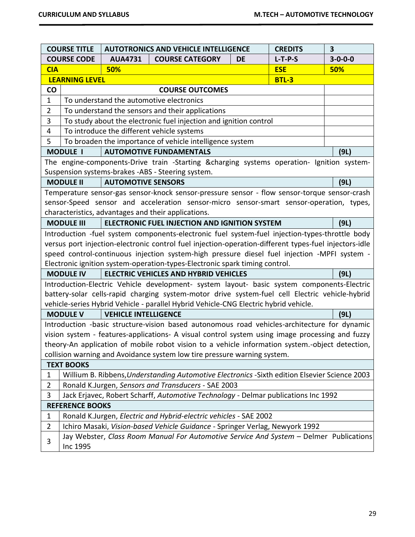|                                                                                         | <b>COURSE TITLE</b>                                                                                            | <b>AUTOTRONICS AND VEHICLE INTELLIGENCE</b><br><b>CREDITS</b>                |                                                                                                       |           |              | 3               |
|-----------------------------------------------------------------------------------------|----------------------------------------------------------------------------------------------------------------|------------------------------------------------------------------------------|-------------------------------------------------------------------------------------------------------|-----------|--------------|-----------------|
|                                                                                         | <b>COURSE CODE</b>                                                                                             | <b>AUA4731</b>                                                               | <b>COURSE CATEGORY</b>                                                                                | <b>DE</b> | $L-T-P-S$    | $3 - 0 - 0 - 0$ |
| <b>CIA</b>                                                                              |                                                                                                                | 50%                                                                          |                                                                                                       |           | <b>ESE</b>   | 50%             |
|                                                                                         | <b>LEARNING LEVEL</b>                                                                                          |                                                                              |                                                                                                       |           | <b>BTL-3</b> |                 |
| CO                                                                                      |                                                                                                                |                                                                              | <b>COURSE OUTCOMES</b>                                                                                |           |              |                 |
| To understand the automotive electronics<br>$\mathbf{1}$                                |                                                                                                                |                                                                              |                                                                                                       |           |              |                 |
| $\overline{2}$                                                                          |                                                                                                                |                                                                              | To understand the sensors and their applications                                                      |           |              |                 |
| 3                                                                                       |                                                                                                                |                                                                              | To study about the electronic fuel injection and ignition control                                     |           |              |                 |
| 4                                                                                       |                                                                                                                |                                                                              | To introduce the different vehicle systems                                                            |           |              |                 |
| 5                                                                                       |                                                                                                                |                                                                              | To broaden the importance of vehicle intelligence system                                              |           |              |                 |
|                                                                                         | <b>MODULE I</b>                                                                                                |                                                                              | <b>AUTOMOTIVE FUNDAMENTALS</b>                                                                        |           |              | (9L)            |
|                                                                                         |                                                                                                                |                                                                              | The engine-components-Drive train -Starting &charging systems operation- Ignition system-             |           |              |                 |
|                                                                                         |                                                                                                                |                                                                              | Suspension systems-brakes -ABS - Steering system.                                                     |           |              |                 |
|                                                                                         | <b>MODULE II</b>                                                                                               | <b>AUTOMOTIVE SENSORS</b>                                                    |                                                                                                       |           |              | (9L)            |
|                                                                                         |                                                                                                                |                                                                              | Temperature sensor-gas sensor-knock sensor-pressure sensor - flow sensor-torque sensor-crash          |           |              |                 |
|                                                                                         |                                                                                                                |                                                                              | sensor-Speed sensor and acceleration sensor-micro sensor-smart sensor-operation, types,               |           |              |                 |
|                                                                                         |                                                                                                                |                                                                              | characteristics, advantages and their applications.                                                   |           |              |                 |
|                                                                                         | <b>MODULE III</b>                                                                                              |                                                                              | ELECTRONIC FUEL INJECTION AND IGNITION SYSTEM                                                         |           |              | (9L)            |
|                                                                                         |                                                                                                                |                                                                              | Introduction -fuel system components-electronic fuel system-fuel injection-types-throttle body        |           |              |                 |
|                                                                                         |                                                                                                                |                                                                              | versus port injection-electronic control fuel injection-operation-different types-fuel injectors-idle |           |              |                 |
|                                                                                         |                                                                                                                |                                                                              | speed control-continuous injection system-high pressure diesel fuel injection -MPFI system -          |           |              |                 |
|                                                                                         |                                                                                                                |                                                                              | Electronic ignition system-operation-types-Electronic spark timing control.                           |           |              |                 |
|                                                                                         | <b>MODULE IV</b>                                                                                               |                                                                              | <b>ELECTRIC VEHICLES AND HYBRID VEHICLES</b>                                                          |           |              | (9L)            |
|                                                                                         |                                                                                                                |                                                                              | Introduction-Electric Vehicle development- system layout- basic system components-Electric            |           |              |                 |
|                                                                                         |                                                                                                                |                                                                              | battery-solar cells-rapid charging system-motor drive system-fuel cell Electric vehicle-hybrid        |           |              |                 |
|                                                                                         |                                                                                                                |                                                                              | vehicle-series Hybrid Vehicle - parallel Hybrid Vehicle-CNG Electric hybrid vehicle.                  |           |              |                 |
|                                                                                         | <b>MODULE V</b>                                                                                                | <b>VEHICLE INTELLIGENCE</b>                                                  |                                                                                                       |           |              | (9L)            |
|                                                                                         |                                                                                                                |                                                                              | Introduction -basic structure-vision based autonomous road vehicles-architecture for dynamic          |           |              |                 |
|                                                                                         |                                                                                                                |                                                                              | vision system - features-applications- A visual control system using image processing and fuzzy       |           |              |                 |
|                                                                                         |                                                                                                                |                                                                              | theorv-An application of mobile robot vision to a vehicle information system.-object detection,       |           |              |                 |
|                                                                                         | collision warning and Avoidance system low tire pressure warning system.                                       |                                                                              |                                                                                                       |           |              |                 |
| <b>TEXT BOOKS</b>                                                                       |                                                                                                                |                                                                              |                                                                                                       |           |              |                 |
|                                                                                         | Willium B. Ribbens, Understanding Automotive Electronics - Sixth edition Elsevier Science 2003<br>$\mathbf{1}$ |                                                                              |                                                                                                       |           |              |                 |
| Ronald K.Jurgen, Sensors and Transducers - SAE 2003<br>$\overline{2}$                   |                                                                                                                |                                                                              |                                                                                                       |           |              |                 |
| Jack Erjavec, Robert Scharff, Automotive Technology - Delmar publications Inc 1992<br>3 |                                                                                                                |                                                                              |                                                                                                       |           |              |                 |
| <b>REFERENCE BOOKS</b>                                                                  |                                                                                                                |                                                                              |                                                                                                       |           |              |                 |
| $\mathbf 1$                                                                             |                                                                                                                |                                                                              | Ronald K.Jurgen, Electric and Hybrid-electric vehicles - SAE 2002                                     |           |              |                 |
| $\overline{2}$                                                                          |                                                                                                                | Ichiro Masaki, Vision-based Vehicle Guidance - Springer Verlag, Newyork 1992 |                                                                                                       |           |              |                 |
|                                                                                         | Jay Webster, Class Room Manual For Automotive Service And System - Delmer Publications<br>3                    |                                                                              |                                                                                                       |           |              |                 |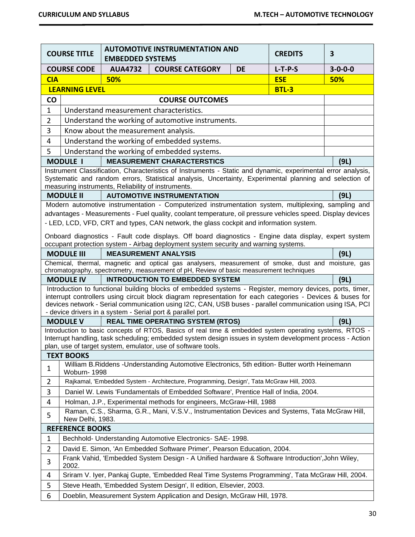| <b>COURSE TITLE</b>                                        |                                                                                                                                                                                                                                                                                                                                                                                                                       | <b>AUTOMOTIVE INSTRUMENTATION AND</b><br><b>EMBEDDED SYSTEMS</b> |                                                                                                                                                                                                                                                                                                                                                                                                   | <b>CREDITS</b> | $\overline{\mathbf{3}}$ |                 |
|------------------------------------------------------------|-----------------------------------------------------------------------------------------------------------------------------------------------------------------------------------------------------------------------------------------------------------------------------------------------------------------------------------------------------------------------------------------------------------------------|------------------------------------------------------------------|---------------------------------------------------------------------------------------------------------------------------------------------------------------------------------------------------------------------------------------------------------------------------------------------------------------------------------------------------------------------------------------------------|----------------|-------------------------|-----------------|
| <b>COURSE CODE</b>                                         |                                                                                                                                                                                                                                                                                                                                                                                                                       | <b>AUA4732</b>                                                   | <b>COURSE CATEGORY</b>                                                                                                                                                                                                                                                                                                                                                                            | <b>DE</b>      | $L-T-P-S$               | $3 - 0 - 0 - 0$ |
| <b>CIA</b>                                                 |                                                                                                                                                                                                                                                                                                                                                                                                                       | 50%                                                              |                                                                                                                                                                                                                                                                                                                                                                                                   |                | <b>ESE</b>              | 50%             |
|                                                            | <b>LEARNING LEVEL</b>                                                                                                                                                                                                                                                                                                                                                                                                 |                                                                  |                                                                                                                                                                                                                                                                                                                                                                                                   |                | <b>BTL-3</b>            |                 |
| <b>CO</b><br><b>COURSE OUTCOMES</b>                        |                                                                                                                                                                                                                                                                                                                                                                                                                       |                                                                  |                                                                                                                                                                                                                                                                                                                                                                                                   |                |                         |                 |
| $\mathbf{1}$                                               |                                                                                                                                                                                                                                                                                                                                                                                                                       |                                                                  | Understand measurement characteristics.                                                                                                                                                                                                                                                                                                                                                           |                |                         |                 |
| $\overline{2}$                                             |                                                                                                                                                                                                                                                                                                                                                                                                                       |                                                                  | Understand the working of automotive instruments.                                                                                                                                                                                                                                                                                                                                                 |                |                         |                 |
| 3                                                          |                                                                                                                                                                                                                                                                                                                                                                                                                       | Know about the measurement analysis.                             |                                                                                                                                                                                                                                                                                                                                                                                                   |                |                         |                 |
| 4                                                          |                                                                                                                                                                                                                                                                                                                                                                                                                       |                                                                  | Understand the working of embedded systems.                                                                                                                                                                                                                                                                                                                                                       |                |                         |                 |
| 5                                                          |                                                                                                                                                                                                                                                                                                                                                                                                                       |                                                                  | Understand the working of embedded systems.                                                                                                                                                                                                                                                                                                                                                       |                |                         |                 |
|                                                            | <b>MODULE I</b>                                                                                                                                                                                                                                                                                                                                                                                                       |                                                                  | <b>MEASUREMENT CHARACTERSTICS</b>                                                                                                                                                                                                                                                                                                                                                                 |                |                         | (9L)            |
|                                                            |                                                                                                                                                                                                                                                                                                                                                                                                                       | measuring instruments, Reliability of instruments.               | Instrument Classification, Characteristics of Instruments - Static and dynamic, experimental error analysis,<br>Systematic and random errors, Statistical analysis, Uncertainty, Experimental planning and selection of                                                                                                                                                                           |                |                         |                 |
|                                                            | <b>MODULE II</b>                                                                                                                                                                                                                                                                                                                                                                                                      |                                                                  | <b>AUTOMOTIVE INSTRUMENTATION</b>                                                                                                                                                                                                                                                                                                                                                                 |                |                         | (9L)            |
|                                                            | Modern automotive instrumentation - Computerized instrumentation system, multiplexing, sampling and<br>advantages - Measurements - Fuel quality, coolant temperature, oil pressure vehicles speed. Display devices<br>- LED, LCD, VFD, CRT and types, CAN network, the glass cockpit and information system.<br>Onboard diagnostics - Fault code displays. Off board diagnostics - Engine data display, expert system |                                                                  |                                                                                                                                                                                                                                                                                                                                                                                                   |                |                         |                 |
|                                                            |                                                                                                                                                                                                                                                                                                                                                                                                                       |                                                                  | occupant protection system - Airbag deployment system security and warning systems.                                                                                                                                                                                                                                                                                                               |                |                         |                 |
|                                                            | <b>MODULE III</b>                                                                                                                                                                                                                                                                                                                                                                                                     |                                                                  | <b>MEASUREMENT ANALYSIS</b>                                                                                                                                                                                                                                                                                                                                                                       |                |                         | (9L)            |
|                                                            |                                                                                                                                                                                                                                                                                                                                                                                                                       |                                                                  | Chemical, thermal, magnetic and optical gas analysers, measurement of smoke, dust and moisture, gas<br>chromatography, spectrometry, measurement of pH, Review of basic measurement techniques                                                                                                                                                                                                    |                |                         |                 |
| <b>INTRODUCTION TO EMBEDDED SYSTEM</b><br><b>MODULE IV</b> |                                                                                                                                                                                                                                                                                                                                                                                                                       |                                                                  |                                                                                                                                                                                                                                                                                                                                                                                                   | (9L)           |                         |                 |
|                                                            |                                                                                                                                                                                                                                                                                                                                                                                                                       |                                                                  | Introduction to functional building blocks of embedded systems - Register, memory devices, ports, timer,<br>interrupt controllers using circuit block diagram representation for each categories - Devices & buses for<br>devices network - Serial communication using I2C, CAN, USB buses - parallel communication using ISA, PCI<br>- device drivers in a system - Serial port & parallel port. |                |                         |                 |
|                                                            | <b>MODULE V</b>                                                                                                                                                                                                                                                                                                                                                                                                       |                                                                  | <b>REAL TIME OPERATING SYSTEM (RTOS)</b>                                                                                                                                                                                                                                                                                                                                                          |                |                         | (9L)            |
|                                                            |                                                                                                                                                                                                                                                                                                                                                                                                                       |                                                                  | Introduction to basic concepts of RTOS, Basics of real time & embedded system operating systems, RTOS -<br>Interrupt handling, task scheduling; embedded system design issues in system development process - Action<br>plan, use of target system, emulator, use of software tools.                                                                                                              |                |                         |                 |
|                                                            | <b>TEXT BOOKS</b>                                                                                                                                                                                                                                                                                                                                                                                                     |                                                                  |                                                                                                                                                                                                                                                                                                                                                                                                   |                |                         |                 |
| $\mathbf{1}$                                               | Woburn-1998                                                                                                                                                                                                                                                                                                                                                                                                           |                                                                  | William B. Riddens - Understanding Automotive Electronics, 5th edition- Butter worth Heinemann                                                                                                                                                                                                                                                                                                    |                |                         |                 |
| $\overline{2}$                                             |                                                                                                                                                                                                                                                                                                                                                                                                                       |                                                                  | Rajkamal, 'Embedded System - Architecture, Programming, Design', Tata McGraw Hill, 2003.                                                                                                                                                                                                                                                                                                          |                |                         |                 |
| 3                                                          |                                                                                                                                                                                                                                                                                                                                                                                                                       |                                                                  | Daniel W. Lewis 'Fundamentals of Embedded Software', Prentice Hall of India, 2004.                                                                                                                                                                                                                                                                                                                |                |                         |                 |
| 4                                                          |                                                                                                                                                                                                                                                                                                                                                                                                                       |                                                                  | Holman, J.P., Experimental methods for engineers, McGraw-Hill, 1988                                                                                                                                                                                                                                                                                                                               |                |                         |                 |
| 5                                                          | Raman, C.S., Sharma, G.R., Mani, V.S.V., Instrumentation Devices and Systems, Tata McGraw Hill,<br>New Delhi, 1983.                                                                                                                                                                                                                                                                                                   |                                                                  |                                                                                                                                                                                                                                                                                                                                                                                                   |                |                         |                 |
|                                                            | <b>REFERENCE BOOKS</b>                                                                                                                                                                                                                                                                                                                                                                                                |                                                                  |                                                                                                                                                                                                                                                                                                                                                                                                   |                |                         |                 |
| $\mathbf 1$                                                |                                                                                                                                                                                                                                                                                                                                                                                                                       |                                                                  | Bechhold- Understanding Automotive Electronics- SAE- 1998.                                                                                                                                                                                                                                                                                                                                        |                |                         |                 |
| $\overline{2}$                                             |                                                                                                                                                                                                                                                                                                                                                                                                                       |                                                                  | David E. Simon, 'An Embedded Software Primer', Pearson Education, 2004.                                                                                                                                                                                                                                                                                                                           |                |                         |                 |
| 3                                                          | 2002.                                                                                                                                                                                                                                                                                                                                                                                                                 |                                                                  | Frank Vahid, 'Embedded System Design - A Unified hardware & Software Introduction', John Wiley,                                                                                                                                                                                                                                                                                                   |                |                         |                 |
| 4                                                          |                                                                                                                                                                                                                                                                                                                                                                                                                       |                                                                  | Sriram V. Iyer, Pankaj Gupte, 'Embedded Real Time Systems Programming', Tata McGraw Hill, 2004.                                                                                                                                                                                                                                                                                                   |                |                         |                 |
| 5                                                          |                                                                                                                                                                                                                                                                                                                                                                                                                       |                                                                  | Steve Heath, 'Embedded System Design', II edition, Elsevier, 2003.                                                                                                                                                                                                                                                                                                                                |                |                         |                 |
| 6                                                          | Doeblin, Measurement System Application and Design, McGraw Hill, 1978.                                                                                                                                                                                                                                                                                                                                                |                                                                  |                                                                                                                                                                                                                                                                                                                                                                                                   |                |                         |                 |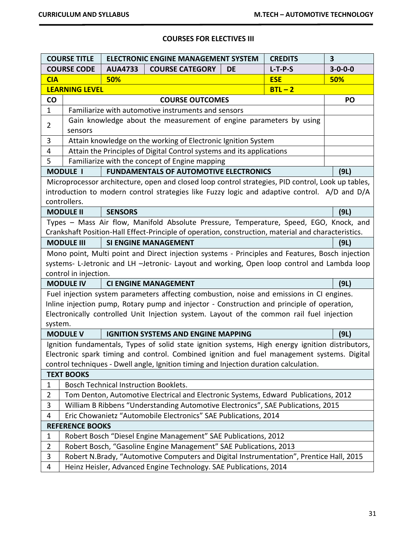# **COURSES FOR ELECTIVES III**

| <b>COURSE TITLE</b> |                                                                                                                                                                         |                                              | <b>ELECTRONIC ENGINE MANAGEMENT SYSTEM</b>                                                                                                                                                      |           | <b>CREDITS</b> | 3               |
|---------------------|-------------------------------------------------------------------------------------------------------------------------------------------------------------------------|----------------------------------------------|-------------------------------------------------------------------------------------------------------------------------------------------------------------------------------------------------|-----------|----------------|-----------------|
| <b>COURSE CODE</b>  |                                                                                                                                                                         | <b>AUA4733</b>                               | <b>COURSE CATEGORY</b>                                                                                                                                                                          | <b>DE</b> | $L-T-P-S$      | $3 - 0 - 0 - 0$ |
| <b>CIA</b>          |                                                                                                                                                                         | 50%                                          |                                                                                                                                                                                                 |           | <b>ESE</b>     | <b>50%</b>      |
|                     | <b>LEARNING LEVEL</b>                                                                                                                                                   |                                              |                                                                                                                                                                                                 |           | $BTL - 2$      |                 |
| <b>CO</b>           | <b>COURSE OUTCOMES</b>                                                                                                                                                  |                                              |                                                                                                                                                                                                 |           | PO             |                 |
| $\mathbf{1}$        |                                                                                                                                                                         |                                              | Familiarize with automotive instruments and sensors                                                                                                                                             |           |                |                 |
| $\overline{2}$      |                                                                                                                                                                         |                                              | Gain knowledge about the measurement of engine parameters by using                                                                                                                              |           |                |                 |
|                     | sensors                                                                                                                                                                 |                                              |                                                                                                                                                                                                 |           |                |                 |
| 3                   |                                                                                                                                                                         |                                              | Attain knowledge on the working of Electronic Ignition System                                                                                                                                   |           |                |                 |
| 4                   |                                                                                                                                                                         |                                              | Attain the Principles of Digital Control systems and its applications                                                                                                                           |           |                |                 |
| 5                   |                                                                                                                                                                         |                                              | Familiarize with the concept of Engine mapping                                                                                                                                                  |           |                |                 |
|                     | <b>MODULE I</b>                                                                                                                                                         |                                              | <b>FUNDAMENTALS OF AUTOMOTIVE ELECTRONICS</b>                                                                                                                                                   |           |                | (9L)            |
|                     |                                                                                                                                                                         |                                              | Microprocessor architecture, open and closed loop control strategies, PID control, Look up tables,                                                                                              |           |                |                 |
|                     |                                                                                                                                                                         |                                              | introduction to modern control strategies like Fuzzy logic and adaptive control. A/D and D/A                                                                                                    |           |                |                 |
|                     | controllers.                                                                                                                                                            |                                              |                                                                                                                                                                                                 |           |                |                 |
|                     | <b>MODULE II</b>                                                                                                                                                        | <b>SENSORS</b>                               |                                                                                                                                                                                                 |           |                | (9L)            |
|                     |                                                                                                                                                                         |                                              | Types - Mass Air flow, Manifold Absolute Pressure, Temperature, Speed, EGO, Knock, and                                                                                                          |           |                |                 |
|                     | Crankshaft Position-Hall Effect-Principle of operation, construction, material and characteristics.                                                                     |                                              |                                                                                                                                                                                                 |           |                |                 |
|                     | <b>MODULE III</b>                                                                                                                                                       |                                              | <b>SI ENGINE MANAGEMENT</b>                                                                                                                                                                     |           |                | (9L)            |
|                     |                                                                                                                                                                         |                                              | Mono point, Multi point and Direct injection systems - Principles and Features, Bosch injection                                                                                                 |           |                |                 |
|                     |                                                                                                                                                                         |                                              | systems- L-Jetronic and LH -Jetronic- Layout and working, Open loop control and Lambda loop                                                                                                     |           |                |                 |
|                     | control in injection.                                                                                                                                                   |                                              |                                                                                                                                                                                                 |           |                |                 |
|                     | <b>MODULE IV</b>                                                                                                                                                        |                                              | <b>CI ENGINE MANAGEMENT</b>                                                                                                                                                                     |           |                | (9L)            |
|                     |                                                                                                                                                                         |                                              | Fuel injection system parameters affecting combustion, noise and emissions in CI engines.                                                                                                       |           |                |                 |
|                     |                                                                                                                                                                         |                                              | Inline injection pump, Rotary pump and injector - Construction and principle of operation,                                                                                                      |           |                |                 |
|                     |                                                                                                                                                                         |                                              | Electronically controlled Unit Injection system. Layout of the common rail fuel injection                                                                                                       |           |                |                 |
| system.             |                                                                                                                                                                         |                                              |                                                                                                                                                                                                 |           |                |                 |
|                     | <b>MODULE V</b>                                                                                                                                                         |                                              | <b>IGNITION SYSTEMS AND ENGINE MAPPING</b>                                                                                                                                                      |           |                | (9L)            |
|                     |                                                                                                                                                                         |                                              | Ignition fundamentals, Types of solid state ignition systems, High energy ignition distributors,<br>Electronic spark timing and control. Combined ignition and fuel management systems. Digital |           |                |                 |
|                     |                                                                                                                                                                         |                                              | control techniques - Dwell angle, Ignition timing and Injection duration calculation.                                                                                                           |           |                |                 |
|                     | <b>TEXT BOOKS</b>                                                                                                                                                       |                                              |                                                                                                                                                                                                 |           |                |                 |
| 1                   |                                                                                                                                                                         | <b>Bosch Technical Instruction Booklets.</b> |                                                                                                                                                                                                 |           |                |                 |
| $\overline{2}$      |                                                                                                                                                                         |                                              |                                                                                                                                                                                                 |           |                |                 |
| 3                   | Tom Denton, Automotive Electrical and Electronic Systems, Edward Publications, 2012<br>William B Ribbens "Understanding Automotive Electronics", SAE Publications, 2015 |                                              |                                                                                                                                                                                                 |           |                |                 |
| 4                   |                                                                                                                                                                         |                                              | Eric Chowanietz "Automobile Electronics" SAE Publications, 2014                                                                                                                                 |           |                |                 |
|                     | <b>REFERENCE BOOKS</b>                                                                                                                                                  |                                              |                                                                                                                                                                                                 |           |                |                 |
| $\mathbf{1}$        |                                                                                                                                                                         |                                              | Robert Bosch "Diesel Engine Management" SAE Publications, 2012                                                                                                                                  |           |                |                 |
| $\overline{2}$      |                                                                                                                                                                         |                                              | Robert Bosch, "Gasoline Engine Management" SAE Publications, 2013                                                                                                                               |           |                |                 |
| 3                   |                                                                                                                                                                         |                                              | Robert N.Brady, "Automotive Computers and Digital Instrumentation", Prentice Hall, 2015                                                                                                         |           |                |                 |
| 4                   |                                                                                                                                                                         |                                              | Heinz Heisler, Advanced Engine Technology. SAE Publications, 2014                                                                                                                               |           |                |                 |
|                     |                                                                                                                                                                         |                                              |                                                                                                                                                                                                 |           |                |                 |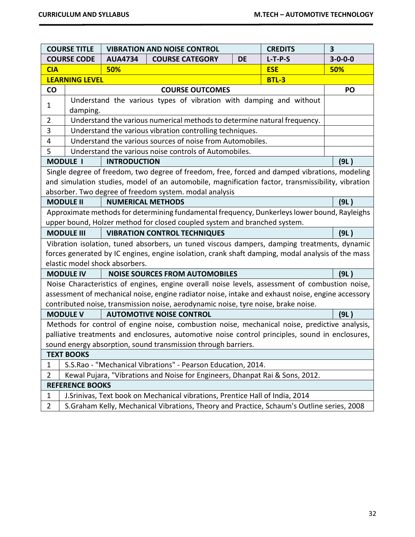|                               | <b>COURSE TITLE</b>                                              |                                | <b>VIBRATION AND NOISE CONTROL</b>                                                                                                                                         |           | <b>CREDITS</b> | 3               |
|-------------------------------|------------------------------------------------------------------|--------------------------------|----------------------------------------------------------------------------------------------------------------------------------------------------------------------------|-----------|----------------|-----------------|
| <b>COURSE CODE</b>            |                                                                  | <b>AUA4734</b>                 | <b>COURSE CATEGORY</b>                                                                                                                                                     | <b>DE</b> | $L-T-P-S$      | $3 - 0 - 0 - 0$ |
| <b>CIA</b>                    |                                                                  | 50%                            |                                                                                                                                                                            |           | <b>ESE</b>     | 50%             |
|                               | <b>LEARNING LEVEL</b>                                            |                                |                                                                                                                                                                            |           | <b>BTL-3</b>   |                 |
| CO                            |                                                                  |                                | <b>COURSE OUTCOMES</b>                                                                                                                                                     |           |                | PO              |
| 1                             |                                                                  |                                | Understand the various types of vibration with damping and without                                                                                                         |           |                |                 |
|                               | damping.                                                         |                                |                                                                                                                                                                            |           |                |                 |
| $\overline{2}$                |                                                                  |                                | Understand the various numerical methods to determine natural frequency.                                                                                                   |           |                |                 |
| 3                             |                                                                  |                                | Understand the various vibration controlling techniques.                                                                                                                   |           |                |                 |
| 4                             |                                                                  |                                | Understand the various sources of noise from Automobiles.                                                                                                                  |           |                |                 |
| 5                             |                                                                  |                                | Understand the various noise controls of Automobiles.                                                                                                                      |           |                |                 |
|                               | <b>MODULE I</b>                                                  | <b>INTRODUCTION</b>            |                                                                                                                                                                            |           |                | (9L)            |
|                               |                                                                  |                                | Single degree of freedom, two degree of freedom, free, forced and damped vibrations, modeling                                                                              |           |                |                 |
|                               |                                                                  |                                | and simulation studies, model of an automobile, magnification factor, transmissibility, vibration                                                                          |           |                |                 |
|                               |                                                                  |                                | absorber. Two degree of freedom system. modal analysis                                                                                                                     |           |                |                 |
|                               | <b>MODULE II</b>                                                 | <b>NUMERICAL METHODS</b>       |                                                                                                                                                                            |           |                | (9L)            |
|                               |                                                                  |                                | Approximate methods for determining fundamental frequency, Dunkerleys lower bound, Rayleighs                                                                               |           |                |                 |
|                               |                                                                  |                                | upper bound, Holzer method for closed coupled system and branched system.                                                                                                  |           |                |                 |
|                               | <b>VIBRATION CONTROL TECHNIQUES</b><br><b>MODULE III</b><br>(9L) |                                |                                                                                                                                                                            |           |                |                 |
|                               |                                                                  |                                | Vibration isolation, tuned absorbers, un tuned viscous dampers, damping treatments, dynamic                                                                                |           |                |                 |
|                               |                                                                  |                                | forces generated by IC engines, engine isolation, crank shaft damping, modal analysis of the mass                                                                          |           |                |                 |
|                               |                                                                  | elastic model shock absorbers. |                                                                                                                                                                            |           |                |                 |
|                               | <b>MODULE IV</b>                                                 |                                | <b>NOISE SOURCES FROM AUTOMOBILES</b>                                                                                                                                      |           |                | (9L)            |
|                               |                                                                  |                                | Noise Characteristics of engines, engine overall noise levels, assessment of combustion noise,                                                                             |           |                |                 |
|                               |                                                                  |                                | assessment of mechanical noise, engine radiator noise, intake and exhaust noise, engine accessory                                                                          |           |                |                 |
|                               |                                                                  |                                | contributed noise, transmission noise, aerodynamic noise, tyre noise, brake noise.                                                                                         |           |                |                 |
|                               | <b>MODULE V</b>                                                  |                                | <b>AUTOMOTIVE NOISE CONTROL</b>                                                                                                                                            |           |                | (9L)            |
|                               |                                                                  |                                | Methods for control of engine noise, combustion noise, mechanical noise, predictive analysis,                                                                              |           |                |                 |
|                               |                                                                  |                                | palliative treatments and enclosures, automotive noise control principles, sound in enclosures,                                                                            |           |                |                 |
|                               |                                                                  |                                | sound energy absorption, sound transmission through barriers.                                                                                                              |           |                |                 |
|                               | <b>TEXT BOOKS</b>                                                |                                |                                                                                                                                                                            |           |                |                 |
| 1                             |                                                                  |                                | S.S.Rao - "Mechanical Vibrations" - Pearson Education, 2014.                                                                                                               |           |                |                 |
| $\overline{2}$                |                                                                  |                                | Kewal Pujara, "Vibrations and Noise for Engineers, Dhanpat Rai & Sons, 2012.                                                                                               |           |                |                 |
|                               | <b>REFERENCE BOOKS</b>                                           |                                |                                                                                                                                                                            |           |                |                 |
|                               |                                                                  |                                |                                                                                                                                                                            |           |                |                 |
| $\mathbf 1$<br>$\overline{2}$ |                                                                  |                                | J. Srinivas, Text book on Mechanical vibrations, Prentice Hall of India, 2014<br>S.Graham Kelly, Mechanical Vibrations, Theory and Practice, Schaum's Outline series, 2008 |           |                |                 |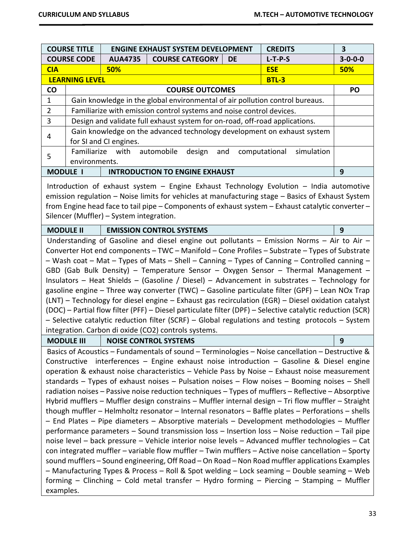| <b>COURSE TITLE</b>                                                                                                                                                                                                                                                                                                                                                                                                                                                                                                                                                                                                                                                                                                                                                                                                                                                                                                                                                          |                                                                         |                        | <b>ENGINE EXHAUST SYSTEM DEVELOPMENT</b>                                                                                                                                                                                                                                                                                                                                                                                                                                                                                                                                                                                                                                                                                                                                                                                                                                                                                                                                                                                                                                                                                                                                                                                                                                                                                                                                                                                               |           | <b>CREDITS</b>              | $\overline{\mathbf{3}}$ |
|------------------------------------------------------------------------------------------------------------------------------------------------------------------------------------------------------------------------------------------------------------------------------------------------------------------------------------------------------------------------------------------------------------------------------------------------------------------------------------------------------------------------------------------------------------------------------------------------------------------------------------------------------------------------------------------------------------------------------------------------------------------------------------------------------------------------------------------------------------------------------------------------------------------------------------------------------------------------------|-------------------------------------------------------------------------|------------------------|----------------------------------------------------------------------------------------------------------------------------------------------------------------------------------------------------------------------------------------------------------------------------------------------------------------------------------------------------------------------------------------------------------------------------------------------------------------------------------------------------------------------------------------------------------------------------------------------------------------------------------------------------------------------------------------------------------------------------------------------------------------------------------------------------------------------------------------------------------------------------------------------------------------------------------------------------------------------------------------------------------------------------------------------------------------------------------------------------------------------------------------------------------------------------------------------------------------------------------------------------------------------------------------------------------------------------------------------------------------------------------------------------------------------------------------|-----------|-----------------------------|-------------------------|
| <b>COURSE CODE</b>                                                                                                                                                                                                                                                                                                                                                                                                                                                                                                                                                                                                                                                                                                                                                                                                                                                                                                                                                           |                                                                         | <b>AUA4735</b>         | <b>COURSE CATEGORY</b>                                                                                                                                                                                                                                                                                                                                                                                                                                                                                                                                                                                                                                                                                                                                                                                                                                                                                                                                                                                                                                                                                                                                                                                                                                                                                                                                                                                                                 | <b>DE</b> | $L-T-P-S$                   | $3 - 0 - 0 - 0$         |
| <b>CIA</b>                                                                                                                                                                                                                                                                                                                                                                                                                                                                                                                                                                                                                                                                                                                                                                                                                                                                                                                                                                   | 50%<br><b>ESE</b>                                                       |                        |                                                                                                                                                                                                                                                                                                                                                                                                                                                                                                                                                                                                                                                                                                                                                                                                                                                                                                                                                                                                                                                                                                                                                                                                                                                                                                                                                                                                                                        | 50%       |                             |                         |
| <b>LEARNING LEVEL</b><br><b>BTL-3</b>                                                                                                                                                                                                                                                                                                                                                                                                                                                                                                                                                                                                                                                                                                                                                                                                                                                                                                                                        |                                                                         |                        |                                                                                                                                                                                                                                                                                                                                                                                                                                                                                                                                                                                                                                                                                                                                                                                                                                                                                                                                                                                                                                                                                                                                                                                                                                                                                                                                                                                                                                        |           |                             |                         |
| CO                                                                                                                                                                                                                                                                                                                                                                                                                                                                                                                                                                                                                                                                                                                                                                                                                                                                                                                                                                           | <b>COURSE OUTCOMES</b>                                                  |                        |                                                                                                                                                                                                                                                                                                                                                                                                                                                                                                                                                                                                                                                                                                                                                                                                                                                                                                                                                                                                                                                                                                                                                                                                                                                                                                                                                                                                                                        |           |                             | PO                      |
| $\mathbf 1$                                                                                                                                                                                                                                                                                                                                                                                                                                                                                                                                                                                                                                                                                                                                                                                                                                                                                                                                                                  |                                                                         |                        | Gain knowledge in the global environmental of air pollution control bureaus.                                                                                                                                                                                                                                                                                                                                                                                                                                                                                                                                                                                                                                                                                                                                                                                                                                                                                                                                                                                                                                                                                                                                                                                                                                                                                                                                                           |           |                             |                         |
| $\overline{2}$                                                                                                                                                                                                                                                                                                                                                                                                                                                                                                                                                                                                                                                                                                                                                                                                                                                                                                                                                               |                                                                         |                        | Familiarize with emission control systems and noise control devices.                                                                                                                                                                                                                                                                                                                                                                                                                                                                                                                                                                                                                                                                                                                                                                                                                                                                                                                                                                                                                                                                                                                                                                                                                                                                                                                                                                   |           |                             |                         |
| 3                                                                                                                                                                                                                                                                                                                                                                                                                                                                                                                                                                                                                                                                                                                                                                                                                                                                                                                                                                            |                                                                         |                        | Design and validate full exhaust system for on-road, off-road applications.                                                                                                                                                                                                                                                                                                                                                                                                                                                                                                                                                                                                                                                                                                                                                                                                                                                                                                                                                                                                                                                                                                                                                                                                                                                                                                                                                            |           |                             |                         |
| 4                                                                                                                                                                                                                                                                                                                                                                                                                                                                                                                                                                                                                                                                                                                                                                                                                                                                                                                                                                            | Gain knowledge on the advanced technology development on exhaust system |                        |                                                                                                                                                                                                                                                                                                                                                                                                                                                                                                                                                                                                                                                                                                                                                                                                                                                                                                                                                                                                                                                                                                                                                                                                                                                                                                                                                                                                                                        |           |                             |                         |
|                                                                                                                                                                                                                                                                                                                                                                                                                                                                                                                                                                                                                                                                                                                                                                                                                                                                                                                                                                              |                                                                         | for SI and CI engines. |                                                                                                                                                                                                                                                                                                                                                                                                                                                                                                                                                                                                                                                                                                                                                                                                                                                                                                                                                                                                                                                                                                                                                                                                                                                                                                                                                                                                                                        |           |                             |                         |
| 5                                                                                                                                                                                                                                                                                                                                                                                                                                                                                                                                                                                                                                                                                                                                                                                                                                                                                                                                                                            | Familiarize                                                             | with                   | automobile<br>design<br>and                                                                                                                                                                                                                                                                                                                                                                                                                                                                                                                                                                                                                                                                                                                                                                                                                                                                                                                                                                                                                                                                                                                                                                                                                                                                                                                                                                                                            |           | computational<br>simulation |                         |
|                                                                                                                                                                                                                                                                                                                                                                                                                                                                                                                                                                                                                                                                                                                                                                                                                                                                                                                                                                              | environments.                                                           |                        |                                                                                                                                                                                                                                                                                                                                                                                                                                                                                                                                                                                                                                                                                                                                                                                                                                                                                                                                                                                                                                                                                                                                                                                                                                                                                                                                                                                                                                        |           |                             |                         |
|                                                                                                                                                                                                                                                                                                                                                                                                                                                                                                                                                                                                                                                                                                                                                                                                                                                                                                                                                                              | <b>MODULE I</b>                                                         |                        | <b>INTRODUCTION TO ENGINE EXHAUST</b>                                                                                                                                                                                                                                                                                                                                                                                                                                                                                                                                                                                                                                                                                                                                                                                                                                                                                                                                                                                                                                                                                                                                                                                                                                                                                                                                                                                                  |           |                             | 9                       |
| Introduction of exhaust system $-$ Engine Exhaust Technology Evolution $-$ India automotive<br>emission regulation - Noise limits for vehicles at manufacturing stage - Basics of Exhaust System<br>from Engine head face to tail pipe - Components of exhaust system - Exhaust catalytic converter -<br>Silencer (Muffler) - System integration.                                                                                                                                                                                                                                                                                                                                                                                                                                                                                                                                                                                                                            |                                                                         |                        |                                                                                                                                                                                                                                                                                                                                                                                                                                                                                                                                                                                                                                                                                                                                                                                                                                                                                                                                                                                                                                                                                                                                                                                                                                                                                                                                                                                                                                        |           |                             |                         |
| <b>MODULE II</b>                                                                                                                                                                                                                                                                                                                                                                                                                                                                                                                                                                                                                                                                                                                                                                                                                                                                                                                                                             |                                                                         |                        | <b>EMISSION CONTROL SYSTEMS</b>                                                                                                                                                                                                                                                                                                                                                                                                                                                                                                                                                                                                                                                                                                                                                                                                                                                                                                                                                                                                                                                                                                                                                                                                                                                                                                                                                                                                        |           |                             | 9                       |
|                                                                                                                                                                                                                                                                                                                                                                                                                                                                                                                                                                                                                                                                                                                                                                                                                                                                                                                                                                              |                                                                         |                        |                                                                                                                                                                                                                                                                                                                                                                                                                                                                                                                                                                                                                                                                                                                                                                                                                                                                                                                                                                                                                                                                                                                                                                                                                                                                                                                                                                                                                                        |           |                             |                         |
| Understanding of Gasoline and diesel engine out pollutants $-$ Emission Norms $-$ Air to Air $-$<br>Converter Hot end components - TWC - Manifold - Cone Profiles - Substrate - Types of Substrate<br>- Wash coat - Mat - Types of Mats - Shell - Canning - Types of Canning - Controlled canning -<br>GBD (Gab Bulk Density) - Temperature Sensor - Oxygen Sensor - Thermal Management -<br>Insulators - Heat Shields - (Gasoline / Diesel) - Advancement in substrates - Technology for<br>gasoline engine - Three way converter (TWC) - Gasoline particulate filter (GPF) - Lean NOx Trap<br>(LNT) - Technology for diesel engine - Exhaust gas recirculation (EGR) - Diesel oxidation catalyst<br>(DOC) - Partial flow filter (PFF) - Diesel particulate filter (DPF) - Selective catalytic reduction (SCR)<br>- Selective catalytic reduction filter (SCRF) - Global regulations and testing protocols - System<br>integration. Carbon di oxide (CO2) controls systems. |                                                                         |                        |                                                                                                                                                                                                                                                                                                                                                                                                                                                                                                                                                                                                                                                                                                                                                                                                                                                                                                                                                                                                                                                                                                                                                                                                                                                                                                                                                                                                                                        |           |                             |                         |
|                                                                                                                                                                                                                                                                                                                                                                                                                                                                                                                                                                                                                                                                                                                                                                                                                                                                                                                                                                              | <b>MODULE III</b>                                                       |                        | <b>NOISE CONTROL SYSTEMS</b>                                                                                                                                                                                                                                                                                                                                                                                                                                                                                                                                                                                                                                                                                                                                                                                                                                                                                                                                                                                                                                                                                                                                                                                                                                                                                                                                                                                                           |           |                             | 9                       |
| examples.                                                                                                                                                                                                                                                                                                                                                                                                                                                                                                                                                                                                                                                                                                                                                                                                                                                                                                                                                                    | Constructive                                                            |                        | Basics of Acoustics – Fundamentals of sound – Terminologies – Noise cancellation – Destructive &<br>interferences - Engine exhaust noise introduction - Gasoline & Diesel engine<br>operation & exhaust noise characteristics - Vehicle Pass by Noise - Exhaust noise measurement<br>standards $-$ Types of exhaust noises $-$ Pulsation noises $-$ Flow noises $-$ Booming noises $-$ Shell<br>radiation noises - Passive noise reduction techniques - Types of mufflers - Reflective - Absorptive<br>Hybrid mufflers - Muffler design constrains - Muffler internal design - Tri flow muffler - Straight<br>though muffler $-$ Helmholtz resonator $-$ Internal resonators $-$ Baffle plates $-$ Perforations $-$ shells<br>- End Plates - Pipe diameters - Absorptive materials - Development methodologies - Muffler<br>performance parameters - Sound transmission loss - Insertion loss - Noise reduction - Tail pipe<br>noise level - back pressure - Vehicle interior noise levels - Advanced muffler technologies - Cat<br>con integrated muffler - variable flow muffler - Twin mufflers - Active noise cancellation - Sporty<br>sound mufflers - Sound engineering, Off Road - On Road - Non Road muffler applications Examples<br>- Manufacturing Types & Process - Roll & Spot welding - Lock seaming - Double seaming - Web<br>forming - Clinching - Cold metal transfer - Hydro forming - Piercing - Stamping - Muffler |           |                             |                         |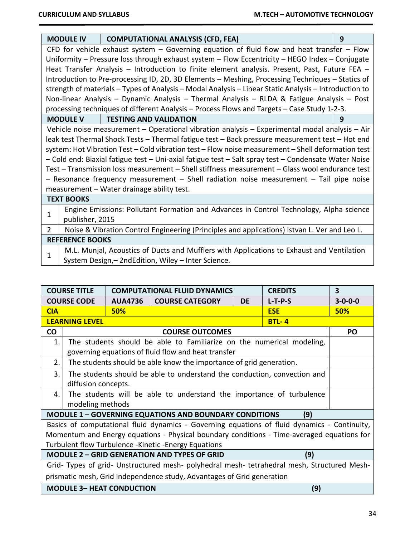|                | <b>MODULE IV</b>                                                                               | <b>COMPUTATIONAL ANALYSIS (CFD, FEA)</b>                                                              | 9 |  |  |  |  |  |
|----------------|------------------------------------------------------------------------------------------------|-------------------------------------------------------------------------------------------------------|---|--|--|--|--|--|
|                | CFD for vehicle exhaust system $-$ Governing equation of fluid flow and heat transfer $-$ Flow |                                                                                                       |   |  |  |  |  |  |
|                | Uniformity - Pressure loss through exhaust system - Flow Eccentricity - HEGO Index - Conjugate |                                                                                                       |   |  |  |  |  |  |
|                |                                                                                                | Heat Transfer Analysis - Introduction to finite element analysis. Present, Past, Future FEA -         |   |  |  |  |  |  |
|                |                                                                                                | Introduction to Pre-processing ID, 2D, 3D Elements - Meshing, Processing Techniques - Statics of      |   |  |  |  |  |  |
|                |                                                                                                | strength of materials – Types of Analysis – Modal Analysis – Linear Static Analysis – Introduction to |   |  |  |  |  |  |
|                |                                                                                                | Non-linear Analysis – Dynamic Analysis – Thermal Analysis – RLDA & Fatigue Analysis – Post            |   |  |  |  |  |  |
|                |                                                                                                | processing techniques of different Analysis - Process Flows and Targets - Case Study 1-2-3.           |   |  |  |  |  |  |
|                | <b>MODULE V</b>                                                                                | <b>TESTING AND VALIDATION</b>                                                                         | 9 |  |  |  |  |  |
|                |                                                                                                | Vehicle noise measurement – Operational vibration analysis – Experimental modal analysis – Air        |   |  |  |  |  |  |
|                |                                                                                                | leak test Thermal Shock Tests - Thermal fatigue test - Back pressure measurement test - Hot end       |   |  |  |  |  |  |
|                |                                                                                                | system: Hot Vibration Test - Cold vibration test - Flow noise measurement - Shell deformation test    |   |  |  |  |  |  |
|                |                                                                                                | - Cold end: Biaxial fatigue test - Uni-axial fatigue test - Salt spray test - Condensate Water Noise  |   |  |  |  |  |  |
|                |                                                                                                | Test - Transmission loss measurement - Shell stiffness measurement - Glass wool endurance test        |   |  |  |  |  |  |
|                |                                                                                                | - Resonance frequency measurement - Shell radiation noise measurement - Tail pipe noise               |   |  |  |  |  |  |
|                |                                                                                                | measurement - Water drainage ability test.                                                            |   |  |  |  |  |  |
|                | <b>TEXT BOOKS</b>                                                                              |                                                                                                       |   |  |  |  |  |  |
| 1              |                                                                                                | Engine Emissions: Pollutant Formation and Advances in Control Technology, Alpha science               |   |  |  |  |  |  |
|                | publisher, 2015                                                                                |                                                                                                       |   |  |  |  |  |  |
| $\overline{2}$ |                                                                                                | Noise & Vibration Control Engineering (Principles and applications) Istvan L. Ver and Leo L.          |   |  |  |  |  |  |
|                | <b>REFERENCE BOOKS</b>                                                                         |                                                                                                       |   |  |  |  |  |  |
| 1              |                                                                                                | M.L. Munjal, Acoustics of Ducts and Mufflers with Applications to Exhaust and Ventilation             |   |  |  |  |  |  |
|                |                                                                                                | System Design,-2ndEdition, Wiley - Inter Science.                                                     |   |  |  |  |  |  |

| <b>COURSE TITLE</b> |                                  | <b>COMPUTATIONAL FLUID DYNAMICS</b> |                                                                                              | <b>CREDITS</b> | 3          |                 |
|---------------------|----------------------------------|-------------------------------------|----------------------------------------------------------------------------------------------|----------------|------------|-----------------|
|                     | <b>COURSE CODE</b>               | <b>AUA4736</b>                      | <b>COURSE CATEGORY</b>                                                                       | DE             | $L-T-P-S$  | $3 - 0 - 0 - 0$ |
| <b>CIA</b>          |                                  | 50%                                 |                                                                                              |                | <b>ESE</b> | 50%             |
|                     | <b>LEARNING LEVEL</b>            |                                     |                                                                                              |                | $BTL-4$    |                 |
| <b>CO</b>           |                                  | <b>PO</b>                           |                                                                                              |                |            |                 |
| 1.                  |                                  |                                     | The students should be able to Familiarize on the numerical modeling,                        |                |            |                 |
|                     |                                  |                                     | governing equations of fluid flow and heat transfer                                          |                |            |                 |
| 2.                  |                                  |                                     | The students should be able know the importance of grid generation.                          |                |            |                 |
| 3.                  |                                  |                                     | The students should be able to understand the conduction, convection and                     |                |            |                 |
|                     | diffusion concepts.              |                                     |                                                                                              |                |            |                 |
| 4.                  |                                  |                                     | The students will be able to understand the importance of turbulence                         |                |            |                 |
|                     | modeling methods                 |                                     |                                                                                              |                |            |                 |
|                     |                                  |                                     | <b>MODULE 1 - GOVERNING EQUATIONS AND BOUNDARY CONDITIONS</b>                                |                | (9)        |                 |
|                     |                                  |                                     | Basics of computational fluid dynamics - Governing equations of fluid dynamics - Continuity, |                |            |                 |
|                     |                                  |                                     | Momentum and Energy equations - Physical boundary conditions - Time-averaged equations for   |                |            |                 |
|                     |                                  |                                     | Turbulent flow Turbulence - Kinetic - Energy Equations                                       |                |            |                 |
|                     |                                  |                                     | <b>MODULE 2 - GRID GENERATION AND TYPES OF GRID</b>                                          |                | (9)        |                 |
|                     |                                  |                                     | Grid- Types of grid- Unstructured mesh- polyhedral mesh- tetrahedral mesh, Structured Mesh-  |                |            |                 |
|                     |                                  |                                     | prismatic mesh, Grid Independence study, Advantages of Grid generation                       |                |            |                 |
|                     | <b>MODULE 3- HEAT CONDUCTION</b> |                                     |                                                                                              |                | (9)        |                 |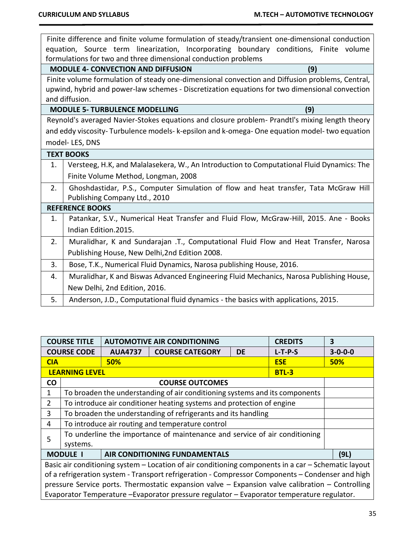|    | Finite difference and finite volume formulation of steady/transient one-dimensional conduction  |  |  |  |  |  |  |
|----|-------------------------------------------------------------------------------------------------|--|--|--|--|--|--|
|    | equation, Source term linearization, Incorporating boundary conditions, Finite volume           |  |  |  |  |  |  |
|    | formulations for two and three dimensional conduction problems                                  |  |  |  |  |  |  |
|    | <b>MODULE 4- CONVECTION AND DIFFUSION</b><br>(9)                                                |  |  |  |  |  |  |
|    | Finite volume formulation of steady one-dimensional convection and Diffusion problems, Central, |  |  |  |  |  |  |
|    | upwind, hybrid and power-law schemes - Discretization equations for two dimensional convection  |  |  |  |  |  |  |
|    | and diffusion.                                                                                  |  |  |  |  |  |  |
|    | <b>MODULE 5- TURBULENCE MODELLING</b><br>(9)                                                    |  |  |  |  |  |  |
|    | Reynold's averaged Navier-Stokes equations and closure problem- Prandtl's mixing length theory  |  |  |  |  |  |  |
|    | and eddy viscosity-Turbulence models- k-epsilon and k-omega-One equation model-two equation     |  |  |  |  |  |  |
|    | model-LES, DNS                                                                                  |  |  |  |  |  |  |
|    | <b>TEXT BOOKS</b>                                                                               |  |  |  |  |  |  |
| 1. | Versteeg, H.K, and Malalasekera, W., An Introduction to Computational Fluid Dynamics: The       |  |  |  |  |  |  |
|    | Finite Volume Method, Longman, 2008                                                             |  |  |  |  |  |  |
| 2. | Ghoshdastidar, P.S., Computer Simulation of flow and heat transfer, Tata McGraw Hill            |  |  |  |  |  |  |
|    | Publishing Company Ltd., 2010                                                                   |  |  |  |  |  |  |
|    | <b>REFERENCE BOOKS</b>                                                                          |  |  |  |  |  |  |
| 1. | Patankar, S.V., Numerical Heat Transfer and Fluid Flow, McGraw-Hill, 2015. Ane - Books          |  |  |  |  |  |  |
|    | Indian Edition.2015.                                                                            |  |  |  |  |  |  |
| 2. | Muralidhar, K and Sundarajan .T., Computational Fluid Flow and Heat Transfer, Narosa            |  |  |  |  |  |  |
|    | Publishing House, New Delhi, 2nd Edition 2008.                                                  |  |  |  |  |  |  |
| 3. | Bose, T.K., Numerical Fluid Dynamics, Narosa publishing House, 2016.                            |  |  |  |  |  |  |
| 4. | Muralidhar, K and Biswas Advanced Engineering Fluid Mechanics, Narosa Publishing House,         |  |  |  |  |  |  |
|    | New Delhi, 2nd Edition, 2016.                                                                   |  |  |  |  |  |  |
| 5. | Anderson, J.D., Computational fluid dynamics - the basics with applications, 2015.              |  |  |  |  |  |  |
|    |                                                                                                 |  |  |  |  |  |  |

|                | <b>AUTOMOTIVE AIR CONDITIONING</b><br><b>COURSE TITLE</b>                                        |                | <b>CREDITS</b>                                                                                      | 3         |            |                 |  |
|----------------|--------------------------------------------------------------------------------------------------|----------------|-----------------------------------------------------------------------------------------------------|-----------|------------|-----------------|--|
|                | <b>COURSE CODE</b>                                                                               | <b>AUA4737</b> | <b>COURSE CATEGORY</b>                                                                              | <b>DE</b> | $L-T-P-S$  | $3 - 0 - 0 - 0$ |  |
| <b>CIA</b>     |                                                                                                  | <b>50%</b>     |                                                                                                     |           | <b>ESE</b> | <b>50%</b>      |  |
|                | <b>LEARNING LEVEL</b><br><b>BTL-3</b>                                                            |                |                                                                                                     |           |            |                 |  |
| CO             |                                                                                                  |                | <b>COURSE OUTCOMES</b>                                                                              |           |            |                 |  |
| 1              |                                                                                                  |                | To broaden the understanding of air conditioning systems and its components                         |           |            |                 |  |
| $\overline{2}$ |                                                                                                  |                | To introduce air conditioner heating systems and protection of engine                               |           |            |                 |  |
| 3              | To broaden the understanding of refrigerants and its handling                                    |                |                                                                                                     |           |            |                 |  |
| 4              |                                                                                                  |                | To introduce air routing and temperature control                                                    |           |            |                 |  |
| 5              |                                                                                                  |                | To underline the importance of maintenance and service of air conditioning                          |           |            |                 |  |
|                | systems.                                                                                         |                |                                                                                                     |           |            |                 |  |
|                | <b>MODULE I</b>                                                                                  |                | AIR CONDITIONING FUNDAMENTALS                                                                       |           |            | (9L)            |  |
|                |                                                                                                  |                | Basic air conditioning system - Location of air conditioning components in a car - Schematic layout |           |            |                 |  |
|                |                                                                                                  |                | of a refrigeration system - Transport refrigeration - Compressor Components - Condenser and high    |           |            |                 |  |
|                | pressure Service ports. Thermostatic expansion valve - Expansion valve calibration - Controlling |                |                                                                                                     |           |            |                 |  |
|                |                                                                                                  |                | Evaporator Temperature - Evaporator pressure regulator - Evaporator temperature regulator.          |           |            |                 |  |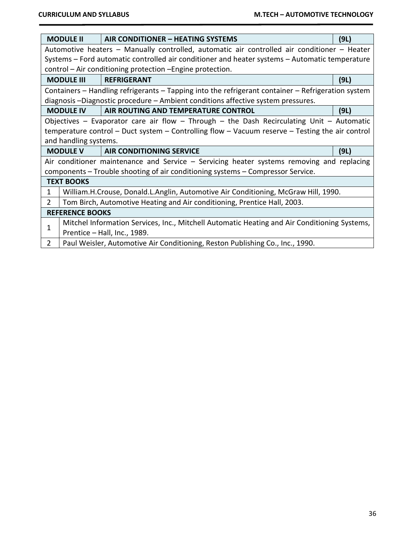| <b>MODULE II</b>                                                                            |                                                                                                | AIR CONDITIONER – HEATING SYSTEMS                                                                       | (9L) |  |  |  |  |
|---------------------------------------------------------------------------------------------|------------------------------------------------------------------------------------------------|---------------------------------------------------------------------------------------------------------|------|--|--|--|--|
| Automotive heaters – Manually controlled, automatic air controlled air conditioner – Heater |                                                                                                |                                                                                                         |      |  |  |  |  |
|                                                                                             | Systems - Ford automatic controlled air conditioner and heater systems - Automatic temperature |                                                                                                         |      |  |  |  |  |
|                                                                                             |                                                                                                | control – Air conditioning protection – Engine protection.                                              |      |  |  |  |  |
|                                                                                             | <b>MODULE III</b><br><b>REFRIGERANT</b>                                                        |                                                                                                         |      |  |  |  |  |
|                                                                                             |                                                                                                | Containers - Handling refrigerants - Tapping into the refrigerant container - Refrigeration system      |      |  |  |  |  |
|                                                                                             |                                                                                                | diagnosis -Diagnostic procedure - Ambient conditions affective system pressures.                        |      |  |  |  |  |
|                                                                                             | <b>MODULE IV</b>                                                                               | AIR ROUTING AND TEMPERATURE CONTROL                                                                     | (9L) |  |  |  |  |
|                                                                                             |                                                                                                | Objectives – Evaporator care air flow – Through – the Dash Recirculating Unit – Automatic               |      |  |  |  |  |
|                                                                                             |                                                                                                | temperature control $-$ Duct system $-$ Controlling flow $-$ Vacuum reserve $-$ Testing the air control |      |  |  |  |  |
|                                                                                             | and handling systems.                                                                          |                                                                                                         |      |  |  |  |  |
|                                                                                             | <b>MODULE V</b>                                                                                | <b>AIR CONDITIONING SERVICE</b>                                                                         | (9L) |  |  |  |  |
|                                                                                             |                                                                                                | Air conditioner maintenance and Service $-$ Servicing heater systems removing and replacing             |      |  |  |  |  |
|                                                                                             |                                                                                                | components - Trouble shooting of air conditioning systems - Compressor Service.                         |      |  |  |  |  |
|                                                                                             | <b>TEXT BOOKS</b>                                                                              |                                                                                                         |      |  |  |  |  |
| 1                                                                                           |                                                                                                | William.H.Crouse, Donald.L.Anglin, Automotive Air Conditioning, McGraw Hill, 1990.                      |      |  |  |  |  |
| $\overline{2}$                                                                              |                                                                                                | Tom Birch, Automotive Heating and Air conditioning, Prentice Hall, 2003.                                |      |  |  |  |  |
|                                                                                             | <b>REFERENCE BOOKS</b>                                                                         |                                                                                                         |      |  |  |  |  |
| 1                                                                                           |                                                                                                | Mitchel Information Services, Inc., Mitchell Automatic Heating and Air Conditioning Systems,            |      |  |  |  |  |
|                                                                                             |                                                                                                | Prentice - Hall, Inc., 1989.                                                                            |      |  |  |  |  |
| $\overline{2}$                                                                              |                                                                                                | Paul Weisler, Automotive Air Conditioning, Reston Publishing Co., Inc., 1990.                           |      |  |  |  |  |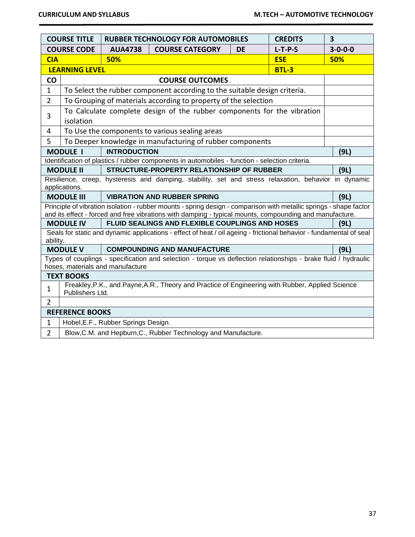|                | <b>COURSE TITLE</b>                                                                                                 |                                     | <b>RUBBER TECHNOLOGY FOR AUTOMOBILES</b>                                                                                                                                                                                      |           | <b>CREDITS</b> | $\overline{\mathbf{3}}$ |  |
|----------------|---------------------------------------------------------------------------------------------------------------------|-------------------------------------|-------------------------------------------------------------------------------------------------------------------------------------------------------------------------------------------------------------------------------|-----------|----------------|-------------------------|--|
|                | <b>COURSE CODE</b>                                                                                                  | <b>AUA4738</b>                      | <b>COURSE CATEGORY</b>                                                                                                                                                                                                        | <b>DE</b> | $L-T-P-S$      | $3 - 0 - 0 - 0$         |  |
| <b>CIA</b>     |                                                                                                                     | 50%                                 |                                                                                                                                                                                                                               |           | <b>ESE</b>     | 50%                     |  |
|                | <b>LEARNING LEVEL</b><br><b>BTL-3</b>                                                                               |                                     |                                                                                                                                                                                                                               |           |                |                         |  |
| CO             | <b>COURSE OUTCOMES</b>                                                                                              |                                     |                                                                                                                                                                                                                               |           |                |                         |  |
| $\mathbf{1}$   | To Select the rubber component according to the suitable design criteria.                                           |                                     |                                                                                                                                                                                                                               |           |                |                         |  |
| $\overline{2}$ | To Grouping of materials according to property of the selection                                                     |                                     |                                                                                                                                                                                                                               |           |                |                         |  |
| 3              | To Calculate complete design of the rubber components for the vibration<br>isolation                                |                                     |                                                                                                                                                                                                                               |           |                |                         |  |
| 4              |                                                                                                                     |                                     | To Use the components to various sealing areas                                                                                                                                                                                |           |                |                         |  |
| 5              |                                                                                                                     |                                     | To Deeper knowledge in manufacturing of rubber components                                                                                                                                                                     |           |                |                         |  |
|                | <b>MODULE I</b>                                                                                                     | <b>INTRODUCTION</b>                 |                                                                                                                                                                                                                               |           |                | (9L)                    |  |
|                |                                                                                                                     |                                     | Identification of plastics / rubber components in automobiles - function - selection criteria.                                                                                                                                |           |                |                         |  |
|                | <b>MODULE II</b>                                                                                                    |                                     | STRUCTURE-PROPERTY RELATIONSHIP OF RUBBER                                                                                                                                                                                     |           |                | (9L)                    |  |
|                | applications.                                                                                                       |                                     | Resilience, creep, hysteresis and damping, stability, set and stress relaxation, behavior in dynamic                                                                                                                          |           |                |                         |  |
|                | <b>MODULE III</b>                                                                                                   |                                     | <b>VIBRATION AND RUBBER SPRING</b>                                                                                                                                                                                            |           |                | (9L)                    |  |
|                |                                                                                                                     |                                     | Principle of vibration isolation - rubber mounts - spring design - comparison with metallic springs - shape factor<br>and its effect - forced and free vibrations with damping - typical mounts, compounding and manufacture. |           |                |                         |  |
|                | <b>MODULE IV</b>                                                                                                    |                                     | FLUID SEALINGS AND FLEXIBLE COUPLINGS AND HOSES                                                                                                                                                                               |           |                | (9L)                    |  |
| ability.       |                                                                                                                     |                                     | Seals for static and dynamic applications - effect of heat / oil ageing - frictional behavior - fundamental of seal                                                                                                           |           |                |                         |  |
|                | <b>MODULE V</b>                                                                                                     |                                     | <b>COMPOUNDING AND MANUFACTURE</b>                                                                                                                                                                                            |           |                | (9L)                    |  |
|                |                                                                                                                     | hoses, materials and manufacture    | Types of couplings - specification and selection - torque vs deflection relationships - brake fluid / hydraulic                                                                                                               |           |                |                         |  |
|                | <b>TEXT BOOKS</b>                                                                                                   |                                     |                                                                                                                                                                                                                               |           |                |                         |  |
| $\mathbf{1}$   | Freakley, P.K., and Payne, A.R., Theory and Practice of Engineering with Rubber, Applied Science<br>Publishers Ltd. |                                     |                                                                                                                                                                                                                               |           |                |                         |  |
| $\overline{2}$ |                                                                                                                     |                                     |                                                                                                                                                                                                                               |           |                |                         |  |
|                | <b>REFERENCE BOOKS</b>                                                                                              |                                     |                                                                                                                                                                                                                               |           |                |                         |  |
| $\mathbf{1}$   |                                                                                                                     | Hobel, E.F., Rubber Springs Design. |                                                                                                                                                                                                                               |           |                |                         |  |
| $\overline{2}$ |                                                                                                                     |                                     | Blow, C.M. and Hepburn, C., Rubber Technology and Manufacture.                                                                                                                                                                |           |                |                         |  |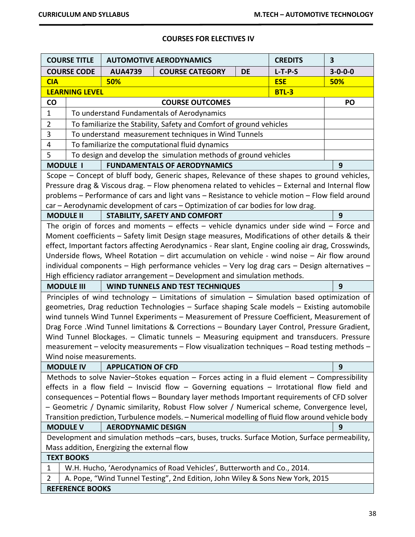# **COURSES FOR ELECTIVES IV**

| <b>COURSE TITLE</b> |                                                                                                                                                                                                                                                                                                                                                                                                                                                                                                                                                                                                                                                                                                                                                                                                                                                                                                                                                                                                                                                                                                                                                                                                                                                                                                                                                                                                                                                                                                                               |                                             | <b>AUTOMOTIVE AERODYNAMICS</b>                                                                 |           | <b>CREDITS</b> | 3               |
|---------------------|-------------------------------------------------------------------------------------------------------------------------------------------------------------------------------------------------------------------------------------------------------------------------------------------------------------------------------------------------------------------------------------------------------------------------------------------------------------------------------------------------------------------------------------------------------------------------------------------------------------------------------------------------------------------------------------------------------------------------------------------------------------------------------------------------------------------------------------------------------------------------------------------------------------------------------------------------------------------------------------------------------------------------------------------------------------------------------------------------------------------------------------------------------------------------------------------------------------------------------------------------------------------------------------------------------------------------------------------------------------------------------------------------------------------------------------------------------------------------------------------------------------------------------|---------------------------------------------|------------------------------------------------------------------------------------------------|-----------|----------------|-----------------|
|                     | <b>COURSE CODE</b>                                                                                                                                                                                                                                                                                                                                                                                                                                                                                                                                                                                                                                                                                                                                                                                                                                                                                                                                                                                                                                                                                                                                                                                                                                                                                                                                                                                                                                                                                                            | <b>AUA4739</b>                              | <b>COURSE CATEGORY</b>                                                                         | <b>DE</b> | $L-T-P-S$      | $3 - 0 - 0 - 0$ |
| <b>CIA</b>          |                                                                                                                                                                                                                                                                                                                                                                                                                                                                                                                                                                                                                                                                                                                                                                                                                                                                                                                                                                                                                                                                                                                                                                                                                                                                                                                                                                                                                                                                                                                               | 50%                                         |                                                                                                |           | <b>ESE</b>     | 50%             |
|                     | <b>LEARNING LEVEL</b>                                                                                                                                                                                                                                                                                                                                                                                                                                                                                                                                                                                                                                                                                                                                                                                                                                                                                                                                                                                                                                                                                                                                                                                                                                                                                                                                                                                                                                                                                                         |                                             |                                                                                                |           | <b>BTL-3</b>   |                 |
| <b>CO</b>           |                                                                                                                                                                                                                                                                                                                                                                                                                                                                                                                                                                                                                                                                                                                                                                                                                                                                                                                                                                                                                                                                                                                                                                                                                                                                                                                                                                                                                                                                                                                               |                                             | <b>COURSE OUTCOMES</b>                                                                         |           |                | PO              |
| 1                   |                                                                                                                                                                                                                                                                                                                                                                                                                                                                                                                                                                                                                                                                                                                                                                                                                                                                                                                                                                                                                                                                                                                                                                                                                                                                                                                                                                                                                                                                                                                               |                                             | To understand Fundamentals of Aerodynamics                                                     |           |                |                 |
| $\overline{2}$      |                                                                                                                                                                                                                                                                                                                                                                                                                                                                                                                                                                                                                                                                                                                                                                                                                                                                                                                                                                                                                                                                                                                                                                                                                                                                                                                                                                                                                                                                                                                               |                                             | To familiarize the Stability, Safety and Comfort of ground vehicles                            |           |                |                 |
| 3                   |                                                                                                                                                                                                                                                                                                                                                                                                                                                                                                                                                                                                                                                                                                                                                                                                                                                                                                                                                                                                                                                                                                                                                                                                                                                                                                                                                                                                                                                                                                                               |                                             | To understand measurement techniques in Wind Tunnels                                           |           |                |                 |
| 4                   |                                                                                                                                                                                                                                                                                                                                                                                                                                                                                                                                                                                                                                                                                                                                                                                                                                                                                                                                                                                                                                                                                                                                                                                                                                                                                                                                                                                                                                                                                                                               |                                             | To familiarize the computational fluid dynamics                                                |           |                |                 |
| 5                   |                                                                                                                                                                                                                                                                                                                                                                                                                                                                                                                                                                                                                                                                                                                                                                                                                                                                                                                                                                                                                                                                                                                                                                                                                                                                                                                                                                                                                                                                                                                               |                                             | To design and develop the simulation methods of ground vehicles                                |           |                |                 |
| <b>MODULE I</b>     |                                                                                                                                                                                                                                                                                                                                                                                                                                                                                                                                                                                                                                                                                                                                                                                                                                                                                                                                                                                                                                                                                                                                                                                                                                                                                                                                                                                                                                                                                                                               |                                             | <b>FUNDAMENTALS OF AERODYNAMICS</b>                                                            |           |                | 9               |
|                     | Scope – Concept of bluff body, Generic shapes, Relevance of these shapes to ground vehicles,<br>Pressure drag & Viscous drag. - Flow phenomena related to vehicles - External and Internal flow<br>problems - Performance of cars and light vans - Resistance to vehicle motion - Flow field around<br>car – Aerodynamic development of cars – Optimization of car bodies for low drag.<br><b>STABILITY, SAFETY AND COMFORT</b><br>9<br><b>MODULE II</b><br>The origin of forces and moments $-$ effects $-$ vehicle dynamics under side wind $-$ Force and<br>Moment coefficients - Safety limit Design stage measures, Modifications of other details & their<br>effect, Important factors affecting Aerodynamics - Rear slant, Engine cooling air drag, Crosswinds,<br>Underside flows, Wheel Rotation - dirt accumulation on vehicle - wind noise - Air flow around<br>individual components - High performance vehicles - Very log drag cars - Design alternatives -<br>High efficiency radiator arrangement - Development and simulation methods.<br><b>WIND TUNNELS AND TEST TECHNIQUES</b><br>9<br><b>MODULE III</b><br>Principles of wind technology - Limitations of simulation - Simulation based optimization of<br>geometries, Drag reduction Technologies - Surface shaping Scale models - Existing automobile<br>wind tunnels Wind Tunnel Experiments - Measurement of Pressure Coefficient, Measurement of<br>Drag Force . Wind Tunnel limitations & Corrections - Boundary Layer Control, Pressure Gradient, |                                             |                                                                                                |           |                |                 |
|                     |                                                                                                                                                                                                                                                                                                                                                                                                                                                                                                                                                                                                                                                                                                                                                                                                                                                                                                                                                                                                                                                                                                                                                                                                                                                                                                                                                                                                                                                                                                                               |                                             | Wind Tunnel Blockages. - Climatic tunnels - Measuring equipment and transducers. Pressure      |           |                |                 |
|                     | Wind noise measurements.                                                                                                                                                                                                                                                                                                                                                                                                                                                                                                                                                                                                                                                                                                                                                                                                                                                                                                                                                                                                                                                                                                                                                                                                                                                                                                                                                                                                                                                                                                      |                                             | measurement - velocity measurements - Flow visualization techniques - Road testing methods -   |           |                |                 |
|                     |                                                                                                                                                                                                                                                                                                                                                                                                                                                                                                                                                                                                                                                                                                                                                                                                                                                                                                                                                                                                                                                                                                                                                                                                                                                                                                                                                                                                                                                                                                                               |                                             |                                                                                                |           |                |                 |
|                     | <b>MODULE IV</b><br><b>APPLICATION OF CFD</b><br>9<br>Methods to solve Navier-Stokes equation - Forces acting in a fluid element - Compressibility<br>effects in a flow field – Inviscid flow – Governing equations – Irrotational flow field and<br>consequences - Potential flows - Boundary layer methods Important requirements of CFD solver<br>- Geometric / Dynamic similarity, Robust Flow solver / Numerical scheme, Convergence level,<br>Transition prediction, Turbulence models. - Numerical modelling of fluid flow around vehicle body                                                                                                                                                                                                                                                                                                                                                                                                                                                                                                                                                                                                                                                                                                                                                                                                                                                                                                                                                                         |                                             |                                                                                                |           |                |                 |
|                     | <b>MODULE V</b>                                                                                                                                                                                                                                                                                                                                                                                                                                                                                                                                                                                                                                                                                                                                                                                                                                                                                                                                                                                                                                                                                                                                                                                                                                                                                                                                                                                                                                                                                                               | <b>AERODYNAMIC DESIGN</b>                   |                                                                                                |           |                | 9               |
|                     |                                                                                                                                                                                                                                                                                                                                                                                                                                                                                                                                                                                                                                                                                                                                                                                                                                                                                                                                                                                                                                                                                                                                                                                                                                                                                                                                                                                                                                                                                                                               | Mass addition, Energizing the external flow | Development and simulation methods -cars, buses, trucks. Surface Motion, Surface permeability, |           |                |                 |
|                     | <b>TEXT BOOKS</b>                                                                                                                                                                                                                                                                                                                                                                                                                                                                                                                                                                                                                                                                                                                                                                                                                                                                                                                                                                                                                                                                                                                                                                                                                                                                                                                                                                                                                                                                                                             |                                             |                                                                                                |           |                |                 |
| 1                   |                                                                                                                                                                                                                                                                                                                                                                                                                                                                                                                                                                                                                                                                                                                                                                                                                                                                                                                                                                                                                                                                                                                                                                                                                                                                                                                                                                                                                                                                                                                               |                                             | W.H. Hucho, 'Aerodynamics of Road Vehicles', Butterworth and Co., 2014.                        |           |                |                 |
| $\overline{2}$      |                                                                                                                                                                                                                                                                                                                                                                                                                                                                                                                                                                                                                                                                                                                                                                                                                                                                                                                                                                                                                                                                                                                                                                                                                                                                                                                                                                                                                                                                                                                               |                                             | A. Pope, "Wind Tunnel Testing", 2nd Edition, John Wiley & Sons New York, 2015                  |           |                |                 |
|                     | <b>REFERENCE BOOKS</b>                                                                                                                                                                                                                                                                                                                                                                                                                                                                                                                                                                                                                                                                                                                                                                                                                                                                                                                                                                                                                                                                                                                                                                                                                                                                                                                                                                                                                                                                                                        |                                             |                                                                                                |           |                |                 |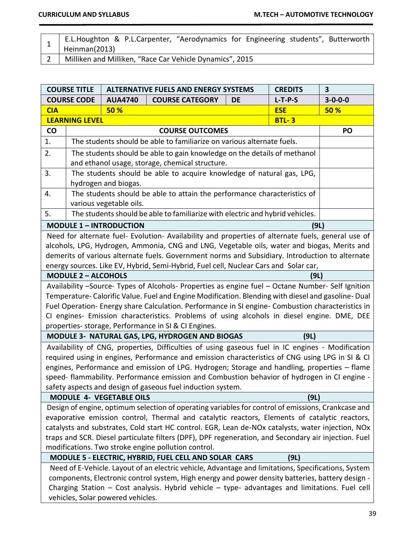- 1 E.L.Houghton & P.L.Carpenter, "Aerodynamics for Engineering students", Butterworth Heinman(2013)
- 2 | Milliken and Milliken, "Race Car Vehicle Dynamics", 2015

| $3 - 0 - 0 - 0$                                                                                      |  |  |  |  |  |
|------------------------------------------------------------------------------------------------------|--|--|--|--|--|
| <b>50 %</b>                                                                                          |  |  |  |  |  |
|                                                                                                      |  |  |  |  |  |
| PO                                                                                                   |  |  |  |  |  |
|                                                                                                      |  |  |  |  |  |
| The students should be able to gain knowledge on the details of methanol                             |  |  |  |  |  |
|                                                                                                      |  |  |  |  |  |
|                                                                                                      |  |  |  |  |  |
|                                                                                                      |  |  |  |  |  |
|                                                                                                      |  |  |  |  |  |
|                                                                                                      |  |  |  |  |  |
|                                                                                                      |  |  |  |  |  |
|                                                                                                      |  |  |  |  |  |
| Need for alternate fuel- Evolution- Availability and properties of alternate fuels, general use of   |  |  |  |  |  |
| alcohols, LPG, Hydrogen, Ammonia, CNG and LNG, Vegetable oils, water and biogas, Merits and          |  |  |  |  |  |
| demerits of various alternate fuels. Government norms and Subsidiary. Introduction to alternate      |  |  |  |  |  |
|                                                                                                      |  |  |  |  |  |
|                                                                                                      |  |  |  |  |  |
| Availability -Source- Types of Alcohols- Properties as engine fuel - Octane Number- Self Ignition    |  |  |  |  |  |
| Temperature-Calorific Value. Fuel and Engine Modification. Blending with diesel and gasoline-Dual    |  |  |  |  |  |
| Fuel Operation- Energy share Calculation. Performance in SI engine- Combustion characteristics in    |  |  |  |  |  |
| CI engines- Emission characteristics. Problems of using alcohols in diesel engine. DME, DEE          |  |  |  |  |  |
|                                                                                                      |  |  |  |  |  |
|                                                                                                      |  |  |  |  |  |
| Availability of CNG, properties, Difficulties of using gaseous fuel in IC engines - Modification     |  |  |  |  |  |
| required using in engines, Performance and emission characteristics of CNG using LPG in SI & CI      |  |  |  |  |  |
| engines, Performance and emission of LPG. Hydrogen; Storage and handling, properties - flame         |  |  |  |  |  |
| speed- flammability. Performance emission and Combustion behavior of hydrogen in CI engine -         |  |  |  |  |  |
|                                                                                                      |  |  |  |  |  |
|                                                                                                      |  |  |  |  |  |
| Design of engine, optimum selection of operating variables for control of emissions, Crankcase and   |  |  |  |  |  |
| evaporative emission control, Thermal and catalytic reactors, Elements of catalytic reactors,        |  |  |  |  |  |
| catalysts and substrates, Cold start HC control. EGR, Lean de-NOx catalysts, water injection, NOx    |  |  |  |  |  |
| traps and SCR. Diesel particulate filters (DPF), DPF regeneration, and Secondary air injection. Fuel |  |  |  |  |  |
|                                                                                                      |  |  |  |  |  |
| Need of E-Vehicle. Layout of an electric vehicle, Advantage and limitations, Specifications, System  |  |  |  |  |  |
| components, Electronic control system, High energy and power density batteries, battery design -     |  |  |  |  |  |
| Charging Station - Cost analysis. Hybrid vehicle - type- advantages and limitations. Fuel cell       |  |  |  |  |  |
|                                                                                                      |  |  |  |  |  |
|                                                                                                      |  |  |  |  |  |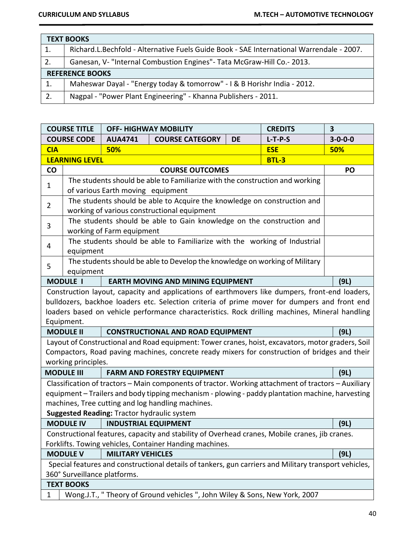|    | <b>TEXT BOOKS</b>                                                                        |  |  |  |  |
|----|------------------------------------------------------------------------------------------|--|--|--|--|
| 1. | Richard.L.Bechfold - Alternative Fuels Guide Book - SAE International Warrendale - 2007. |  |  |  |  |
| 2. | Ganesan, V- "Internal Combustion Engines" - Tata McGraw-Hill Co. - 2013.                 |  |  |  |  |
|    | <b>REFERENCE BOOKS</b>                                                                   |  |  |  |  |
| 1. | Maheswar Dayal - "Energy today & tomorrow" - I & B Horishr India - 2012.                 |  |  |  |  |
| 2. | Nagpal - "Power Plant Engineering" - Khanna Publishers - 2011.                           |  |  |  |  |

| <b>COURSE TITLE</b> |                                                                                   |                                   | <b>OFF- HIGHWAY MOBILITY</b>                                                                          |    | <b>CREDITS</b> | 3               |
|---------------------|-----------------------------------------------------------------------------------|-----------------------------------|-------------------------------------------------------------------------------------------------------|----|----------------|-----------------|
| <b>COURSE CODE</b>  |                                                                                   | <b>AUA4741</b>                    | <b>COURSE CATEGORY</b>                                                                                | DE | $L-T-P-S$      | $3 - 0 - 0 - 0$ |
| <b>CIA</b>          |                                                                                   | 50%                               |                                                                                                       |    | <b>ESE</b>     | 50%             |
|                     | <b>LEARNING LEVEL</b><br><b>BTL-3</b>                                             |                                   |                                                                                                       |    |                |                 |
| $\mathsf{co}\,$     |                                                                                   |                                   | <b>COURSE OUTCOMES</b>                                                                                |    |                | PO              |
|                     | The students should be able to Familiarize with the construction and working<br>1 |                                   |                                                                                                       |    |                |                 |
|                     |                                                                                   | of various Earth moving equipment |                                                                                                       |    |                |                 |
| $\overline{2}$      |                                                                                   |                                   | The students should be able to Acquire the knowledge on construction and                              |    |                |                 |
|                     |                                                                                   |                                   | working of various constructional equipment                                                           |    |                |                 |
| 3                   |                                                                                   |                                   | The students should be able to Gain knowledge on the construction and                                 |    |                |                 |
|                     |                                                                                   | working of Farm equipment         |                                                                                                       |    |                |                 |
| 4                   |                                                                                   |                                   | The students should be able to Familiarize with the working of Industrial                             |    |                |                 |
|                     | equipment                                                                         |                                   |                                                                                                       |    |                |                 |
| 5                   |                                                                                   |                                   | The students should be able to Develop the knowledge on working of Military                           |    |                |                 |
|                     | equipment                                                                         |                                   |                                                                                                       |    |                |                 |
|                     | <b>MODULE I</b>                                                                   |                                   | <b>EARTH MOVING AND MINING EQUIPMENT</b>                                                              |    |                | (9L)            |
|                     |                                                                                   |                                   | Construction layout, capacity and applications of earthmovers like dumpers, front-end loaders,        |    |                |                 |
|                     |                                                                                   |                                   | bulldozers, backhoe loaders etc. Selection criteria of prime mover for dumpers and front end          |    |                |                 |
|                     | Equipment.                                                                        |                                   | loaders based on vehicle performance characteristics. Rock drilling machines, Mineral handling        |    |                |                 |
|                     | <b>MODULE II</b>                                                                  |                                   | <b>CONSTRUCTIONAL AND ROAD EQUIPMENT</b>                                                              |    |                | (9L)            |
|                     |                                                                                   |                                   | Layout of Constructional and Road equipment: Tower cranes, hoist, excavators, motor graders, Soil     |    |                |                 |
|                     |                                                                                   |                                   | Compactors, Road paving machines, concrete ready mixers for construction of bridges and their         |    |                |                 |
|                     | working principles.                                                               |                                   |                                                                                                       |    |                |                 |
|                     | <b>MODULE III</b>                                                                 |                                   | <b>FARM AND FORESTRY EQUIPMENT</b>                                                                    |    |                | (9L)            |
|                     |                                                                                   |                                   | Classification of tractors - Main components of tractor. Working attachment of tractors - Auxiliary   |    |                |                 |
|                     |                                                                                   |                                   | equipment - Trailers and body tipping mechanism - plowing - paddy plantation machine, harvesting      |    |                |                 |
|                     |                                                                                   |                                   | machines, Tree cutting and log handling machines.                                                     |    |                |                 |
|                     |                                                                                   |                                   | Suggested Reading: Tractor hydraulic system                                                           |    |                |                 |
|                     | <b>MODULE IV</b><br><b>INDUSTRIAL EQUIPMENT</b><br>(9L)                           |                                   |                                                                                                       |    |                |                 |
|                     |                                                                                   |                                   | Constructional features, capacity and stability of Overhead cranes, Mobile cranes, jib cranes.        |    |                |                 |
|                     | Forklifts. Towing vehicles, Container Handing machines.                           |                                   |                                                                                                       |    |                |                 |
|                     | <b>MODULE V</b>                                                                   | <b>MILITARY VEHICLES</b>          |                                                                                                       |    |                | (9L)            |
|                     |                                                                                   |                                   | Special features and constructional details of tankers, gun carriers and Military transport vehicles, |    |                |                 |
|                     | 360° Surveillance platforms.                                                      |                                   |                                                                                                       |    |                |                 |
|                     | <b>TEXT BOOKS</b>                                                                 |                                   |                                                                                                       |    |                |                 |
| 1                   | Wong.J.T., " Theory of Ground vehicles ", John Wiley & Sons, New York, 2007       |                                   |                                                                                                       |    |                |                 |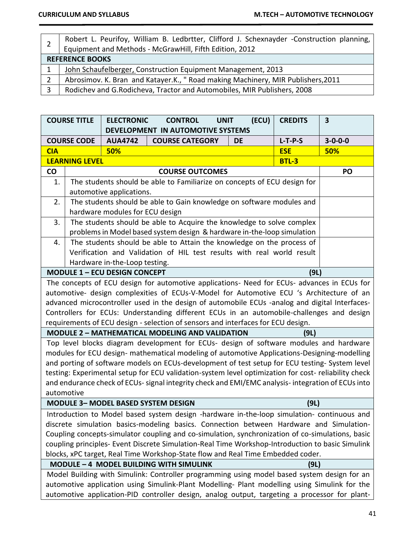|    | Robert L. Peurifoy, William B. Ledbrtter, Clifford J. Schexnayder -Construction planning,<br>Equipment and Methods - McGrawHill, Fifth Edition, 2012 |  |  |  |  |  |
|----|------------------------------------------------------------------------------------------------------------------------------------------------------|--|--|--|--|--|
|    | <b>REFERENCE BOOKS</b>                                                                                                                               |  |  |  |  |  |
|    | John Schaufelberger, Construction Equipment Management, 2013                                                                                         |  |  |  |  |  |
|    | Abrosimov. K. Bran and Katayer.K., " Road making Machinery, MIR Publishers, 2011                                                                     |  |  |  |  |  |
| -3 | Rodichev and G.Rodicheva, Tractor and Automobiles, MIR Publishers, 2008                                                                              |  |  |  |  |  |

| <b>COURSE TITLE</b>                                                                                                                                                                          |                                                                                                  | <b>ELECTRONIC</b>                    | <b>CONTROL</b><br><b>UNIT</b><br>DEVELOPMENT IN AUTOMOTIVE SYSTEMS                                   | (ECU)     | <b>CREDITS</b> | $\overline{\mathbf{3}}$ |
|----------------------------------------------------------------------------------------------------------------------------------------------------------------------------------------------|--------------------------------------------------------------------------------------------------|--------------------------------------|------------------------------------------------------------------------------------------------------|-----------|----------------|-------------------------|
| <b>COURSE CODE</b>                                                                                                                                                                           |                                                                                                  | <b>AUA4742</b>                       | <b>COURSE CATEGORY</b>                                                                               | <b>DE</b> | $L-T-P-S$      | $3 - 0 - 0 - 0$         |
| <b>CIA</b>                                                                                                                                                                                   |                                                                                                  | 50%                                  |                                                                                                      |           | <b>ESE</b>     | <b>50%</b>              |
|                                                                                                                                                                                              | <b>LEARNING LEVEL</b>                                                                            |                                      |                                                                                                      |           | <b>BTL-3</b>   |                         |
| <b>CO</b>                                                                                                                                                                                    |                                                                                                  |                                      | <b>COURSE OUTCOMES</b>                                                                               |           |                | PO                      |
| 1.                                                                                                                                                                                           |                                                                                                  |                                      | The students should be able to Familiarize on concepts of ECU design for                             |           |                |                         |
|                                                                                                                                                                                              |                                                                                                  | automotive applications.             |                                                                                                      |           |                |                         |
| 2.                                                                                                                                                                                           |                                                                                                  |                                      | The students should be able to Gain knowledge on software modules and                                |           |                |                         |
|                                                                                                                                                                                              |                                                                                                  | hardware modules for ECU design      |                                                                                                      |           |                |                         |
| 3.                                                                                                                                                                                           |                                                                                                  |                                      | The students should be able to Acquire the knowledge to solve complex                                |           |                |                         |
|                                                                                                                                                                                              |                                                                                                  |                                      | problems in Model based system design & hardware in-the-loop simulation                              |           |                |                         |
| 4.                                                                                                                                                                                           |                                                                                                  |                                      | The students should be able to Attain the knowledge on the process of                                |           |                |                         |
|                                                                                                                                                                                              |                                                                                                  |                                      | Verification and Validation of HIL test results with real world result                               |           |                |                         |
|                                                                                                                                                                                              |                                                                                                  | Hardware in-the-Loop testing.        |                                                                                                      |           |                |                         |
|                                                                                                                                                                                              |                                                                                                  | <b>MODULE 1 - ECU DESIGN CONCEPT</b> |                                                                                                      |           | (9L)           |                         |
|                                                                                                                                                                                              |                                                                                                  |                                      | The concepts of ECU design for automotive applications- Need for ECUs- advances in ECUs for          |           |                |                         |
|                                                                                                                                                                                              |                                                                                                  |                                      | automotive- design complexities of ECUs-V-Model for Automotive ECU 's Architecture of an             |           |                |                         |
|                                                                                                                                                                                              |                                                                                                  |                                      | advanced microcontroller used in the design of automobile ECUs -analog and digital Interfaces-       |           |                |                         |
|                                                                                                                                                                                              |                                                                                                  |                                      | Controllers for ECUs: Understanding different ECUs in an automobile-challenges and design            |           |                |                         |
|                                                                                                                                                                                              |                                                                                                  |                                      | requirements of ECU design - selection of sensors and interfaces for ECU design.                     |           |                |                         |
|                                                                                                                                                                                              |                                                                                                  |                                      | <b>MODULE 2 - MATHEMATICAL MODELING AND VALIDATION</b>                                               |           | (9L)           |                         |
|                                                                                                                                                                                              |                                                                                                  |                                      | Top level blocks diagram development for ECUs- design of software modules and hardware               |           |                |                         |
|                                                                                                                                                                                              |                                                                                                  |                                      | modules for ECU design- mathematical modeling of automotive Applications-Designing-modelling         |           |                |                         |
|                                                                                                                                                                                              |                                                                                                  |                                      | and porting of software models on ECUs-development of test setup for ECU testing-System level        |           |                |                         |
|                                                                                                                                                                                              |                                                                                                  |                                      | testing: Experimental setup for ECU validation-system level optimization for cost- reliability check |           |                |                         |
|                                                                                                                                                                                              | automotive                                                                                       |                                      | and endurance check of ECUs- signal integrity check and EMI/EMC analysis- integration of ECUs into   |           |                |                         |
|                                                                                                                                                                                              |                                                                                                  |                                      | <b>MODULE 3- MODEL BASED SYSTEM DESIGN</b>                                                           |           |                |                         |
|                                                                                                                                                                                              |                                                                                                  |                                      |                                                                                                      |           | (9L)           |                         |
|                                                                                                                                                                                              |                                                                                                  |                                      | Introduction to Model based system design -hardware in-the-loop simulation- continuous and           |           |                |                         |
| discrete simulation basics-modeling basics. Connection between Hardware and Simulation-                                                                                                      |                                                                                                  |                                      |                                                                                                      |           |                |                         |
| Coupling concepts-simulator coupling and co-simulation, synchronization of co-simulations, basic                                                                                             |                                                                                                  |                                      |                                                                                                      |           |                |                         |
|                                                                                                                                                                                              | coupling principles- Event Discrete Simulation-Real Time Workshop-Introduction to basic Simulink |                                      |                                                                                                      |           |                |                         |
| blocks, xPC target, Real Time Workshop-State flow and Real Time Embedded coder.<br>MODULE - 4 MODEL BUILDING WITH SIMULINK                                                                   |                                                                                                  |                                      |                                                                                                      |           |                |                         |
|                                                                                                                                                                                              |                                                                                                  |                                      |                                                                                                      |           | (9L)           |                         |
| Model Building with Simulink: Controller programming using model based system design for an<br>automotive application using Simulink-Plant Modelling- Plant modelling using Simulink for the |                                                                                                  |                                      |                                                                                                      |           |                |                         |
|                                                                                                                                                                                              |                                                                                                  |                                      |                                                                                                      |           |                |                         |
| automotive application-PID controller design, analog output, targeting a processor for plant-                                                                                                |                                                                                                  |                                      |                                                                                                      |           |                |                         |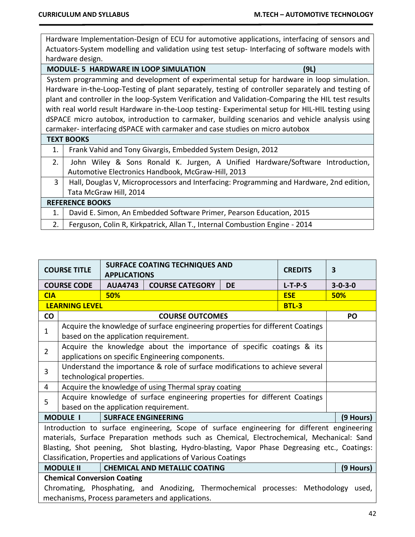Hardware Implementation-Design of ECU for automotive applications, interfacing of sensors and Actuators-System modelling and validation using test setup- Interfacing of software models with hardware design.

|    | <b>MODULE-5 HARDWARE IN LOOP SIMULATION</b><br>(9L)                                                |
|----|----------------------------------------------------------------------------------------------------|
|    | System programming and development of experimental setup for hardware in loop simulation.          |
|    | Hardware in-the-Loop-Testing of plant separately, testing of controller separately and testing of  |
|    | plant and controller in the loop-System Verification and Validation-Comparing the HIL test results |
|    | with real world result Hardware in-the-Loop testing- Experimental setup for HIL-HIL testing using  |
|    | dSPACE micro autobox, introduction to carmaker, building scenarios and vehicle analysis using      |
|    | carmaker-interfacing dSPACE with carmaker and case studies on micro autobox                        |
|    | <b>TEXT BOOKS</b>                                                                                  |
| 1. | Frank Vahid and Tony Givargis, Embedded System Design, 2012                                        |
| 2. | John Wiley & Sons Ronald K. Jurgen, A Unified Hardware/Software Introduction,                      |
|    | Automotive Electronics Handbook, McGraw-Hill, 2013                                                 |
| 3  | Hall, Douglas V, Microprocessors and Interfacing: Programming and Hardware, 2nd edition,           |
|    | Tata McGraw Hill, 2014                                                                             |

| Tata McGraw Hill, 2014                                                           |  |  |  |  |
|----------------------------------------------------------------------------------|--|--|--|--|
| <b>REFERENCE BOOKS</b>                                                           |  |  |  |  |
| 1. David E. Simon, An Embedded Software Primer, Pearson Education, 2015          |  |  |  |  |
| 2.   Ferguson, Colin R, Kirkpatrick, Allan T., Internal Combustion Engine - 2014 |  |  |  |  |

| <b>COURSE TITLE</b>                                             |                                                                                        | <b>APPLICATIONS</b>        | <b>SURFACE COATING TECHNIQUES AND</b>                                                         |           | <b>CREDITS</b> | $\overline{\mathbf{3}}$ |  |
|-----------------------------------------------------------------|----------------------------------------------------------------------------------------|----------------------------|-----------------------------------------------------------------------------------------------|-----------|----------------|-------------------------|--|
|                                                                 | <b>COURSE CODE</b>                                                                     | <b>AUA4743</b>             | <b>COURSE CATEGORY</b>                                                                        | <b>DE</b> | $L-T-P-S$      | $3 - 0 - 3 - 0$         |  |
| <b>CIA</b>                                                      |                                                                                        | 50%                        |                                                                                               |           | <b>ESE</b>     | 50%                     |  |
|                                                                 | <b>LEARNING LEVEL</b>                                                                  |                            |                                                                                               |           | <b>BTL-3</b>   |                         |  |
| <b>CO</b>                                                       |                                                                                        |                            | <b>COURSE OUTCOMES</b>                                                                        |           |                | PO                      |  |
| $\mathbf{1}$                                                    |                                                                                        |                            | Acquire the knowledge of surface engineering properties for different Coatings                |           |                |                         |  |
|                                                                 |                                                                                        |                            | based on the application requirement.                                                         |           |                |                         |  |
| $\overline{2}$                                                  |                                                                                        |                            | Acquire the knowledge about the importance of specific coatings & its                         |           |                |                         |  |
|                                                                 |                                                                                        |                            | applications on specific Engineering components.                                              |           |                |                         |  |
| 3                                                               |                                                                                        |                            | Understand the importance & role of surface modifications to achieve several                  |           |                |                         |  |
|                                                                 |                                                                                        | technological properties.  |                                                                                               |           |                |                         |  |
| 4                                                               | Acquire the knowledge of using Thermal spray coating                                   |                            |                                                                                               |           |                |                         |  |
| 5                                                               | Acquire knowledge of surface engineering properties for different Coatings             |                            |                                                                                               |           |                |                         |  |
|                                                                 | based on the application requirement.                                                  |                            |                                                                                               |           |                |                         |  |
|                                                                 | <b>MODULE I</b>                                                                        | <b>SURFACE ENGINEERING</b> |                                                                                               |           |                | (9 Hours)               |  |
|                                                                 |                                                                                        |                            | Introduction to surface engineering, Scope of surface engineering for different engineering   |           |                |                         |  |
|                                                                 |                                                                                        |                            | materials, Surface Preparation methods such as Chemical, Electrochemical, Mechanical: Sand    |           |                |                         |  |
|                                                                 |                                                                                        |                            | Blasting, Shot peening, Shot blasting, Hydro-blasting, Vapor Phase Degreasing etc., Coatings: |           |                |                         |  |
| Classification, Properties and applications of Various Coatings |                                                                                        |                            |                                                                                               |           |                |                         |  |
|                                                                 | <b>MODULE II</b><br><b>CHEMICAL AND METALLIC COATING</b><br>(9 Hours)                  |                            |                                                                                               |           |                |                         |  |
| <b>Chemical Conversion Coating</b>                              |                                                                                        |                            |                                                                                               |           |                |                         |  |
|                                                                 | Chromating, Phosphating, and Anodizing, Thermochemical processes: Methodology<br>used, |                            |                                                                                               |           |                |                         |  |
|                                                                 |                                                                                        |                            | mechanisms, Process parameters and applications.                                              |           |                |                         |  |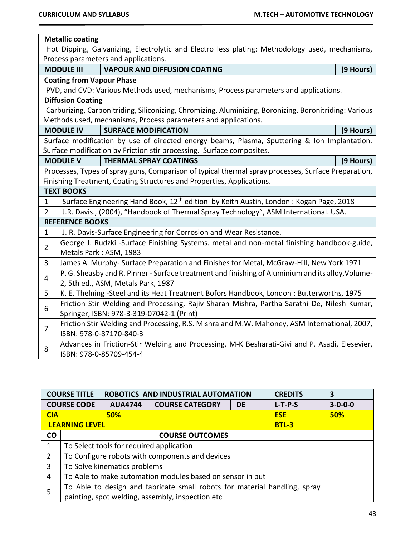$\overline{\phantom{a}}$ 

|                                                                                                | <b>Metallic coating</b>                                                                      |                                                                                                        |           |  |  |  |
|------------------------------------------------------------------------------------------------|----------------------------------------------------------------------------------------------|--------------------------------------------------------------------------------------------------------|-----------|--|--|--|
| Hot Dipping, Galvanizing, Electrolytic and Electro less plating: Methodology used, mechanisms, |                                                                                              |                                                                                                        |           |  |  |  |
|                                                                                                | Process parameters and applications.                                                         |                                                                                                        |           |  |  |  |
|                                                                                                | <b>VAPOUR AND DIFFUSION COATING</b><br><b>MODULE III</b><br>(9 Hours)                        |                                                                                                        |           |  |  |  |
|                                                                                                | <b>Coating from Vapour Phase</b>                                                             |                                                                                                        |           |  |  |  |
|                                                                                                |                                                                                              | PVD, and CVD: Various Methods used, mechanisms, Process parameters and applications.                   |           |  |  |  |
|                                                                                                | <b>Diffusion Coating</b>                                                                     |                                                                                                        |           |  |  |  |
|                                                                                                |                                                                                              | Carburizing, Carbonitriding, Siliconizing, Chromizing, Aluminizing, Boronizing, Boronitriding: Various |           |  |  |  |
|                                                                                                |                                                                                              | Methods used, mechanisms, Process parameters and applications.                                         |           |  |  |  |
|                                                                                                | <b>MODULE IV</b>                                                                             | <b>SURFACE MODIFICATION</b>                                                                            | (9 Hours) |  |  |  |
|                                                                                                |                                                                                              | Surface modification by use of directed energy beams, Plasma, Sputtering & Ion Implantation.           |           |  |  |  |
|                                                                                                |                                                                                              | Surface modification by Friction stir processing. Surface composites.                                  |           |  |  |  |
|                                                                                                | <b>MODULE V</b>                                                                              | <b>THERMAL SPRAY COATINGS</b>                                                                          | (9 Hours) |  |  |  |
|                                                                                                |                                                                                              | Processes, Types of spray guns, Comparison of typical thermal spray processes, Surface Preparation,    |           |  |  |  |
|                                                                                                |                                                                                              | Finishing Treatment, Coating Structures and Properties, Applications.                                  |           |  |  |  |
|                                                                                                | <b>TEXT BOOKS</b>                                                                            |                                                                                                        |           |  |  |  |
| $\mathbf{1}$                                                                                   |                                                                                              | Surface Engineering Hand Book, 12 <sup>th</sup> edition by Keith Austin, London: Kogan Page, 2018      |           |  |  |  |
| $\overline{2}$                                                                                 |                                                                                              | J.R. Davis., (2004), "Handbook of Thermal Spray Technology", ASM International. USA.                   |           |  |  |  |
|                                                                                                | <b>REFERENCE BOOKS</b>                                                                       |                                                                                                        |           |  |  |  |
| $\mathbf{1}$                                                                                   |                                                                                              | J. R. Davis-Surface Engineering for Corrosion and Wear Resistance.                                     |           |  |  |  |
| $\overline{2}$                                                                                 |                                                                                              | George J. Rudzki -Surface Finishing Systems. metal and non-metal finishing handbook-guide,             |           |  |  |  |
|                                                                                                |                                                                                              | Metals Park: ASM, 1983                                                                                 |           |  |  |  |
| 3                                                                                              |                                                                                              | James A. Murphy- Surface Preparation and Finishes for Metal, McGraw-Hill, New York 1971                |           |  |  |  |
|                                                                                                |                                                                                              | P. G. Sheasby and R. Pinner - Surface treatment and finishing of Aluminium and its alloy, Volume-      |           |  |  |  |
|                                                                                                | 4<br>2, 5th ed., ASM, Metals Park, 1987                                                      |                                                                                                        |           |  |  |  |
| 5                                                                                              | K. E. Thelning -Steel and its Heat Treatment Bofors Handbook, London: Butterworths, 1975     |                                                                                                        |           |  |  |  |
| 6                                                                                              | Friction Stir Welding and Processing, Rajiv Sharan Mishra, Partha Sarathi De, Nilesh Kumar,  |                                                                                                        |           |  |  |  |
|                                                                                                | Springer, ISBN: 978-3-319-07042-1 (Print)                                                    |                                                                                                        |           |  |  |  |
| $\overline{7}$                                                                                 | Friction Stir Welding and Processing, R.S. Mishra and M.W. Mahoney, ASM International, 2007, |                                                                                                        |           |  |  |  |
|                                                                                                |                                                                                              | ISBN: 978-0-87170-840-3                                                                                |           |  |  |  |
| 8                                                                                              |                                                                                              | Advances in Friction-Stir Welding and Processing, M-K Besharati-Givi and P. Asadi, Elesevier,          |           |  |  |  |
|                                                                                                |                                                                                              | ISBN: 978-0-85709-454-4                                                                                |           |  |  |  |

| <b>COURSE TITLE</b> |                                                                           |                | ROBOTICS AND INDUSTRIAL AUTOMATION               |           | <b>CREDITS</b> | 3               |
|---------------------|---------------------------------------------------------------------------|----------------|--------------------------------------------------|-----------|----------------|-----------------|
|                     | <b>COURSE CODE</b>                                                        | <b>AUA4744</b> | <b>COURSE CATEGORY</b>                           | <b>DE</b> | $L-T-P-S$      | $3 - 0 - 0 - 0$ |
| <b>CIA</b>          |                                                                           | <b>50%</b>     |                                                  |           | <b>ESE</b>     | 50%             |
|                     | <b>LEARNING LEVEL</b>                                                     |                |                                                  |           | $BTL-3$        |                 |
| CO                  | <b>COURSE OUTCOMES</b>                                                    |                |                                                  |           |                |                 |
|                     | To Select tools for required application                                  |                |                                                  |           |                |                 |
| $\overline{2}$      | To Configure robots with components and devices                           |                |                                                  |           |                |                 |
| 3                   | To Solve kinematics problems                                              |                |                                                  |           |                |                 |
| 4                   | To Able to make automation modules based on sensor in put                 |                |                                                  |           |                |                 |
| 5                   | To Able to design and fabricate small robots for material handling, spray |                |                                                  |           |                |                 |
|                     |                                                                           |                | painting, spot welding, assembly, inspection etc |           |                |                 |